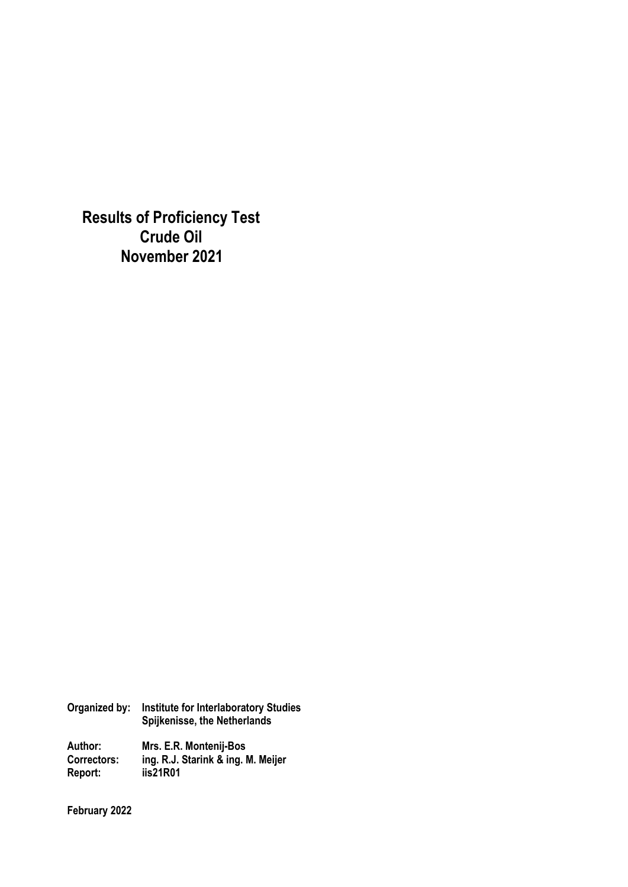**Results of Proficiency Test Crude Oil November 2021** 

**Organized by: Institute for Interlaboratory Studies Spijkenisse, the Netherlands Author: Mrs. E.R. Montenij-Bos Correctors: ing. R.J. Starink & ing. M. Meijer Report: iis21R01** 

**February 2022**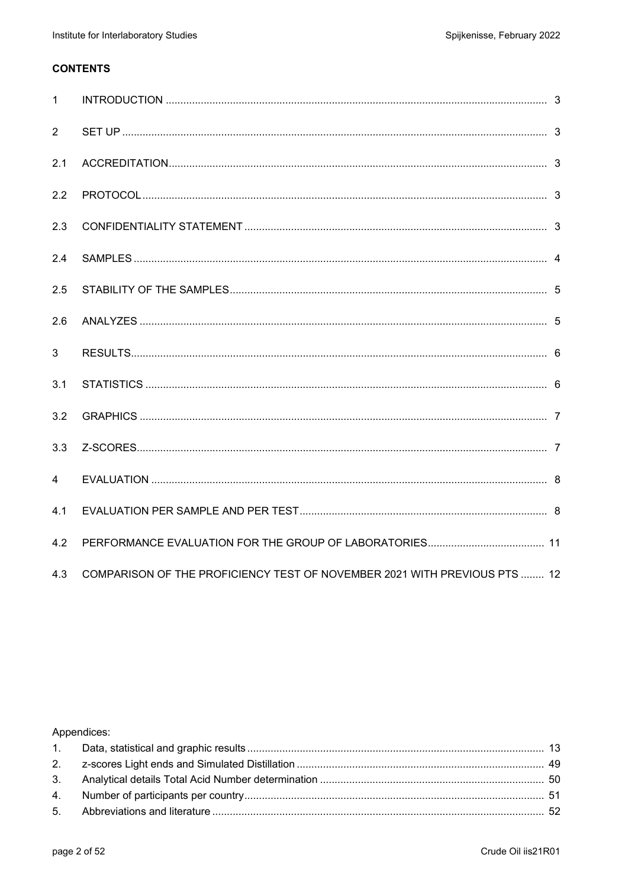## **CONTENTS**

| $\mathbf{1}$   |                                                                           |  |
|----------------|---------------------------------------------------------------------------|--|
| $\overline{2}$ |                                                                           |  |
| 2.1            |                                                                           |  |
| 2.2            |                                                                           |  |
| 2.3            |                                                                           |  |
| 2.4            |                                                                           |  |
| 2.5            |                                                                           |  |
| 2.6            |                                                                           |  |
| 3              |                                                                           |  |
| 3.1            |                                                                           |  |
| 3.2            |                                                                           |  |
| 3.3            |                                                                           |  |
| $\overline{4}$ |                                                                           |  |
| 4.1            |                                                                           |  |
| 4.2            |                                                                           |  |
| 4.3            | COMPARISON OF THE PROFICIENCY TEST OF NOVEMBER 2021 WITH PREVIOUS PTS  12 |  |

## Appendices: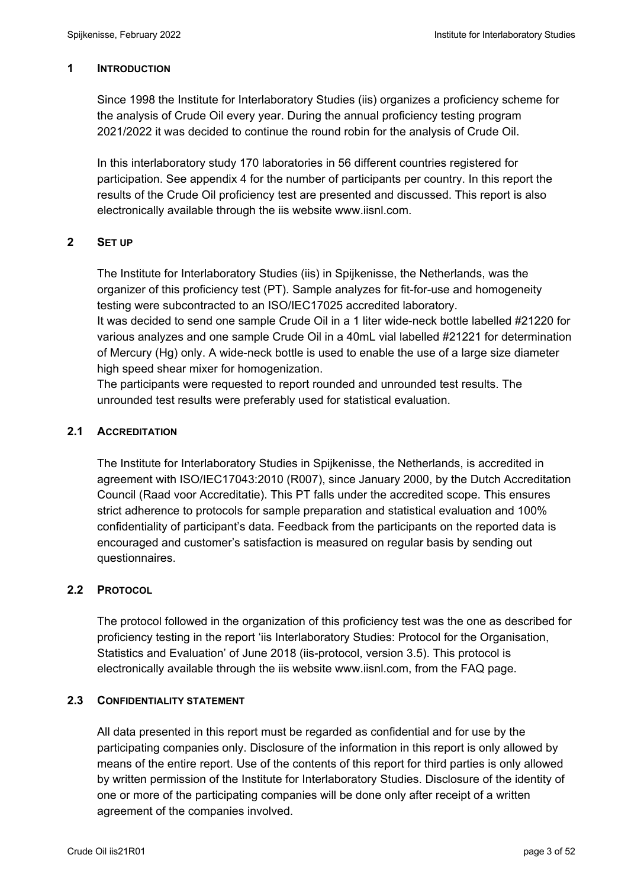## **1 INTRODUCTION**

Since 1998 the Institute for Interlaboratory Studies (iis) organizes a proficiency scheme for the analysis of Crude Oil every year. During the annual proficiency testing program 2021/2022 it was decided to continue the round robin for the analysis of Crude Oil.

In this interlaboratory study 170 laboratories in 56 different countries registered for participation. See appendix 4 for the number of participants per country. In this report the results of the Crude Oil proficiency test are presented and discussed. This report is also electronically available through the iis website www.iisnl.com.

## **2 SET UP**

The Institute for Interlaboratory Studies (iis) in Spijkenisse, the Netherlands, was the organizer of this proficiency test (PT). Sample analyzes for fit-for-use and homogeneity testing were subcontracted to an ISO/IEC17025 accredited laboratory.

It was decided to send one sample Crude Oil in a 1 liter wide-neck bottle labelled #21220 for various analyzes and one sample Crude Oil in a 40mL vial labelled #21221 for determination of Mercury (Hg) only. A wide-neck bottle is used to enable the use of a large size diameter high speed shear mixer for homogenization.

The participants were requested to report rounded and unrounded test results. The unrounded test results were preferably used for statistical evaluation.

## **2.1 ACCREDITATION**

The Institute for Interlaboratory Studies in Spijkenisse, the Netherlands, is accredited in agreement with ISO/IEC17043:2010 (R007), since January 2000, by the Dutch Accreditation Council (Raad voor Accreditatie). This PT falls under the accredited scope. This ensures strict adherence to protocols for sample preparation and statistical evaluation and 100% confidentiality of participant's data. Feedback from the participants on the reported data is encouraged and customer's satisfaction is measured on regular basis by sending out questionnaires.

## **2.2 PROTOCOL**

The protocol followed in the organization of this proficiency test was the one as described for proficiency testing in the report 'iis Interlaboratory Studies: Protocol for the Organisation, Statistics and Evaluation' of June 2018 (iis-protocol, version 3.5). This protocol is electronically available through the iis website www.iisnl.com, from the FAQ page.

## **2.3 CONFIDENTIALITY STATEMENT**

All data presented in this report must be regarded as confidential and for use by the participating companies only. Disclosure of the information in this report is only allowed by means of the entire report. Use of the contents of this report for third parties is only allowed by written permission of the Institute for Interlaboratory Studies. Disclosure of the identity of one or more of the participating companies will be done only after receipt of a written agreement of the companies involved.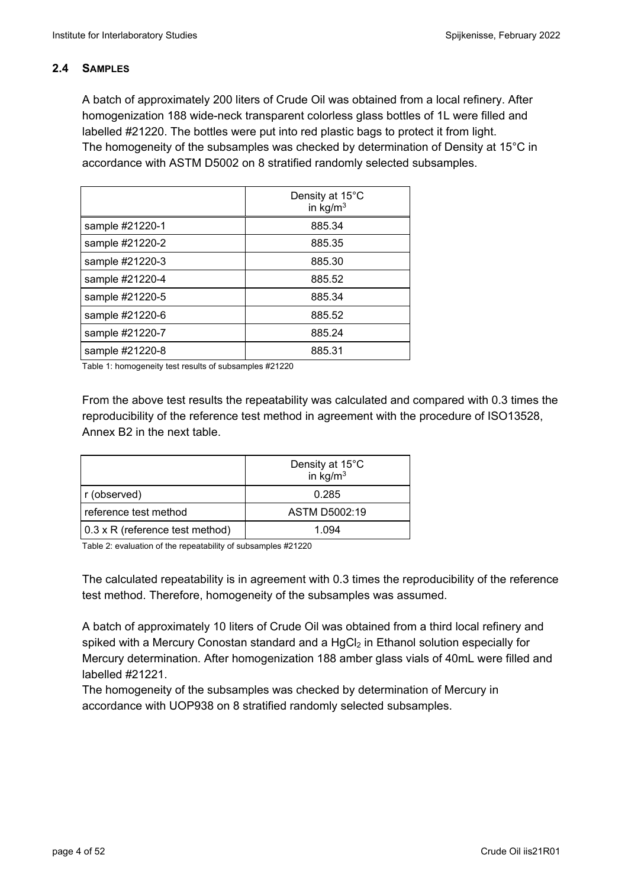## **2.4 SAMPLES**

A batch of approximately 200 liters of Crude Oil was obtained from a local refinery. After homogenization 188 wide-neck transparent colorless glass bottles of 1L were filled and labelled #21220. The bottles were put into red plastic bags to protect it from light. The homogeneity of the subsamples was checked by determination of Density at 15°C in accordance with ASTM D5002 on 8 stratified randomly selected subsamples.

|                 | Density at 15°C<br>in $kg/m3$ |
|-----------------|-------------------------------|
| sample #21220-1 | 885.34                        |
| sample #21220-2 | 885.35                        |
| sample #21220-3 | 885.30                        |
| sample #21220-4 | 885.52                        |
| sample #21220-5 | 885.34                        |
| sample #21220-6 | 885.52                        |
| sample #21220-7 | 885.24                        |
| sample #21220-8 | 885.31                        |

Table 1: homogeneity test results of subsamples #21220

From the above test results the repeatability was calculated and compared with 0.3 times the reproducibility of the reference test method in agreement with the procedure of ISO13528, Annex B2 in the next table.

|                                 | Density at 15°C<br>in $\text{kg/m}^3$ |
|---------------------------------|---------------------------------------|
| r (observed)                    | 0.285                                 |
| reference test method           | ASTM D5002:19                         |
| 0.3 x R (reference test method) | 1 094                                 |

Table 2: evaluation of the repeatability of subsamples #21220

The calculated repeatability is in agreement with 0.3 times the reproducibility of the reference test method. Therefore, homogeneity of the subsamples was assumed.

A batch of approximately 10 liters of Crude Oil was obtained from a third local refinery and spiked with a Mercury Conostan standard and a  $HgCl<sub>2</sub>$  in Ethanol solution especially for Mercury determination. After homogenization 188 amber glass vials of 40mL were filled and labelled #21221.

The homogeneity of the subsamples was checked by determination of Mercury in accordance with UOP938 on 8 stratified randomly selected subsamples.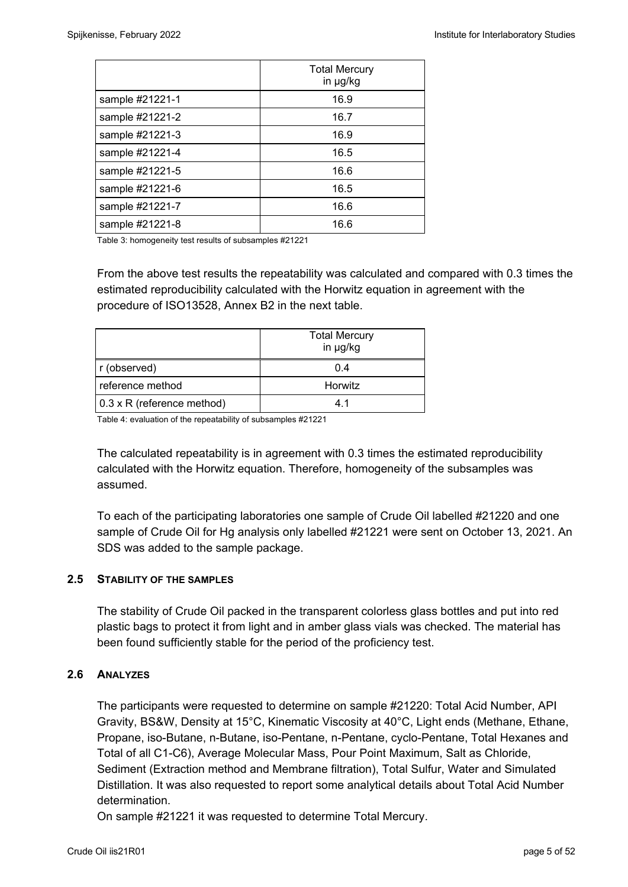|                 | <b>Total Mercury</b><br>in µg/kg |
|-----------------|----------------------------------|
| sample #21221-1 | 16.9                             |
| sample #21221-2 | 16.7                             |
| sample #21221-3 | 16.9                             |
| sample #21221-4 | 16.5                             |
| sample #21221-5 | 16.6                             |
| sample #21221-6 | 16.5                             |
| sample #21221-7 | 16.6                             |
| sample #21221-8 | 16.6                             |

Table 3: homogeneity test results of subsamples #21221

From the above test results the repeatability was calculated and compared with 0.3 times the estimated reproducibility calculated with the Horwitz equation in agreement with the procedure of ISO13528, Annex B2 in the next table.

|                            | <b>Total Mercury</b><br>in µg/kg |
|----------------------------|----------------------------------|
| r (observed)               | 0.4                              |
| l reference method         | Horwitz                          |
| 0.3 x R (reference method) |                                  |

Table 4: evaluation of the repeatability of subsamples #21221

The calculated repeatability is in agreement with 0.3 times the estimated reproducibility calculated with the Horwitz equation. Therefore, homogeneity of the subsamples was assumed.

To each of the participating laboratories one sample of Crude Oil labelled #21220 and one sample of Crude Oil for Hg analysis only labelled #21221 were sent on October 13, 2021. An SDS was added to the sample package.

## **2.5 STABILITY OF THE SAMPLES**

The stability of Crude Oil packed in the transparent colorless glass bottles and put into red plastic bags to protect it from light and in amber glass vials was checked. The material has been found sufficiently stable for the period of the proficiency test.

## **2.6 ANALYZES**

The participants were requested to determine on sample #21220: Total Acid Number, API Gravity, BS&W, Density at 15°C, Kinematic Viscosity at 40°C, Light ends (Methane, Ethane, Propane, iso-Butane, n-Butane, iso-Pentane, n-Pentane, cyclo-Pentane, Total Hexanes and Total of all C1-C6), Average Molecular Mass, Pour Point Maximum, Salt as Chloride, Sediment (Extraction method and Membrane filtration), Total Sulfur, Water and Simulated Distillation. It was also requested to report some analytical details about Total Acid Number determination.

On sample #21221 it was requested to determine Total Mercury.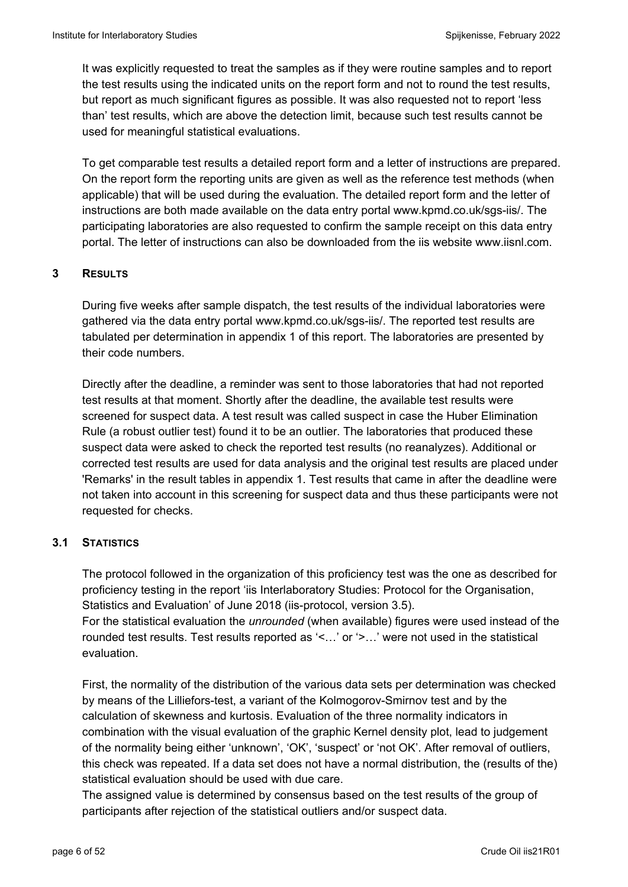It was explicitly requested to treat the samples as if they were routine samples and to report the test results using the indicated units on the report form and not to round the test results, but report as much significant figures as possible. It was also requested not to report 'less than' test results, which are above the detection limit, because such test results cannot be used for meaningful statistical evaluations.

To get comparable test results a detailed report form and a letter of instructions are prepared. On the report form the reporting units are given as well as the reference test methods (when applicable) that will be used during the evaluation. The detailed report form and the letter of instructions are both made available on the data entry portal www.kpmd.co.uk/sgs-iis/. The participating laboratories are also requested to confirm the sample receipt on this data entry portal. The letter of instructions can also be downloaded from the iis website www.iisnl.com.

## **3 RESULTS**

During five weeks after sample dispatch, the test results of the individual laboratories were gathered via the data entry portal www.kpmd.co.uk/sgs-iis/. The reported test results are tabulated per determination in appendix 1 of this report. The laboratories are presented by their code numbers.

Directly after the deadline, a reminder was sent to those laboratories that had not reported test results at that moment. Shortly after the deadline, the available test results were screened for suspect data. A test result was called suspect in case the Huber Elimination Rule (a robust outlier test) found it to be an outlier. The laboratories that produced these suspect data were asked to check the reported test results (no reanalyzes). Additional or corrected test results are used for data analysis and the original test results are placed under 'Remarks' in the result tables in appendix 1. Test results that came in after the deadline were not taken into account in this screening for suspect data and thus these participants were not requested for checks.

## **3.1 STATISTICS**

The protocol followed in the organization of this proficiency test was the one as described for proficiency testing in the report 'iis Interlaboratory Studies: Protocol for the Organisation, Statistics and Evaluation' of June 2018 (iis-protocol, version 3.5). For the statistical evaluation the *unrounded* (when available) figures were used instead of the

rounded test results. Test results reported as '<…' or '>…' were not used in the statistical evaluation.

First, the normality of the distribution of the various data sets per determination was checked by means of the Lilliefors-test, a variant of the Kolmogorov-Smirnov test and by the calculation of skewness and kurtosis. Evaluation of the three normality indicators in combination with the visual evaluation of the graphic Kernel density plot, lead to judgement of the normality being either 'unknown', 'OK', 'suspect' or 'not OK'. After removal of outliers, this check was repeated. If a data set does not have a normal distribution, the (results of the) statistical evaluation should be used with due care.

The assigned value is determined by consensus based on the test results of the group of participants after rejection of the statistical outliers and/or suspect data.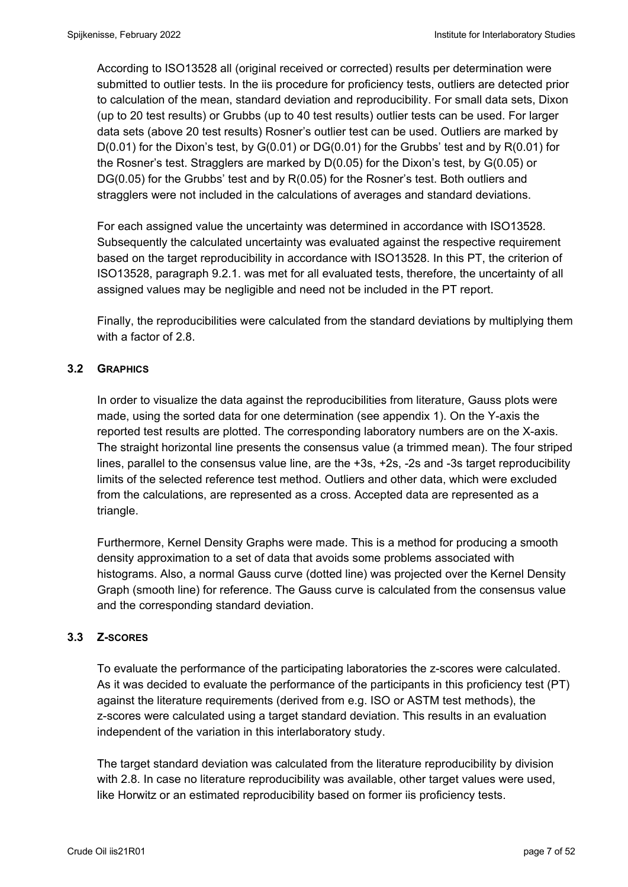According to ISO13528 all (original received or corrected) results per determination were submitted to outlier tests. In the iis procedure for proficiency tests, outliers are detected prior to calculation of the mean, standard deviation and reproducibility. For small data sets, Dixon (up to 20 test results) or Grubbs (up to 40 test results) outlier tests can be used. For larger data sets (above 20 test results) Rosner's outlier test can be used. Outliers are marked by D(0.01) for the Dixon's test, by G(0.01) or DG(0.01) for the Grubbs' test and by R(0.01) for the Rosner's test. Stragglers are marked by D(0.05) for the Dixon's test, by G(0.05) or DG(0.05) for the Grubbs' test and by R(0.05) for the Rosner's test. Both outliers and stragglers were not included in the calculations of averages and standard deviations.

For each assigned value the uncertainty was determined in accordance with ISO13528. Subsequently the calculated uncertainty was evaluated against the respective requirement based on the target reproducibility in accordance with ISO13528. In this PT, the criterion of ISO13528, paragraph 9.2.1. was met for all evaluated tests, therefore, the uncertainty of all assigned values may be negligible and need not be included in the PT report.

Finally, the reproducibilities were calculated from the standard deviations by multiplying them with a factor of 2.8.

## **3.2 GRAPHICS**

In order to visualize the data against the reproducibilities from literature, Gauss plots were made, using the sorted data for one determination (see appendix 1). On the Y-axis the reported test results are plotted. The corresponding laboratory numbers are on the X-axis. The straight horizontal line presents the consensus value (a trimmed mean). The four striped lines, parallel to the consensus value line, are the +3s, +2s, -2s and -3s target reproducibility limits of the selected reference test method. Outliers and other data, which were excluded from the calculations, are represented as a cross. Accepted data are represented as a triangle.

Furthermore, Kernel Density Graphs were made. This is a method for producing a smooth density approximation to a set of data that avoids some problems associated with histograms. Also, a normal Gauss curve (dotted line) was projected over the Kernel Density Graph (smooth line) for reference. The Gauss curve is calculated from the consensus value and the corresponding standard deviation.

## **3.3 Z-SCORES**

To evaluate the performance of the participating laboratories the z-scores were calculated. As it was decided to evaluate the performance of the participants in this proficiency test (PT) against the literature requirements (derived from e.g. ISO or ASTM test methods), the z-scores were calculated using a target standard deviation. This results in an evaluation independent of the variation in this interlaboratory study.

The target standard deviation was calculated from the literature reproducibility by division with 2.8. In case no literature reproducibility was available, other target values were used, like Horwitz or an estimated reproducibility based on former iis proficiency tests.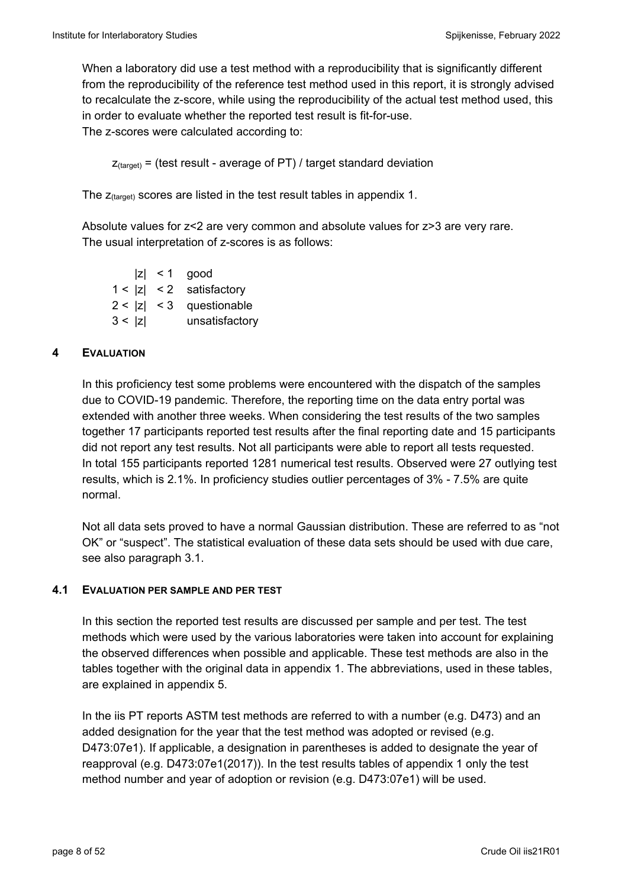When a laboratory did use a test method with a reproducibility that is significantly different from the reproducibility of the reference test method used in this report, it is strongly advised to recalculate the z-score, while using the reproducibility of the actual test method used, this in order to evaluate whether the reported test result is fit-for-use. The z-scores were calculated according to:

 $Z_{\text{target}}$  = (test result - average of PT) / target standard deviation

The  $z_{\text{(target)}}$  scores are listed in the test result tables in appendix 1.

Absolute values for z<2 are very common and absolute values for z>3 are very rare. The usual interpretation of z-scores is as follows:

 $|z|$  < 1 good  $1 < |z| < 2$  satisfactory  $2 < |z| < 3$  questionable 3 < |z| unsatisfactory

## **4 EVALUATION**

In this proficiency test some problems were encountered with the dispatch of the samples due to COVID-19 pandemic. Therefore, the reporting time on the data entry portal was extended with another three weeks. When considering the test results of the two samples together 17 participants reported test results after the final reporting date and 15 participants did not report any test results. Not all participants were able to report all tests requested. In total 155 participants reported 1281 numerical test results. Observed were 27 outlying test results, which is 2.1%. In proficiency studies outlier percentages of 3% - 7.5% are quite normal.

Not all data sets proved to have a normal Gaussian distribution. These are referred to as "not OK" or "suspect". The statistical evaluation of these data sets should be used with due care, see also paragraph 3.1.

## **4.1 EVALUATION PER SAMPLE AND PER TEST**

In this section the reported test results are discussed per sample and per test. The test methods which were used by the various laboratories were taken into account for explaining the observed differences when possible and applicable. These test methods are also in the tables together with the original data in appendix 1. The abbreviations, used in these tables, are explained in appendix 5.

In the iis PT reports ASTM test methods are referred to with a number (e.g. D473) and an added designation for the year that the test method was adopted or revised (e.g. D473:07e1). If applicable, a designation in parentheses is added to designate the year of reapproval (e.g. D473:07e1(2017)). In the test results tables of appendix 1 only the test method number and year of adoption or revision (e.g. D473:07e1) will be used.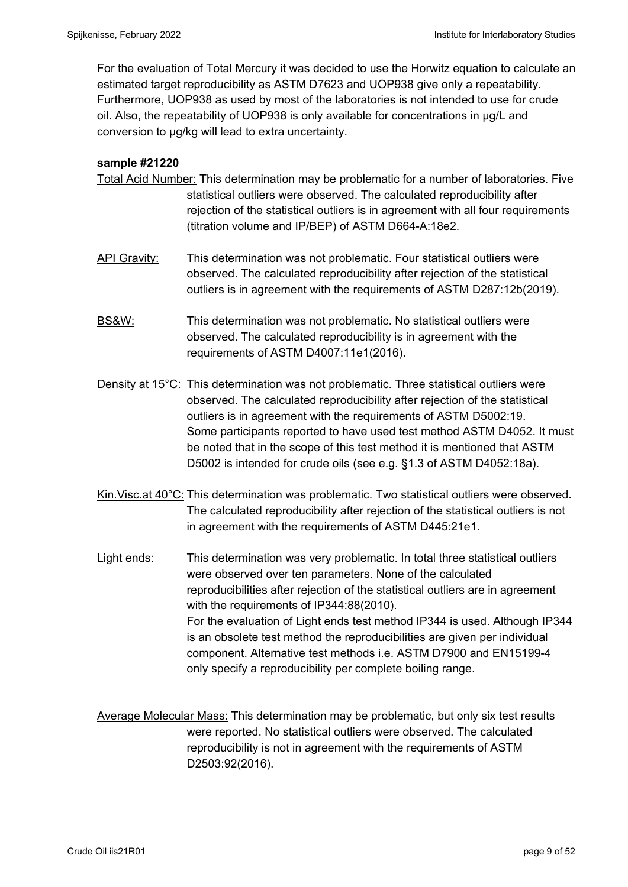For the evaluation of Total Mercury it was decided to use the Horwitz equation to calculate an estimated target reproducibility as ASTM D7623 and UOP938 give only a repeatability. Furthermore, UOP938 as used by most of the laboratories is not intended to use for crude oil. Also, the repeatability of UOP938 is only available for concentrations in µg/L and conversion to µg/kg will lead to extra uncertainty.

## **sample #21220**

- Total Acid Number: This determination may be problematic for a number of laboratories. Five statistical outliers were observed. The calculated reproducibility after rejection of the statistical outliers is in agreement with all four requirements (titration volume and IP/BEP) of ASTM D664-A:18e2.
- API Gravity: This determination was not problematic. Four statistical outliers were observed. The calculated reproducibility after rejection of the statistical outliers is in agreement with the requirements of ASTM D287:12b(2019).
- BS&W: This determination was not problematic. No statistical outliers were observed. The calculated reproducibility is in agreement with the requirements of ASTM D4007:11e1(2016).
- Density at 15<sup>°</sup>C: This determination was not problematic. Three statistical outliers were observed. The calculated reproducibility after rejection of the statistical outliers is in agreement with the requirements of ASTM D5002:19. Some participants reported to have used test method ASTM D4052. It must be noted that in the scope of this test method it is mentioned that ASTM D5002 is intended for crude oils (see e.g. §1.3 of ASTM D4052:18a).
- Kin.Visc.at 40°C: This determination was problematic. Two statistical outliers were observed. The calculated reproducibility after rejection of the statistical outliers is not in agreement with the requirements of ASTM D445:21e1.
- Light ends: This determination was very problematic. In total three statistical outliers were observed over ten parameters. None of the calculated reproducibilities after rejection of the statistical outliers are in agreement with the requirements of IP344:88(2010). For the evaluation of Light ends test method IP344 is used. Although IP344 is an obsolete test method the reproducibilities are given per individual component. Alternative test methods i.e. ASTM D7900 and EN15199-4 only specify a reproducibility per complete boiling range.

Average Molecular Mass: This determination may be problematic, but only six test results were reported. No statistical outliers were observed. The calculated reproducibility is not in agreement with the requirements of ASTM D2503:92(2016).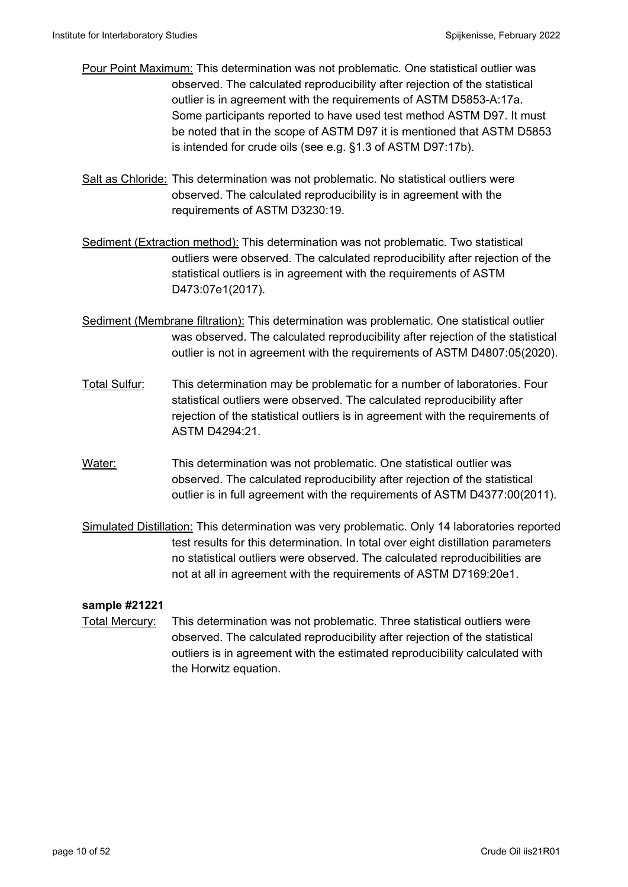- Pour Point Maximum: This determination was not problematic. One statistical outlier was observed. The calculated reproducibility after rejection of the statistical outlier is in agreement with the requirements of ASTM D5853-A:17a. Some participants reported to have used test method ASTM D97. It must be noted that in the scope of ASTM D97 it is mentioned that ASTM D5853 is intended for crude oils (see e.g. §1.3 of ASTM D97:17b).
- Salt as Chloride: This determination was not problematic. No statistical outliers were observed. The calculated reproducibility is in agreement with the requirements of ASTM D3230:19.
- Sediment (Extraction method): This determination was not problematic. Two statistical outliers were observed. The calculated reproducibility after rejection of the statistical outliers is in agreement with the requirements of ASTM D473:07e1(2017).
- Sediment (Membrane filtration): This determination was problematic. One statistical outlier was observed. The calculated reproducibility after rejection of the statistical outlier is not in agreement with the requirements of ASTM D4807:05(2020).
- Total Sulfur: This determination may be problematic for a number of laboratories. Four statistical outliers were observed. The calculated reproducibility after rejection of the statistical outliers is in agreement with the requirements of ASTM D4294:21.
- Water: This determination was not problematic. One statistical outlier was observed. The calculated reproducibility after rejection of the statistical outlier is in full agreement with the requirements of ASTM D4377:00(2011).
- Simulated Distillation: This determination was very problematic. Only 14 laboratories reported test results for this determination. In total over eight distillation parameters no statistical outliers were observed. The calculated reproducibilities are not at all in agreement with the requirements of ASTM D7169:20e1.

## **sample #21221**

Total Mercury: This determination was not problematic. Three statistical outliers were observed. The calculated reproducibility after rejection of the statistical outliers is in agreement with the estimated reproducibility calculated with the Horwitz equation.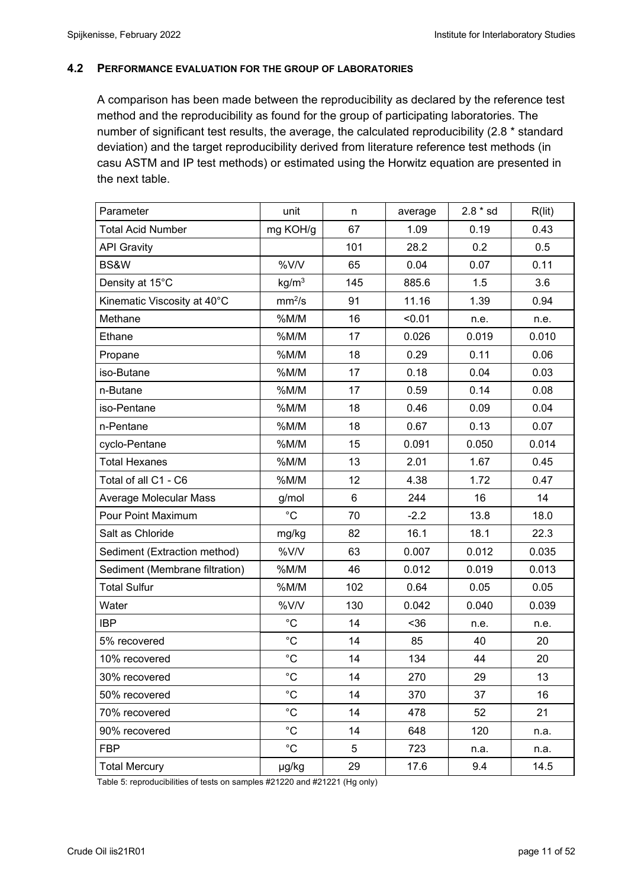#### **4.2 PERFORMANCE EVALUATION FOR THE GROUP OF LABORATORIES**

A comparison has been made between the reproducibility as declared by the reference test method and the reproducibility as found for the group of participating laboratories. The number of significant test results, the average, the calculated reproducibility (2.8 \* standard deviation) and the target reproducibility derived from literature reference test methods (in casu ASTM and IP test methods) or estimated using the Horwitz equation are presented in the next table.

| Parameter                      | unit               | n              | average | $2.8 * sd$ | R(lit) |
|--------------------------------|--------------------|----------------|---------|------------|--------|
| <b>Total Acid Number</b>       | mg KOH/g           | 67             | 1.09    | 0.19       | 0.43   |
| <b>API Gravity</b>             |                    | 101            | 28.2    | 0.2        | 0.5    |
| BS&W                           | %V/V               | 65             | 0.04    | 0.07       | 0.11   |
| Density at 15°C                | kg/m <sup>3</sup>  | 145            | 885.6   | 1.5        | 3.6    |
| Kinematic Viscosity at 40°C    | mm <sup>2</sup> /s | 91             | 11.16   | 1.39       | 0.94   |
| Methane                        | %M/M               | 16             | < 0.01  | n.e.       | n.e.   |
| Ethane                         | %M/M               | 17             | 0.026   | 0.019      | 0.010  |
| Propane                        | %M/M               | 18             | 0.29    | 0.11       | 0.06   |
| iso-Butane                     | %M/M               | 17             | 0.18    | 0.04       | 0.03   |
| n-Butane                       | %M/M               | 17             | 0.59    | 0.14       | 0.08   |
| iso-Pentane                    | %M/M               | 18             | 0.46    | 0.09       | 0.04   |
| n-Pentane                      | %M/M               | 18             | 0.67    | 0.13       | 0.07   |
| cyclo-Pentane                  | %M/M               | 15             | 0.091   | 0.050      | 0.014  |
| <b>Total Hexanes</b>           | %M/M               | 13             | 2.01    | 1.67       | 0.45   |
| Total of all C1 - C6           | %M/M               | 12             | 4.38    | 1.72       | 0.47   |
| Average Molecular Mass         | g/mol              | $6\phantom{1}$ | 244     | 16         | 14     |
| Pour Point Maximum             | $^{\circ}C$        | 70             | $-2.2$  | 13.8       | 18.0   |
| Salt as Chloride               | mg/kg              | 82             | 16.1    | 18.1       | 22.3   |
| Sediment (Extraction method)   | %V/V               | 63             | 0.007   | 0.012      | 0.035  |
| Sediment (Membrane filtration) | %M/M               | 46             | 0.012   | 0.019      | 0.013  |
| <b>Total Sulfur</b>            | %M/M               | 102            | 0.64    | 0.05       | 0.05   |
| Water                          | %V/V               | 130            | 0.042   | 0.040      | 0.039  |
| <b>IBP</b>                     | $^{\circ}C$        | 14             | $36$    | n.e.       | n.e.   |
| 5% recovered                   | $^{\circ}C$        | 14             | 85      | 40         | 20     |
| 10% recovered                  | $^\circ \text{C}$  | 14             | 134     | 44         | 20     |
| 30% recovered                  | $^{\circ}C$        | 14             | 270     | 29         | 13     |
| 50% recovered                  | $^{\circ}C$        | 14             | 370     | 37         | 16     |
| 70% recovered                  | $^{\circ}C$        | 14             | 478     | 52         | 21     |
| 90% recovered                  | $^{\circ}C$        | 14             | 648     | 120        | n.a.   |
| <b>FBP</b>                     | $^{\circ}$ C       | 5              | 723     | n.a.       | n.a.   |
| <b>Total Mercury</b>           | µg/kg              | 29             | 17.6    | 9.4        | 14.5   |

Table 5: reproducibilities of tests on samples #21220 and #21221 (Hg only)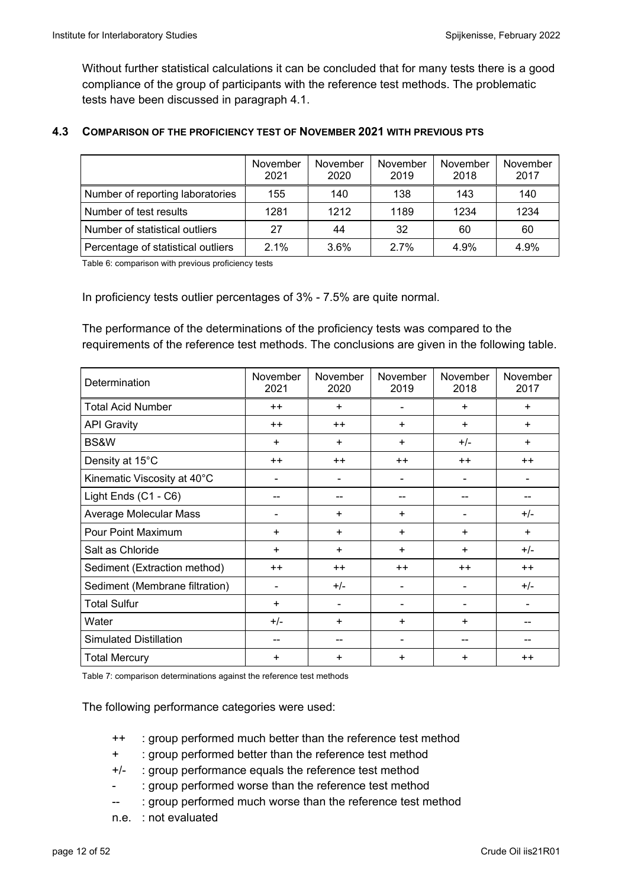Without further statistical calculations it can be concluded that for many tests there is a good compliance of the group of participants with the reference test methods. The problematic tests have been discussed in paragraph 4.1.

## **4.3 COMPARISON OF THE PROFICIENCY TEST OF NOVEMBER 2021 WITH PREVIOUS PTS**

|                                    | November<br>2021 | November<br>2020 | November<br>2019 | November<br>2018 | November<br>2017 |
|------------------------------------|------------------|------------------|------------------|------------------|------------------|
| Number of reporting laboratories   | 155              | 140              | 138              | 143              | 140              |
| Number of test results             | 1281             | 1212             | 1189             | 1234             | 1234             |
| Number of statistical outliers     | 27               | 44               | 32               | 60               | 60               |
| Percentage of statistical outliers | $2.1\%$          | 3.6%             | 2.7%             | 4.9%             | 4.9%             |

Table 6: comparison with previous proficiency tests

In proficiency tests outlier percentages of 3% - 7.5% are quite normal.

The performance of the determinations of the proficiency tests was compared to the requirements of the reference test methods. The conclusions are given in the following table.

| Determination                  | November<br>2021 | November<br>2020 | November<br>2019 | November<br>2018 | November<br>2017 |
|--------------------------------|------------------|------------------|------------------|------------------|------------------|
| <b>Total Acid Number</b>       | $++$             | $\ddot{}$        |                  | $\ddot{}$        |                  |
| <b>API Gravity</b>             | $++$             | $++$             | ÷                | $\ddot{}$        | $\ddot{}$        |
| BS&W                           | $\ddot{}$        | ÷                | +                | $+/-$            | $\ddot{}$        |
| Density at 15°C                | $++$             | $++$             | $++$             | $++$             | $++$             |
| Kinematic Viscosity at 40°C    | ۰                | ۰                | -                |                  |                  |
| Light Ends (C1 - C6)           |                  |                  |                  |                  |                  |
| Average Molecular Mass         |                  | ÷                | ÷                |                  | $+/-$            |
| Pour Point Maximum             | $\ddot{}$        | ÷                | +                | $\ddot{}$        | $\ddot{}$        |
| Salt as Chloride               | $+$              | $\ddot{}$        | $+$              | $+$              | $+/-$            |
| Sediment (Extraction method)   | $++$             | $++$             | $++$             | $++$             | $++$             |
| Sediment (Membrane filtration) | ۰                | $+/-$            |                  |                  | $+/-$            |
| <b>Total Sulfur</b>            | $\ddot{}$        |                  |                  |                  |                  |
| Water                          | $+/-$            | +                | ÷                | ÷                |                  |
| <b>Simulated Distillation</b>  | --               |                  |                  |                  |                  |
| <b>Total Mercury</b>           | $\ddot{}$        | +                | $\ddot{}$        | $\ddot{}$        | $++$             |

Table 7: comparison determinations against the reference test methods

The following performance categories were used:

- ++ : group performed much better than the reference test method
- + : group performed better than the reference test method
- +/- : group performance equals the reference test method
- : group performed worse than the reference test method
- -- : group performed much worse than the reference test method
- n.e. : not evaluated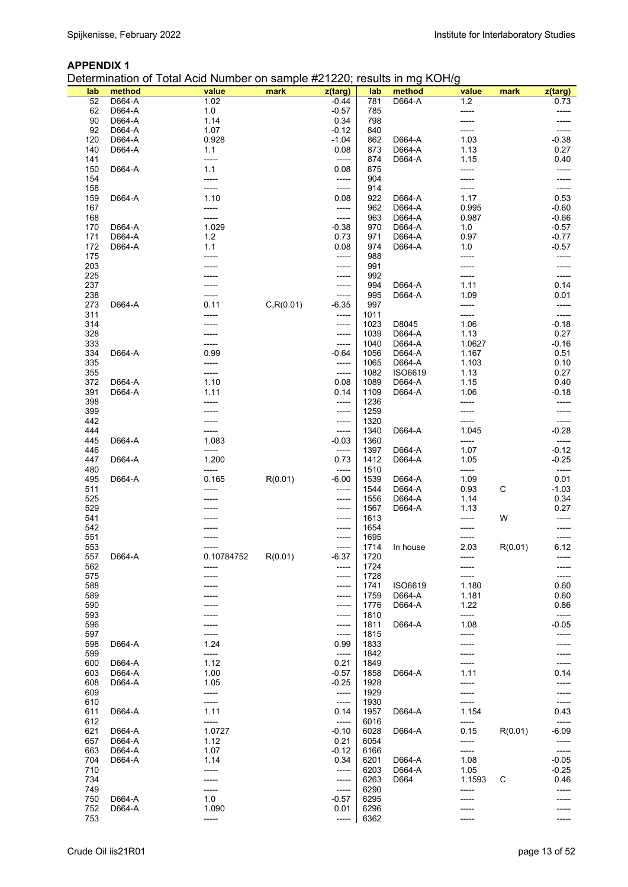Determination of Total Acid Number on sample #21220; results in mg KOH/g

| lab | method | value      | mark       | z(targ) | lab  | method   | value         | mark    | z(targ)       |
|-----|--------|------------|------------|---------|------|----------|---------------|---------|---------------|
| 52  | D664-A | 1.02       |            | $-0.44$ | 781  | D664-A   | $1.2$         |         | 0.73          |
| 62  | D664-A | 1.0        |            | $-0.57$ | 785  |          | -----         |         |               |
| 90  | D664-A | 1.14       |            | 0.34    | 798  |          | -----         |         |               |
| 92  | D664-A | 1.07       |            | $-0.12$ | 840  |          |               |         |               |
| 120 | D664-A | 0.928      |            | $-1.04$ | 862  | D664-A   | 1.03          |         | $-0.38$       |
| 140 | D664-A | 1.1        |            | 0.08    | 873  | D664-A   | 1.13          |         | 0.27          |
| 141 |        | -----      |            | -----   | 874  | D664-A   | 1.15          |         | 0.40          |
| 150 | D664-A | 1.1        |            | 0.08    | 875  |          | -----         |         | -----         |
| 154 |        | -----      |            | -----   | 904  |          |               |         |               |
| 158 |        | -----      |            | -----   | 914  |          | -----         |         |               |
| 159 | D664-A | 1.10       |            | 0.08    | 922  | D664-A   | 1.17          |         | 0.53          |
| 167 |        | -----      |            | -----   | 962  | D664-A   | 0.995         |         | $-0.60$       |
| 168 |        | -----      |            | -----   | 963  | D664-A   | 0.987         |         | $-0.66$       |
| 170 | D664-A | 1.029      |            | $-0.38$ | 970  | D664-A   | 1.0           |         | $-0.57$       |
| 171 | D664-A | $1.2$      |            | 0.73    | 971  | D664-A   | 0.97          |         | $-0.77$       |
| 172 | D664-A | 1.1        |            | 0.08    | 974  | D664-A   | 1.0           |         | $-0.57$       |
| 175 |        |            |            | -----   | 988  |          | -----         |         | -----         |
| 203 |        |            |            | -----   | 991  |          |               |         |               |
|     |        |            |            |         | 992  |          |               |         |               |
| 225 |        |            |            | -----   |      |          | -----         |         | -----         |
| 237 |        |            |            | -----   | 994  | D664-A   | 1.11          |         | 0.14          |
| 238 |        |            |            | -----   | 995  | D664-A   | 1.09          |         | 0.01          |
| 273 | D664-A | 0.11       | C, R(0.01) | $-6.35$ | 997  |          | -----         |         |               |
| 311 |        |            |            | -----   | 1011 |          | -----         |         | -----         |
| 314 |        |            |            | -----   | 1023 | D8045    | 1.06          |         | $-0.18$       |
| 328 |        |            |            | -----   | 1039 | D664-A   | 1.13          |         | 0.27          |
| 333 |        |            |            | -----   | 1040 | D664-A   | 1.0627        |         | $-0.16$       |
| 334 | D664-A | 0.99       |            | $-0.64$ | 1056 | D664-A   | 1.167         |         | 0.51          |
| 335 |        | -----      |            | -----   | 1065 | D664-A   | 1.103         |         | 0.10          |
| 355 |        | -----      |            | -----   | 1082 | ISO6619  | 1.13          |         | 0.27          |
| 372 | D664-A | 1.10       |            | 0.08    | 1089 | D664-A   | 1.15          |         | 0.40          |
| 391 | D664-A | 1.11       |            | 0.14    | 1109 | D664-A   | 1.06          |         | $-0.18$       |
| 398 |        | -----      |            | -----   | 1236 |          | -----         |         |               |
| 399 |        |            |            | -----   | 1259 |          | -----         |         |               |
| 442 |        |            |            | -----   | 1320 |          | -----         |         |               |
| 444 |        | -----      |            | -----   | 1340 | D664-A   | 1.045         |         | $-0.28$       |
| 445 | D664-A | 1.083      |            | $-0.03$ | 1360 |          | -----         |         | -----         |
| 446 |        | -----      |            | -----   | 1397 | D664-A   | 1.07          |         | $-0.12$       |
| 447 | D664-A | 1.200      |            | 0.73    | 1412 | D664-A   | 1.05          |         |               |
| 480 |        | -----      |            | -----   | 1510 |          |               |         | $-0.25$       |
| 495 | D664-A | 0.165      | R(0.01)    | $-6.00$ | 1539 | D664-A   | -----<br>1.09 |         | -----<br>0.01 |
|     |        |            |            |         | 1544 | D664-A   | 0.93          | C       |               |
| 511 |        |            |            | -----   |      | D664-A   |               |         | $-1.03$       |
| 525 |        |            |            | -----   | 1556 |          | 1.14          |         | 0.34          |
| 529 |        |            |            | -----   | 1567 | D664-A   | 1.13          |         | 0.27          |
| 541 |        |            |            | -----   | 1613 |          | -----         | W       | -----         |
| 542 |        |            |            | -----   | 1654 |          | -----         |         |               |
| 551 |        |            |            | -----   | 1695 |          | -----         |         | -----         |
| 553 |        |            |            | -----   | 1714 | In house | 2.03          | R(0.01) | 6.12          |
| 557 | D664-A | 0.10784752 | R(0.01)    | $-6.37$ | 1720 |          |               |         |               |
| 562 |        |            |            | -----   | 1724 |          |               |         |               |
| 575 |        |            |            | -----   | 1728 |          |               |         |               |
| 588 |        |            |            | -----   | 1741 | ISO6619  | 1.180         |         | 0.60          |
| 589 |        |            |            | -----   | 1759 | D664-A   | 1.181         |         | 0.60          |
| 590 |        |            |            | -----   | 1776 | D664-A   | 1.22          |         | 0.86          |
| 593 |        |            |            | -----   | 1810 |          | -----         |         | -----         |
| 596 |        |            |            | -----   | 1811 | D664-A   | 1.08          |         | $-0.05$       |
| 597 |        |            |            | -----   | 1815 |          | -----         |         | -----         |
| 598 | D664-A | 1.24       |            | 0.99    | 1833 |          |               |         |               |
| 599 |        | -----      |            | -----   | 1842 |          |               |         | -----         |
| 600 | D664-A | 1.12       |            | 0.21    | 1849 |          | -----         |         | -----         |
| 603 | D664-A | 1.00       |            | $-0.57$ | 1858 | D664-A   | 1.11          |         | 0.14          |
| 608 | D664-A | 1.05       |            | $-0.25$ | 1928 |          |               |         |               |
| 609 |        | -----      |            | -----   | 1929 |          |               |         |               |
| 610 |        | -----      |            | -----   | 1930 |          | -----         |         | -----         |
| 611 | D664-A | 1.11       |            | 0.14    | 1957 | D664-A   | 1.154         |         | 0.43          |
| 612 |        | -----      |            | -----   | 6016 |          | -----         |         | -----         |
| 621 | D664-A | 1.0727     |            | $-0.10$ | 6028 | D664-A   | 0.15          | R(0.01) | $-6.09$       |
|     | D664-A | 1.12       |            | 0.21    | 6054 |          | -----         |         |               |
| 657 |        |            |            |         |      |          |               |         | -----         |
| 663 | D664-A | 1.07       |            | $-0.12$ | 6166 |          | -----         |         | -----         |
| 704 | D664-A | 1.14       |            | 0.34    | 6201 | D664-A   | 1.08          |         | $-0.05$       |
| 710 |        | -----      |            | -----   | 6203 | D664-A   | 1.05          |         | $-0.25$       |
| 734 |        |            |            | -----   | 6263 | D664     | 1.1593        | С       | 0.46          |
| 749 |        | -----      |            | -----   | 6290 |          | -----         |         |               |
| 750 | D664-A | 1.0        |            | $-0.57$ | 6295 |          |               |         |               |
| 752 | D664-A | 1.090      |            | 0.01    | 6296 |          |               |         |               |
| 753 |        |            |            | -----   | 6362 |          |               |         |               |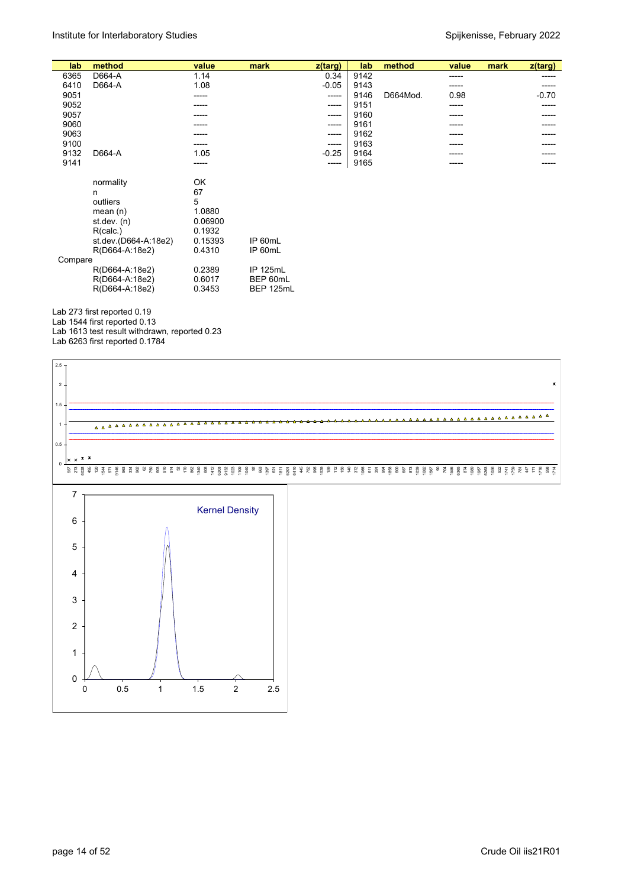| lab     | method               | value   | mark      | $z$ (targ) | lab  | method   | value | mark | z(targ) |
|---------|----------------------|---------|-----------|------------|------|----------|-------|------|---------|
| 6365    | D664-A               | 1.14    |           | 0.34       | 9142 |          | ----- |      | -----   |
| 6410    | D664-A               | 1.08    |           | $-0.05$    | 9143 |          | ----- |      |         |
| 9051    |                      | -----   |           | -----      | 9146 | D664Mod. | 0.98  |      | $-0.70$ |
| 9052    |                      |         |           | -----      | 9151 |          | ----- |      | -----   |
| 9057    |                      |         |           | -----      | 9160 |          | ----  |      |         |
| 9060    |                      |         |           | -----      | 9161 |          | ----  |      |         |
| 9063    |                      | -----   |           | -----      | 9162 |          | ----- |      |         |
| 9100    |                      |         |           | -----      | 9163 |          |       |      |         |
| 9132    | D664-A               | 1.05    |           | $-0.25$    | 9164 |          |       |      |         |
| 9141    |                      | -----   |           | -----      | 9165 |          | ----- |      |         |
|         |                      |         |           |            |      |          |       |      |         |
|         | normality            | OK      |           |            |      |          |       |      |         |
|         | n                    | 67      |           |            |      |          |       |      |         |
|         | outliers             | 5       |           |            |      |          |       |      |         |
|         | mean $(n)$           | 1.0880  |           |            |      |          |       |      |         |
|         | st dev. $(n)$        | 0.06900 |           |            |      |          |       |      |         |
|         | R(calc.)             | 0.1932  |           |            |      |          |       |      |         |
|         | st.dev.(D664-A:18e2) | 0.15393 | IP 60mL   |            |      |          |       |      |         |
|         | R(D664-A:18e2)       | 0.4310  | IP 60mL   |            |      |          |       |      |         |
| Compare |                      |         |           |            |      |          |       |      |         |
|         | R(D664-A:18e2)       | 0.2389  | IP 125mL  |            |      |          |       |      |         |
|         | R(D664-A:18e2)       | 0.6017  | BEP 60mL  |            |      |          |       |      |         |
|         | R(D664-A:18e2)       | 0.3453  | BEP 125mL |            |      |          |       |      |         |

Lab 273 first reported 0.19

Lab 1544 first reported 0.13 Lab 1613 test result withdrawn, reported 0.23

Lab 6263 first reported 0.1784

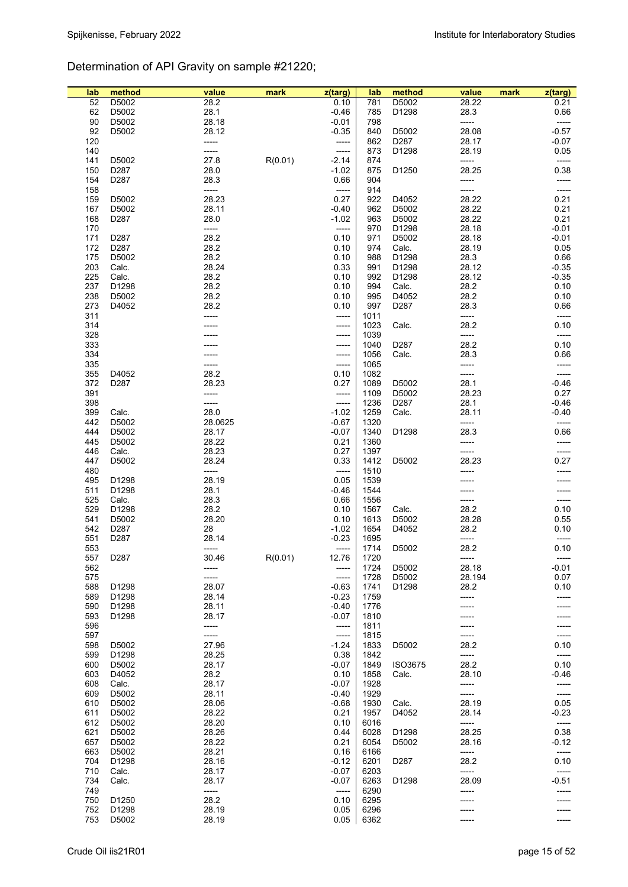# Determination of API Gravity on sample #21220;

| lab    | method | value   | mark    | z(targ) | lab  | method            | value  | mark | $z$ (targ) |
|--------|--------|---------|---------|---------|------|-------------------|--------|------|------------|
| 52     | D5002  | 28.2    |         | 0.10    | 781  | D5002             | 28.22  |      | 0.21       |
| 62     | D5002  | 28.1    |         | $-0.46$ | 785  | D1298             | 28.3   |      | 0.66       |
| $90\,$ | D5002  | 28.18   |         | $-0.01$ | 798  |                   | -----  |      | -----      |
| 92     | D5002  | 28.12   |         | $-0.35$ | 840  | D5002             | 28.08  |      | $-0.57$    |
| 120    |        | -----   |         |         | 862  | D <sub>287</sub>  | 28.17  |      | $-0.07$    |
|        |        |         |         | -----   |      |                   |        |      |            |
| 140    |        | -----   |         | $-----$ | 873  | D1298             | 28.19  |      | 0.05       |
| 141    | D5002  | 27.8    | R(0.01) | $-2.14$ | 874  |                   | -----  |      | -----      |
| 150    | D287   | 28.0    |         | $-1.02$ | 875  | D1250             | 28.25  |      | 0.38       |
| 154    | D287   | 28.3    |         | 0.66    | 904  |                   | -----  |      | -----      |
| 158    |        | -----   |         | -----   | 914  |                   | -----  |      |            |
| 159    | D5002  | 28.23   |         | 0.27    | 922  | D4052             | 28.22  |      | 0.21       |
| 167    | D5002  | 28.11   |         | $-0.40$ | 962  | D5002             | 28.22  |      | 0.21       |
| 168    | D287   | 28.0    |         | $-1.02$ | 963  | D5002             | 28.22  |      | 0.21       |
| 170    |        | -----   |         | -----   | 970  | D1298             | 28.18  |      | $-0.01$    |
| 171    | D287   | 28.2    |         | 0.10    | 971  | D5002             | 28.18  |      | $-0.01$    |
| 172    | D287   | 28.2    |         | 0.10    | 974  | Calc.             | 28.19  |      | 0.05       |
| 175    | D5002  | 28.2    |         | 0.10    | 988  | D1298             | 28.3   |      | 0.66       |
| 203    | Calc.  | 28.24   |         | 0.33    | 991  | D1298             | 28.12  |      | $-0.35$    |
| 225    | Calc.  | 28.2    |         | 0.10    | 992  | D1298             | 28.12  |      | $-0.35$    |
| 237    | D1298  | 28.2    |         | 0.10    | 994  | Calc.             | 28.2   |      | 0.10       |
| 238    | D5002  | 28.2    |         | 0.10    | 995  | D4052             | 28.2   |      | 0.10       |
| 273    | D4052  | 28.2    |         | 0.10    | 997  | D287              | 28.3   |      | 0.66       |
| 311    |        |         |         | -----   | 1011 |                   | -----  |      | -----      |
| 314    |        |         |         | -----   | 1023 | Calc.             | 28.2   |      | 0.10       |
| 328    |        |         |         | -----   | 1039 |                   | -----  |      | -----      |
| 333    |        |         |         | -----   | 1040 | D287              | 28.2   |      | 0.10       |
| 334    |        |         |         | -----   | 1056 | Calc.             | 28.3   |      | 0.66       |
| 335    |        | -----   |         | -----   | 1065 |                   | -----  |      | -----      |
| 355    | D4052  | 28.2    |         | 0.10    | 1082 |                   | -----  |      | -----      |
| 372    | D287   | 28.23   |         | 0.27    | 1089 | D5002             | 28.1   |      | $-0.46$    |
| 391    |        | -----   |         | -----   | 1109 | D5002             | 28.23  |      | 0.27       |
| 398    |        | -----   |         | -----   | 1236 | D287              | 28.1   |      | $-0.46$    |
| 399    | Calc.  | 28.0    |         | $-1.02$ | 1259 | Calc.             | 28.11  |      | $-0.40$    |
| 442    | D5002  | 28.0625 |         | $-0.67$ | 1320 |                   | -----  |      | -----      |
| 444    | D5002  | 28.17   |         | $-0.07$ | 1340 | D1298             | 28.3   |      | 0.66       |
| 445    | D5002  | 28.22   |         | 0.21    | 1360 |                   | -----  |      | -----      |
| 446    | Calc.  | 28.23   |         | 0.27    | 1397 |                   | -----  |      | -----      |
| 447    | D5002  | 28.24   |         | 0.33    | 1412 | D5002             | 28.23  |      | 0.27       |
| 480    |        | -----   |         | -----   | 1510 |                   | -----  |      |            |
| 495    | D1298  | 28.19   |         | 0.05    | 1539 |                   |        |      |            |
| 511    | D1298  | 28.1    |         | $-0.46$ | 1544 |                   |        |      |            |
| 525    | Calc.  | 28.3    |         | 0.66    | 1556 |                   | -----  |      | -----      |
| 529    | D1298  | 28.2    |         | 0.10    | 1567 | Calc.             | 28.2   |      | 0.10       |
| 541    | D5002  | 28.20   |         | 0.10    | 1613 | D5002             | 28.28  |      | 0.55       |
| 542    | D287   | 28      |         | $-1.02$ | 1654 | D4052             | 28.2   |      | 0.10       |
| 551    | D287   | 28.14   |         | $-0.23$ | 1695 |                   | -----  |      |            |
| 553    |        | -----   |         | -----   | 1714 | D5002             | 28.2   |      | 0.10       |
| 557    | D287   | 30.46   | R(0.01) | 12.76   | 1720 |                   | -----  |      |            |
| 562    |        |         |         | -----   | 1724 | D5002             | 28.18  |      | $-0.01$    |
| 575    |        | -----   |         | -----   | 1728 | D5002             | 28.194 |      | 0.07       |
| 588    | D1298  | 28.07   |         | $-0.63$ | 1741 | D1298             | 28.2   |      | 0.10       |
| 589    | D1298  | 28.14   |         | $-0.23$ | 1759 |                   | -----  |      | -----      |
| 590    | D1298  | 28.11   |         | $-0.40$ | 1776 |                   |        |      |            |
| 593    | D1298  | 28.17   |         | $-0.07$ | 1810 |                   |        |      |            |
| 596    |        | -----   |         | -----   | 1811 |                   |        |      |            |
| 597    |        | -----   |         | -----   | 1815 |                   |        |      |            |
| 598    | D5002  | 27.96   |         | $-1.24$ | 1833 | D5002             | 28.2   |      | 0.10       |
| 599    | D1298  | 28.25   |         | 0.38    | 1842 |                   | -----  |      | -----      |
| 600    | D5002  | 28.17   |         | $-0.07$ | 1849 | <b>ISO3675</b>    | 28.2   |      | 0.10       |
| 603    | D4052  | 28.2    |         | 0.10    | 1858 | Calc.             | 28.10  |      | $-0.46$    |
| 608    | Calc.  | 28.17   |         | $-0.07$ | 1928 |                   | -----  |      | -----      |
| 609    | D5002  | 28.11   |         | $-0.40$ | 1929 |                   | -----  |      | -----      |
| 610    | D5002  | 28.06   |         | $-0.68$ | 1930 | Calc.             | 28.19  |      | 0.05       |
| 611    | D5002  | 28.22   |         | 0.21    | 1957 | D4052             | 28.14  |      | $-0.23$    |
| 612    | D5002  | 28.20   |         | 0.10    | 6016 |                   | -----  |      | -----      |
| 621    | D5002  | 28.26   |         | 0.44    | 6028 | D1298             | 28.25  |      | 0.38       |
| 657    | D5002  | 28.22   |         | 0.21    | 6054 | D5002             | 28.16  |      | $-0.12$    |
| 663    | D5002  | 28.21   |         | 0.16    | 6166 |                   | -----  |      | -----      |
| 704    | D1298  | 28.16   |         | $-0.12$ | 6201 | D287              | 28.2   |      | 0.10       |
| 710    | Calc.  | 28.17   |         | $-0.07$ | 6203 |                   | -----  |      | -----      |
| 734    | Calc.  | 28.17   |         | $-0.07$ | 6263 | D <sub>1298</sub> | 28.09  |      | $-0.51$    |
| 749    |        | -----   |         | -----   | 6290 |                   | -----  |      |            |
| 750    | D1250  | 28.2    |         | 0.10    | 6295 |                   |        |      |            |
| 752    | D1298  | 28.19   |         | 0.05    | 6296 |                   |        |      |            |
| 753    | D5002  | 28.19   |         | 0.05    | 6362 |                   | -----  |      | -----      |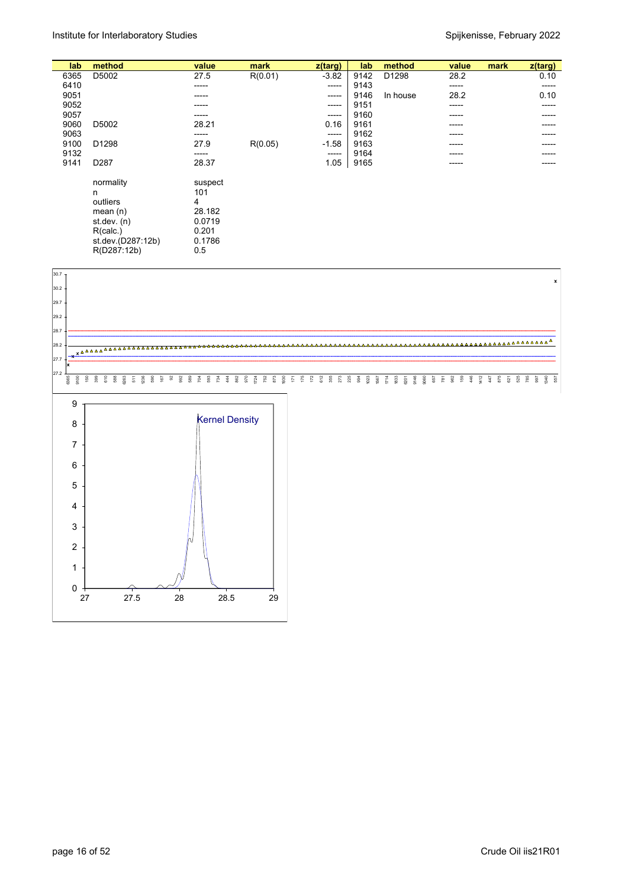| lab  | method            | value   | mark    | z(targ)  | lab  | method   | value | mark | $z$ (targ) |
|------|-------------------|---------|---------|----------|------|----------|-------|------|------------|
| 6365 | D5002             | 27.5    | R(0.01) | $-3.82$  | 9142 | D1298    | 28.2  |      | 0.10       |
| 6410 |                   | -----   |         | -----    | 9143 |          | ----- |      | -----      |
| 9051 |                   | -----   |         | -----    | 9146 | In house | 28.2  |      | 0.10       |
| 9052 |                   | -----   |         | -----    | 9151 |          | ----- |      | -----      |
| 9057 |                   | -----   |         | $-----1$ | 9160 |          | ----- |      | -----      |
| 9060 | D5002             | 28.21   |         | 0.16     | 9161 |          | ----- |      | -----      |
| 9063 |                   | -----   |         | ------   | 9162 |          | ----- |      | -----      |
| 9100 | D <sub>1298</sub> | 27.9    | R(0.05) | $-1.58$  | 9163 |          | ----- |      | -----      |
| 9132 |                   | -----   |         | -----    | 9164 |          | ----- |      | -----      |
| 9141 | D <sub>287</sub>  | 28.37   |         | 1.05     | 9165 |          |       |      |            |
|      |                   |         |         |          |      |          | ----- |      |            |
|      | normality         | suspect |         |          |      |          |       |      |            |
|      | n                 | 101     |         |          |      |          |       |      |            |
|      |                   |         |         |          |      |          |       |      |            |
|      | outliers          | 4       |         |          |      |          |       |      |            |
|      | mean $(n)$        | 28.182  |         |          |      |          |       |      |            |
|      | st dev. $(n)$     | 0.0719  |         |          |      |          |       |      |            |
|      | R(calc.)          | 0.201   |         |          |      |          |       |      |            |
|      | st.dev.(D287:12b) | 0.1786  |         |          |      |          |       |      |            |
|      | R(D287:12b)       | 0.5     |         |          |      |          |       |      |            |
|      |                   |         |         |          |      |          |       |      |            |

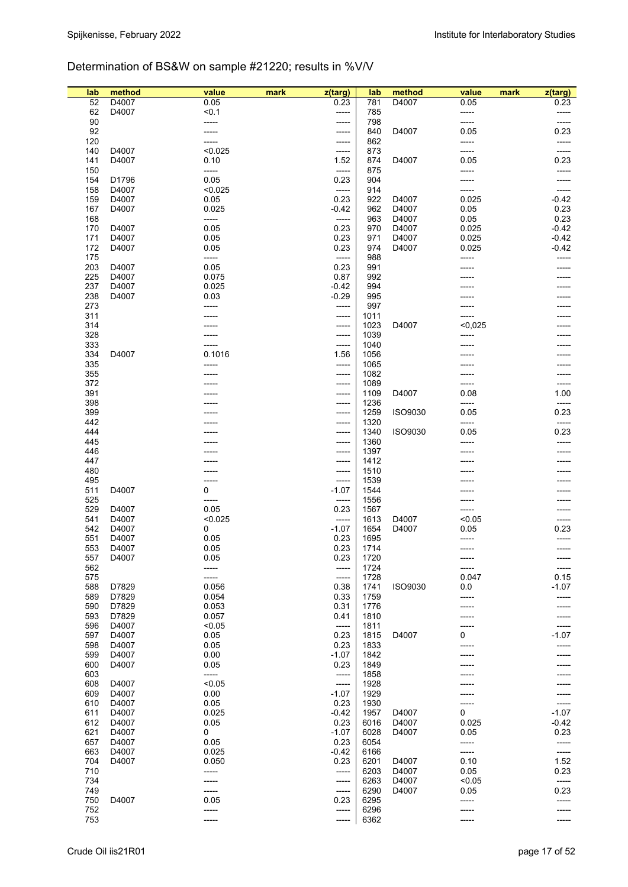## Determination of BS&W on sample #21220; results in %V/V

| lab | method | value   | mark | z(targ) | lab  | method         | value   | mark | z(targ) |
|-----|--------|---------|------|---------|------|----------------|---------|------|---------|
| 52  | D4007  | 0.05    |      | 0.23    | 781  | D4007          | 0.05    |      | 0.23    |
| 62  | D4007  | < 0.1   |      | -----   | 785  |                | -----   |      | -----   |
| 90  |        | -----   |      | -----   | 798  |                | -----   |      | -----   |
| 92  |        |         |      | -----   | 840  | D4007          | 0.05    |      | 0.23    |
| 120 |        |         |      | -----   | 862  |                | -----   |      | -----   |
| 140 | D4007  | < 0.025 |      | -----   | 873  |                | -----   |      | -----   |
| 141 | D4007  | 0.10    |      | 1.52    | 874  | D4007          | 0.05    |      | 0.23    |
| 150 |        | -----   |      | -----   | 875  |                | -----   |      | -----   |
| 154 | D1796  | 0.05    |      | 0.23    | 904  |                | -----   |      |         |
| 158 | D4007  | < 0.025 |      | -----   | 914  |                | -----   |      | -----   |
| 159 | D4007  | 0.05    |      | 0.23    | 922  | D4007          | 0.025   |      | $-0.42$ |
| 167 | D4007  | 0.025   |      | $-0.42$ | 962  | D4007          | 0.05    |      | 0.23    |
| 168 |        | -----   |      | -----   | 963  | D4007          | 0.05    |      | 0.23    |
| 170 | D4007  | 0.05    |      | 0.23    | 970  | D4007          | 0.025   |      | $-0.42$ |
| 171 | D4007  | 0.05    |      | 0.23    | 971  | D4007          | 0.025   |      | $-0.42$ |
| 172 | D4007  | 0.05    |      | 0.23    | 974  | D4007          | 0.025   |      | $-0.42$ |
| 175 |        | -----   |      | -----   | 988  |                | -----   |      |         |
| 203 | D4007  | 0.05    |      | 0.23    | 991  |                |         |      |         |
| 225 | D4007  | 0.075   |      | 0.87    | 992  |                |         |      |         |
| 237 | D4007  | 0.025   |      | $-0.42$ | 994  |                |         |      |         |
| 238 | D4007  | 0.03    |      | $-0.29$ | 995  |                |         |      |         |
| 273 |        | -----   |      | -----   | 997  |                |         |      |         |
| 311 |        |         |      | -----   | 1011 |                | -----   |      |         |
| 314 |        |         |      | -----   | 1023 | D4007          | < 0,025 |      |         |
| 328 |        |         |      | -----   | 1039 |                | -----   |      |         |
| 333 |        |         |      | -----   | 1040 |                |         |      |         |
| 334 | D4007  | 0.1016  |      | 1.56    | 1056 |                |         |      |         |
| 335 |        |         |      | -----   | 1065 |                |         |      |         |
| 355 |        |         |      |         |      |                |         |      |         |
| 372 |        |         |      | -----   | 1082 |                |         |      |         |
| 391 |        |         |      | -----   | 1089 | D4007          | 0.08    |      | 1.00    |
|     |        |         |      | -----   | 1109 |                |         |      |         |
| 398 |        |         |      | -----   | 1236 |                | -----   |      | -----   |
| 399 |        |         |      | -----   | 1259 | ISO9030        | 0.05    |      | 0.23    |
| 442 |        |         |      | -----   | 1320 |                | -----   |      | -----   |
| 444 |        |         |      | -----   | 1340 | ISO9030        | 0.05    |      | 0.23    |
| 445 |        |         |      | -----   | 1360 |                | -----   |      |         |
| 446 |        |         |      | -----   | 1397 |                |         |      |         |
| 447 |        |         |      | -----   | 1412 |                |         |      |         |
| 480 |        |         |      | -----   | 1510 |                |         |      |         |
| 495 |        |         |      | -----   | 1539 |                |         |      |         |
| 511 | D4007  | 0       |      | $-1.07$ | 1544 |                |         |      |         |
| 525 |        | -----   |      | -----   | 1556 |                |         |      |         |
| 529 | D4007  | 0.05    |      | 0.23    | 1567 |                | -----   |      |         |
| 541 | D4007  | < 0.025 |      | -----   | 1613 | D4007          | < 0.05  |      |         |
| 542 | D4007  | 0       |      | $-1.07$ | 1654 | D4007          | 0.05    |      | 0.23    |
| 551 | D4007  | 0.05    |      | 0.23    | 1695 |                |         |      |         |
| 553 | D4007  | 0.05    |      | 0.23    | 1714 |                | -----   |      | -----   |
| 557 | D4007  | 0.05    |      | 0.23    | 1720 |                |         |      |         |
| 562 |        | -----   |      | -----   | 1724 |                | -----   |      | -----   |
| 575 |        |         |      | -----   | 1728 |                | 0.047   |      | 0.15    |
| 588 | D7829  | 0.056   |      | 0.38    | 1741 | <b>ISO9030</b> | 0.0     |      | $-1.07$ |
| 589 | D7829  | 0.054   |      | 0.33    | 1759 |                |         |      |         |
| 590 | D7829  | 0.053   |      | 0.31    | 1776 |                |         |      |         |
| 593 | D7829  | 0.057   |      | 0.41    | 1810 |                |         |      |         |
| 596 | D4007  | < 0.05  |      | -----   | 1811 |                |         |      | -----   |
| 597 | D4007  | 0.05    |      | 0.23    | 1815 | D4007          | 0       |      | $-1.07$ |
| 598 | D4007  | 0.05    |      | 0.23    | 1833 |                |         |      |         |
| 599 | D4007  | 0.00    |      | $-1.07$ | 1842 |                |         |      |         |
| 600 | D4007  | 0.05    |      | 0.23    | 1849 |                |         |      |         |
| 603 |        | -----   |      | -----   | 1858 |                |         |      |         |
| 608 | D4007  | < 0.05  |      | -----   | 1928 |                |         |      |         |
| 609 | D4007  | 0.00    |      | $-1.07$ | 1929 |                |         |      |         |
| 610 | D4007  | 0.05    |      | 0.23    | 1930 |                |         |      |         |
| 611 | D4007  | 0.025   |      | $-0.42$ | 1957 | D4007          | 0       |      | $-1.07$ |
| 612 | D4007  | 0.05    |      | 0.23    | 6016 | D4007          | 0.025   |      | $-0.42$ |
| 621 | D4007  | 0       |      | $-1.07$ | 6028 | D4007          | 0.05    |      | 0.23    |
| 657 | D4007  | 0.05    |      | 0.23    | 6054 |                | -----   |      | -----   |
| 663 | D4007  | 0.025   |      | $-0.42$ | 6166 |                | -----   |      | -----   |
| 704 | D4007  | 0.050   |      | 0.23    | 6201 | D4007          | 0.10    |      | 1.52    |
| 710 |        | -----   |      | -----   | 6203 | D4007          | 0.05    |      | 0.23    |
| 734 |        |         |      | -----   | 6263 | D4007          | < 0.05  |      | -----   |
| 749 |        | -----   |      | -----   | 6290 | D4007          | 0.05    |      | 0.23    |
| 750 | D4007  | 0.05    |      | 0.23    | 6295 |                | -----   |      | -----   |
| 752 |        | -----   |      | -----   | 6296 |                |         |      |         |
| 753 |        |         |      | -----   | 6362 |                |         |      |         |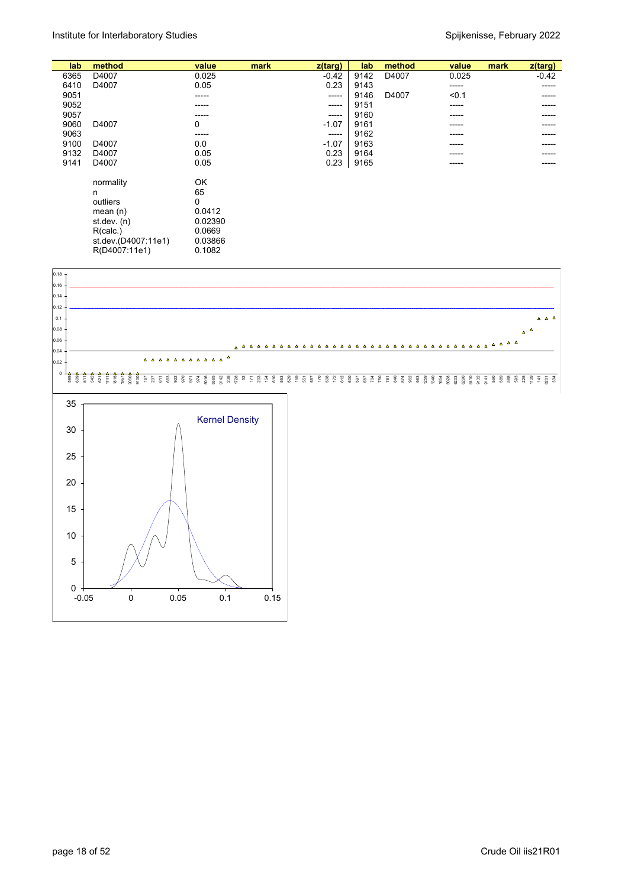| lab  | method                                                                                                        | value                                                             | mark | z(targ) | lab  | method | value | mark | $z$ (targ) |
|------|---------------------------------------------------------------------------------------------------------------|-------------------------------------------------------------------|------|---------|------|--------|-------|------|------------|
| 6365 | D4007                                                                                                         | 0.025                                                             |      | $-0.42$ | 9142 | D4007  | 0.025 |      | $-0.42$    |
| 6410 | D4007                                                                                                         | 0.05                                                              |      | 0.23    | 9143 |        | ----- |      | -----      |
| 9051 |                                                                                                               | -----                                                             |      | -----   | 9146 | D4007  | < 0.1 |      |            |
| 9052 |                                                                                                               | -----                                                             |      | -----   | 9151 |        | ----- |      | -----      |
| 9057 |                                                                                                               | -----                                                             |      | -----   | 9160 |        | ----- |      |            |
| 9060 | D4007                                                                                                         | 0                                                                 |      | $-1.07$ | 9161 |        | ----- |      |            |
| 9063 |                                                                                                               | ------                                                            |      | -----   | 9162 |        | ----- |      |            |
| 9100 | D4007                                                                                                         | 0.0                                                               |      | $-1.07$ | 9163 |        | ----- |      |            |
| 9132 | D4007                                                                                                         | 0.05                                                              |      | 0.23    | 9164 |        | ----- |      | -----      |
| 9141 | D4007                                                                                                         | 0.05                                                              |      | 0.23    | 9165 |        | ----- |      |            |
|      | normality<br>n<br>outliers<br>mean $(n)$<br>st.dev. $(n)$<br>R(calc.)<br>st.dev.(D4007:11e1)<br>R(D4007:11e1) | OK<br>65<br>0<br>0.0412<br>0.02390<br>0.0669<br>0.03866<br>0.1082 |      |         |      |        |       |      |            |

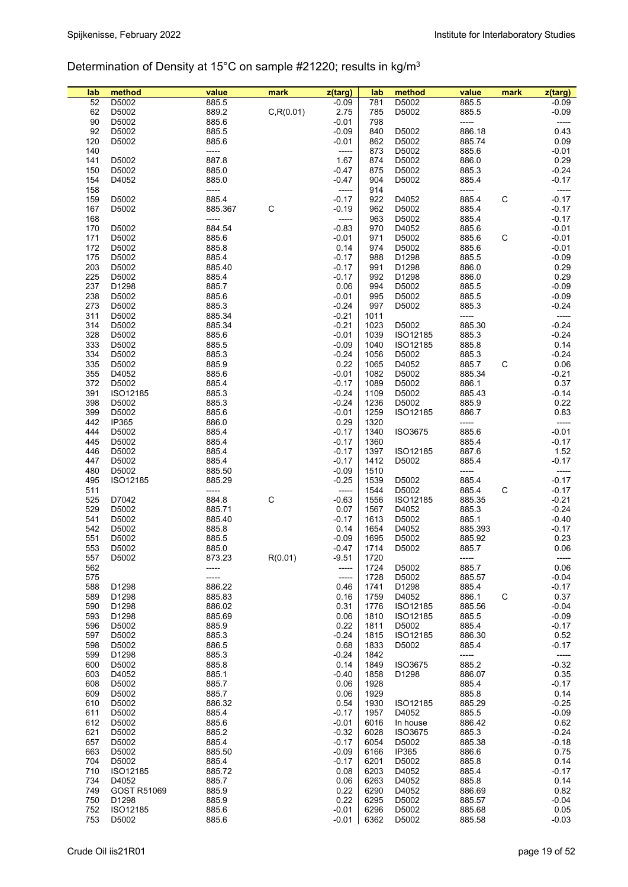# Determination of Density at 15°C on sample #21220; results in kg/m3

| lab | method      | value   | mark       | z(targ) | lab  | method   | value   | mark | $z$ (targ) |
|-----|-------------|---------|------------|---------|------|----------|---------|------|------------|
| 52  | D5002       | 885.5   |            | $-0.09$ | 781  | D5002    | 885.5   |      | $-0.09$    |
| 62  | D5002       | 889.2   | C, R(0.01) | 2.75    | 785  | D5002    | 885.5   |      | $-0.09$    |
| 90  | D5002       | 885.6   |            | $-0.01$ | 798  |          | -----   |      | -----      |
| 92  | D5002       | 885.5   |            | $-0.09$ | 840  | D5002    | 886.18  |      | 0.43       |
| 120 | D5002       | 885.6   |            | $-0.01$ | 862  | D5002    | 885.74  |      | 0.09       |
| 140 |             | -----   |            | -----   | 873  | D5002    | 885.6   |      | $-0.01$    |
| 141 | D5002       | 887.8   |            | 1.67    | 874  | D5002    | 886.0   |      | 0.29       |
| 150 | D5002       | 885.0   |            | $-0.47$ | 875  | D5002    | 885.3   |      | $-0.24$    |
| 154 | D4052       | 885.0   |            | $-0.47$ | 904  | D5002    | 885.4   |      | $-0.17$    |
| 158 |             | -----   |            | -----   | 914  |          | -----   |      | -----      |
| 159 | D5002       | 885.4   |            | $-0.17$ | 922  | D4052    | 885.4   | C    | $-0.17$    |
| 167 | D5002       | 885.367 | С          | $-0.19$ | 962  | D5002    | 885.4   |      | $-0.17$    |
| 168 |             | -----   |            | -----   | 963  | D5002    | 885.4   |      | $-0.17$    |
|     |             |         |            |         |      |          |         |      |            |
| 170 | D5002       | 884.54  |            | $-0.83$ | 970  | D4052    | 885.6   |      | $-0.01$    |
| 171 | D5002       | 885.6   |            | $-0.01$ | 971  | D5002    | 885.6   | C    | $-0.01$    |
| 172 | D5002       | 885.8   |            | 0.14    | 974  | D5002    | 885.6   |      | $-0.01$    |
| 175 | D5002       | 885.4   |            | $-0.17$ | 988  | D1298    | 885.5   |      | $-0.09$    |
| 203 | D5002       | 885.40  |            | $-0.17$ | 991  | D1298    | 886.0   |      | 0.29       |
| 225 | D5002       | 885.4   |            | $-0.17$ | 992  | D1298    | 886.0   |      | 0.29       |
| 237 | D1298       | 885.7   |            | 0.06    | 994  | D5002    | 885.5   |      | $-0.09$    |
| 238 | D5002       | 885.6   |            | $-0.01$ | 995  | D5002    | 885.5   |      | $-0.09$    |
| 273 | D5002       | 885.3   |            | $-0.24$ | 997  | D5002    | 885.3   |      | $-0.24$    |
| 311 | D5002       | 885.34  |            | $-0.21$ | 1011 |          | -----   |      |            |
| 314 | D5002       | 885.34  |            | $-0.21$ | 1023 | D5002    | 885.30  |      | $-0.24$    |
| 328 | D5002       | 885.6   |            | $-0.01$ | 1039 | ISO12185 | 885.3   |      | $-0.24$    |
| 333 | D5002       | 885.5   |            | $-0.09$ | 1040 | ISO12185 | 885.8   |      | 0.14       |
| 334 | D5002       | 885.3   |            | $-0.24$ | 1056 | D5002    | 885.3   |      | $-0.24$    |
| 335 | D5002       | 885.9   |            | 0.22    | 1065 | D4052    | 885.7   | C    | 0.06       |
| 355 | D4052       | 885.6   |            | $-0.01$ | 1082 | D5002    | 885.34  |      | $-0.21$    |
| 372 | D5002       | 885.4   |            | $-0.17$ | 1089 | D5002    | 886.1   |      | 0.37       |
| 391 | ISO12185    | 885.3   |            | $-0.24$ | 1109 | D5002    | 885.43  |      | $-0.14$    |
|     |             |         |            |         |      |          |         |      |            |
| 398 | D5002       | 885.3   |            | $-0.24$ | 1236 | D5002    | 885.9   |      | 0.22       |
| 399 | D5002       | 885.6   |            | $-0.01$ | 1259 | ISO12185 | 886.7   |      | 0.83       |
| 442 | IP365       | 886.0   |            | 0.29    | 1320 |          | -----   |      | -----      |
| 444 | D5002       | 885.4   |            | $-0.17$ | 1340 | ISO3675  | 885.6   |      | $-0.01$    |
| 445 | D5002       | 885.4   |            | $-0.17$ | 1360 |          | 885.4   |      | $-0.17$    |
| 446 | D5002       | 885.4   |            | $-0.17$ | 1397 | ISO12185 | 887.6   |      | 1.52       |
| 447 | D5002       | 885.4   |            | $-0.17$ | 1412 | D5002    | 885.4   |      | $-0.17$    |
| 480 | D5002       | 885.50  |            | $-0.09$ | 1510 |          | -----   |      | -----      |
| 495 | ISO12185    | 885.29  |            | $-0.25$ | 1539 | D5002    | 885.4   |      | $-0.17$    |
| 511 |             | -----   |            | -----   | 1544 | D5002    | 885.4   | C    | $-0.17$    |
| 525 | D7042       | 884.8   | C          | $-0.63$ | 1556 | ISO12185 | 885.35  |      | $-0.21$    |
| 529 | D5002       | 885.71  |            | 0.07    | 1567 | D4052    | 885.3   |      | $-0.24$    |
| 541 | D5002       | 885.40  |            | $-0.17$ | 1613 | D5002    | 885.1   |      | $-0.40$    |
| 542 | D5002       | 885.8   |            | 0.14    | 1654 | D4052    | 885.393 |      | $-0.17$    |
| 551 | D5002       | 885.5   |            | $-0.09$ | 1695 | D5002    | 885.92  |      | 0.23       |
| 553 | D5002       | 885.0   |            | $-0.47$ | 1714 | D5002    | 885.7   |      | 0.06       |
| 557 | D5002       | 873.23  | R(0.01)    | $-9.51$ | 1720 |          | -----   |      | $-----1$   |
| 562 |             |         |            | -----   | 1724 | D5002    | 885.7   |      | 0.06       |
| 575 |             |         |            | -----   | 1728 | D5002    | 885.57  |      | $-0.04$    |
| 588 | D1298       | 886.22  |            | 0.46    | 1741 | D1298    | 885.4   |      | $-0.17$    |
|     |             |         |            |         |      |          |         |      |            |
| 589 | D1298       | 885.83  |            | 0.16    | 1759 | D4052    | 886.1   | С    | 0.37       |
| 590 | D1298       | 886.02  |            | 0.31    | 1776 | ISO12185 | 885.56  |      | $-0.04$    |
| 593 | D1298       | 885.69  |            | 0.06    | 1810 | ISO12185 | 885.5   |      | $-0.09$    |
| 596 | D5002       | 885.9   |            | 0.22    | 1811 | D5002    | 885.4   |      | $-0.17$    |
| 597 | D5002       | 885.3   |            | $-0.24$ | 1815 | ISO12185 | 886.30  |      | 0.52       |
| 598 | D5002       | 886.5   |            | 0.68    | 1833 | D5002    | 885.4   |      | $-0.17$    |
| 599 | D1298       | 885.3   |            | $-0.24$ | 1842 |          | -----   |      | -----      |
| 600 | D5002       | 885.8   |            | 0.14    | 1849 | ISO3675  | 885.2   |      | $-0.32$    |
| 603 | D4052       | 885.1   |            | $-0.40$ | 1858 | D1298    | 886.07  |      | 0.35       |
| 608 | D5002       | 885.7   |            | 0.06    | 1928 |          | 885.4   |      | $-0.17$    |
| 609 | D5002       | 885.7   |            | 0.06    | 1929 |          | 885.8   |      | 0.14       |
| 610 | D5002       | 886.32  |            | 0.54    | 1930 | ISO12185 | 885.29  |      | $-0.25$    |
| 611 | D5002       | 885.4   |            | $-0.17$ | 1957 | D4052    | 885.5   |      | $-0.09$    |
| 612 | D5002       | 885.6   |            | $-0.01$ | 6016 | In house | 886.42  |      | 0.62       |
| 621 | D5002       | 885.2   |            | $-0.32$ | 6028 | ISO3675  | 885.3   |      | $-0.24$    |
| 657 | D5002       | 885.4   |            | $-0.17$ | 6054 | D5002    | 885.38  |      | $-0.18$    |
| 663 | D5002       | 885.50  |            | $-0.09$ | 6166 | IP365    | 886.6   |      | 0.75       |
| 704 | D5002       | 885.4   |            | $-0.17$ | 6201 | D5002    | 885.8   |      | 0.14       |
| 710 | ISO12185    | 885.72  |            | 0.08    | 6203 | D4052    | 885.4   |      | $-0.17$    |
| 734 | D4052       | 885.7   |            | 0.06    | 6263 | D4052    | 885.8   |      | 0.14       |
|     |             |         |            |         |      |          |         |      |            |
| 749 | GOST R51069 | 885.9   |            | 0.22    | 6290 | D4052    | 886.69  |      | 0.82       |
| 750 | D1298       | 885.9   |            | 0.22    | 6295 | D5002    | 885.57  |      | $-0.04$    |
| 752 | ISO12185    | 885.6   |            | $-0.01$ | 6296 | D5002    | 885.68  |      | 0.05       |
| 753 | D5002       | 885.6   |            | $-0.01$ | 6362 | D5002    | 885.58  |      | $-0.03$    |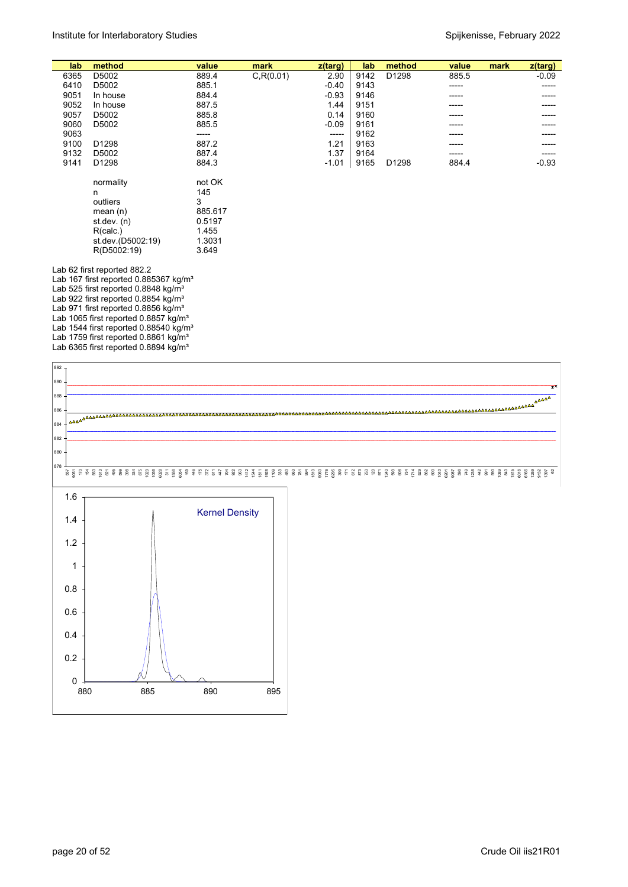| lab  | method                                                                                                                                                                                                                                      | value                                                               | mark       | z(targ) | lab  | method | value | mark | $z$ (targ) |
|------|---------------------------------------------------------------------------------------------------------------------------------------------------------------------------------------------------------------------------------------------|---------------------------------------------------------------------|------------|---------|------|--------|-------|------|------------|
| 6365 | D5002                                                                                                                                                                                                                                       | 889.4                                                               | C, R(0.01) | 2.90    | 9142 | D1298  | 885.5 |      | $-0.09$    |
| 6410 | D5002                                                                                                                                                                                                                                       | 885.1                                                               |            | $-0.40$ | 9143 |        | ----- |      | -----      |
| 9051 | In house                                                                                                                                                                                                                                    | 884.4                                                               |            | $-0.93$ | 9146 |        | ----- |      |            |
| 9052 | In house                                                                                                                                                                                                                                    | 887.5                                                               |            | 1.44    | 9151 |        |       |      |            |
| 9057 | D5002                                                                                                                                                                                                                                       | 885.8                                                               |            | 0.14    | 9160 |        | ----- |      |            |
| 9060 | D5002                                                                                                                                                                                                                                       | 885.5                                                               |            | $-0.09$ | 9161 |        |       |      |            |
| 9063 |                                                                                                                                                                                                                                             | -----                                                               |            | -----   | 9162 |        |       |      |            |
| 9100 | D1298                                                                                                                                                                                                                                       | 887.2                                                               |            | 1.21    | 9163 |        |       |      |            |
| 9132 | D5002                                                                                                                                                                                                                                       | 887.4                                                               |            | 1.37    | 9164 |        |       |      |            |
| 9141 | D1298                                                                                                                                                                                                                                       | 884.3                                                               |            | $-1.01$ | 9165 | D1298  | 884.4 |      | $-0.93$    |
|      | normality<br>n<br>outliers<br>mean $(n)$<br>st dev. $(n)$<br>R(calc.)<br>st.dev.(D5002:19)<br>R(D5002:19)                                                                                                                                   | not OK<br>145<br>3<br>885.617<br>0.5197<br>1.455<br>1.3031<br>3.649 |            |         |      |        |       |      |            |
|      | Lab 62 first reported 882.2<br>Lab 167 first reported $0.885367$ kg/m <sup>3</sup><br>Lab 525 first reported 0.8848 kg/m <sup>3</sup><br>Lab 922 first reported 0.8854 kg/m <sup>3</sup><br>Lab 971 first reported 0.8856 kg/m <sup>3</sup> |                                                                     |            |         |      |        |       |      |            |

Lab 971 first reported 0.8856 kg/m<sup>3</sup> Lab 1065 first reported 0.8857 kg/m<sup>3</sup> Lab 1544 first reported 0.88540 kg/m<sup>3</sup> Lab 1759 first reported 0.8861 kg/m<sup>3</sup> Lab 6365 first reported 0.8894 kg/m<sup>3</sup>

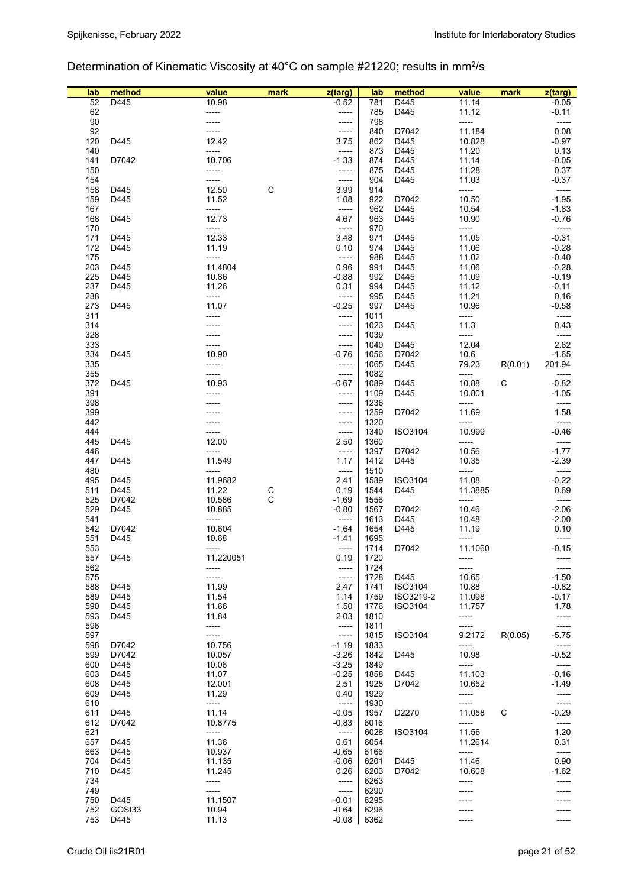## Determination of Kinematic Viscosity at 40°C on sample #21220; results in mm<sup>2</sup>/s

| lab        | method       | value            | mark | z(targ)            | lab          | method         | value            | mark    | z(targ)          |
|------------|--------------|------------------|------|--------------------|--------------|----------------|------------------|---------|------------------|
| 52         | D445         | 10.98            |      | $-0.52$            | 781          | D445           | 11.14            |         | $-0.05$          |
| 62         |              | -----            |      | -----              | 785          | D445           | 11.12            |         | $-0.11$          |
| 90         |              | -----            |      | -----              | 798          |                | -----            |         |                  |
| 92         |              | -----            |      | -----              | 840          | D7042          | 11.184           |         | 0.08             |
| 120        | D445         | 12.42            |      | 3.75               | 862          | D445           | 10.828           |         | $-0.97$          |
| 140        |              | -----            |      | -----              | 873          | D445           | 11.20            |         | 0.13             |
| 141<br>150 | D7042        | 10.706<br>-----  |      | $-1.33$            | 874<br>875   | D445<br>D445   | 11.14<br>11.28   |         | $-0.05$<br>0.37  |
| 154        |              | -----            |      | -----<br>-----     | 904          | D445           | 11.03            |         | $-0.37$          |
| 158        | D445         | 12.50            | C    | 3.99               | 914          |                | -----            |         | -----            |
| 159        | D445         | 11.52            |      | 1.08               | 922          | D7042          | 10.50            |         | $-1.95$          |
| 167        |              | -----            |      | -----              | 962          | D445           | 10.54            |         | $-1.83$          |
| 168        | D445         | 12.73            |      | 4.67               | 963          | D445           | 10.90            |         | $-0.76$          |
| 170        |              | -----            |      | -----              | 970          |                | -----            |         | -----            |
| 171        | D445         | 12.33            |      | 3.48               | 971          | D445           | 11.05            |         | $-0.31$          |
| 172        | D445         | 11.19            |      | 0.10               | 974          | D445           | 11.06            |         | $-0.28$          |
| 175        |              | -----            |      | -----              | 988          | D445           | 11.02            |         | $-0.40$          |
| 203        | D445         | 11.4804          |      | 0.96               | 991          | D445           | 11.06            |         | $-0.28$          |
| 225        | D445         | 10.86            |      | $-0.88$            | 992          | D445           | 11.09            |         | $-0.19$          |
| 237        | D445         | 11.26<br>-----   |      | 0.31<br>-----      | 994<br>995   | D445           | 11.12<br>11.21   |         | $-0.11$<br>0.16  |
| 238<br>273 | D445         | 11.07            |      | $-0.25$            | 997          | D445<br>D445   | 10.96            |         | $-0.58$          |
| 311        |              | -----            |      | -----              | 1011         |                | -----            |         | -----            |
| 314        |              |                  |      | -----              | 1023         | D445           | 11.3             |         | 0.43             |
| 328        |              |                  |      | -----              | 1039         |                |                  |         |                  |
| 333        |              | -----            |      | -----              | 1040         | D445           | 12.04            |         | 2.62             |
| 334        | D445         | 10.90            |      | $-0.76$            | 1056         | D7042          | 10.6             |         | $-1.65$          |
| 335        |              | -----            |      | -----              | 1065         | D445           | 79.23            | R(0.01) | 201.94           |
| 355        |              | -----            |      | -----              | 1082         |                | -----            |         | -----            |
| 372        | D445         | 10.93            |      | $-0.67$            | 1089         | D445           | 10.88            | C       | $-0.82$          |
| 391        |              | -----            |      | -----              | 1109         | D445           | 10.801           |         | $-1.05$          |
| 398        |              |                  |      | -----              | 1236         |                | -----            |         | -----            |
| 399        |              |                  |      | -----              | 1259         | D7042          | 11.69            |         | 1.58             |
| 442<br>444 |              |                  |      | -----              | 1320<br>1340 |                | -----<br>10.999  |         | -----<br>$-0.46$ |
| 445        | D445         | 12.00            |      | -----<br>2.50      | 1360         | <b>ISO3104</b> | -----            |         |                  |
| 446        |              | -----            |      | -----              | 1397         | D7042          | 10.56            |         | $-1.77$          |
| 447        | D445         | 11.549           |      | 1.17               | 1412         | D445           | 10.35            |         | $-2.39$          |
| 480        |              |                  |      | -----              | 1510         |                | -----            |         | -----            |
| 495        | D445         | 11.9682          |      | 2.41               | 1539         | ISO3104        | 11.08            |         | $-0.22$          |
| 511        | D445         | 11.22            | С    | 0.19               | 1544         | D445           | 11.3885          |         | 0.69             |
| 525        | D7042        | 10.586           | С    | $-1.69$            | 1556         |                | -----            |         | -----            |
| 529        | D445         | 10.885           |      | $-0.80$            | 1567         | D7042          | 10.46            |         | $-2.06$          |
| 541        |              | -----            |      | -----              | 1613         | D445           | 10.48            |         | $-2.00$          |
| 542        | D7042        | 10.604           |      | $-1.64$            | 1654         | D445           | 11.19            |         | 0.10             |
| 551<br>553 | D445         | 10.68<br>-----   |      | -1.41<br>-----     | 1695<br>1714 | D7042          | -----<br>11.1060 |         | -----<br>$-0.15$ |
| 557        | D445         | 11.220051        |      | 0.19               | 1720         |                |                  |         |                  |
| 562        |              | -----            |      | -----              | 1724         |                | -----            |         | -----            |
| 575        |              | -----            |      | -----              | 1728         | D445           | 10.65            |         | $-1.50$          |
| 588        | D445         | 11.99            |      | 2.47               | 1741         | ISO3104        | 10.88            |         | $-0.82$          |
| 589        | D445         | 11.54            |      | 1.14               | 1759         | ISO3219-2      | 11.098           |         | $-0.17$          |
| 590        | D445         | 11.66            |      | 1.50               | 1776         | ISO3104        | 11.757           |         | 1.78             |
| 593        | D445         | 11.84            |      | 2.03               | 1810         |                | -----            |         | -----            |
| 596        |              | -----            |      | -----              | 1811         |                |                  |         | -----            |
| 597        |              | -----            |      | -----              | 1815         | ISO3104        | 9.2172           | R(0.05) | $-5.75$          |
| 598        | D7042        | 10.756           |      | $-1.19$            | 1833         |                | -----            |         | -----            |
| 599        | D7042        | 10.057           |      | $-3.26$            | 1842         | D445           | 10.98            |         | $-0.52$          |
| 600<br>603 | D445<br>D445 | 10.06<br>11.07   |      | $-3.25$<br>$-0.25$ | 1849<br>1858 | D445           | -----<br>11.103  |         | -----<br>$-0.16$ |
| 608        | D445         | 12.001           |      | 2.51               | 1928         | D7042          | 10.652           |         | $-1.49$          |
| 609        | D445         | 11.29            |      | 0.40               | 1929         |                | -----            |         | -----            |
| 610        |              | -----            |      | -----              | 1930         |                | -----            |         | -----            |
| 611        | D445         | 11.14            |      | $-0.05$            | 1957         | D2270          | 11.058           | С       | $-0.29$          |
| 612        | D7042        | 10.8775          |      | $-0.83$            | 6016         |                | -----            |         | -----            |
| 621        |              | -----            |      | -----              | 6028         | <b>ISO3104</b> | 11.56            |         | 1.20             |
| 657        | D445         | 11.36            |      | 0.61               | 6054         |                | 11.2614          |         | 0.31             |
| 663        | D445         | 10.937           |      | $-0.65$            | 6166         |                | -----            |         | -----            |
| 704        | D445         | 11.135           |      | $-0.06$            | 6201         | D445           | 11.46            |         | 0.90             |
| 710        | D445         | 11.245           |      | 0.26               | 6203         | D7042          | 10.608           |         | $-1.62$          |
| 734        |              | -----            |      | $-----$            | 6263         |                | -----            |         | -----            |
| 749<br>750 | D445         | -----<br>11.1507 |      | -----<br>$-0.01$   | 6290<br>6295 |                |                  |         |                  |
| 752        | GOSt33       | 10.94            |      | $-0.64$            | 6296         |                |                  |         |                  |
| 753        | D445         | 11.13            |      | $-0.08$            | 6362         |                | -----            |         |                  |
|            |              |                  |      |                    |              |                |                  |         |                  |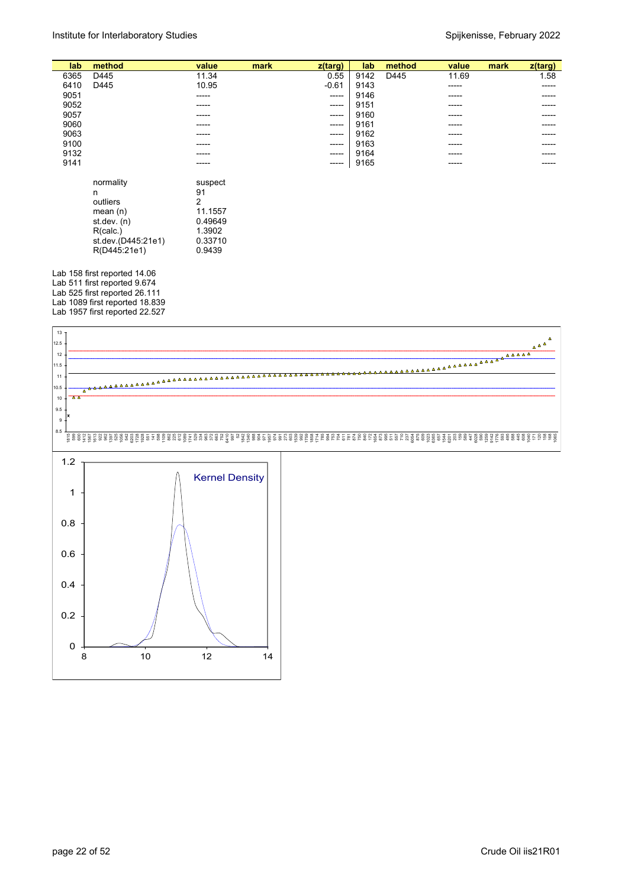| lab  | method    | value   | mark | z(targ)     | lab  | method | value  | mark | z(targ) |
|------|-----------|---------|------|-------------|------|--------|--------|------|---------|
| 6365 | D445      | 11.34   |      | 0.55        | 9142 | D445   | 11.69  |      | 1.58    |
| 6410 | D445      | 10.95   |      | $-0.61$     | 9143 |        | ------ |      | -----   |
| 9051 |           | -----   |      | $- - - - -$ | 9146 |        | ------ |      | -----   |
| 9052 |           | -----   |      | $- - - - -$ | 9151 |        | -----  |      | ----    |
| 9057 |           | -----   |      | $- - - - -$ | 9160 |        | -----  |      | ----    |
| 9060 |           | -----   |      | $- - - - -$ | 9161 |        | ------ |      | ----    |
| 9063 |           | -----   |      | $- - - - -$ | 9162 |        | ------ |      | -----   |
| 9100 |           | -----   |      | -----       | 9163 |        | -----  |      | ----    |
| 9132 |           | -----   |      | $- - - - -$ | 9164 |        | ------ |      | ----    |
| 9141 |           | -----   |      | $- - - - -$ | 9165 |        | ------ |      | ----    |
|      |           |         |      |             |      |        |        |      |         |
|      | normality | suspect |      |             |      |        |        |      |         |
|      | n         | 91      |      |             |      |        |        |      |         |

|                    | ີ       |
|--------------------|---------|
| outliers           | 2       |
| mean(n)            | 11.1557 |
| st.dev. (n)        | 0.49649 |
| R(calc.)           | 1.3902  |
| st.dev.(D445:21e1) | 0.33710 |
| R(D445:21e1)       | 0.9439  |
|                    |         |

Lab 158 first reported 14.06 Lab 511 first reported 9.674 Lab 525 first reported 26.111 Lab 1089 first reported 18.839 Lab 1957 first reported 22.527

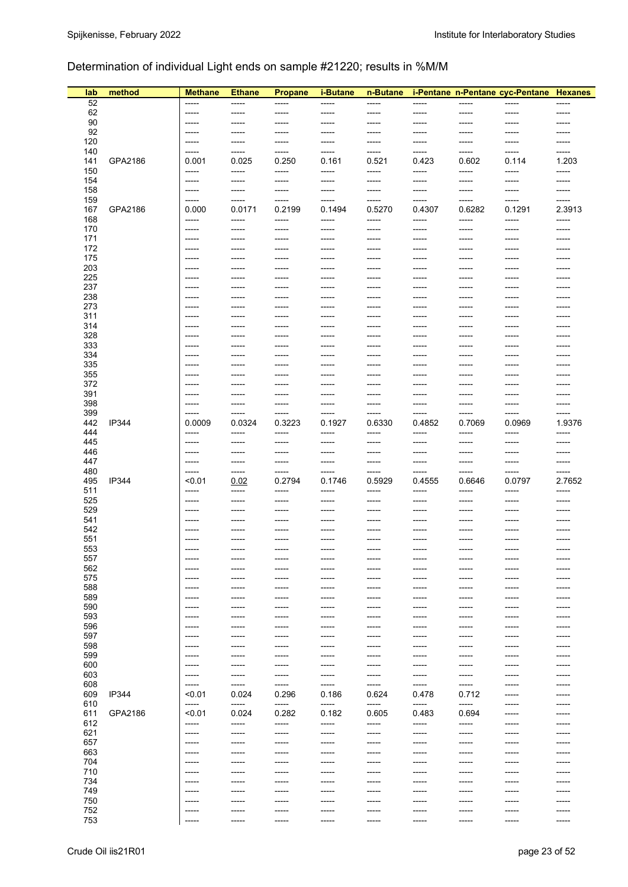## Determination of individual Light ends on sample #21220; results in %M/M

| lab        | method  | <b>Methane</b>  | <b>Ethane</b>   | <b>Propane</b>  | i-Butane             | n-Butane        |                  |                 | i-Pentane n-Pentane cyc-Pentane Hexanes |                 |
|------------|---------|-----------------|-----------------|-----------------|----------------------|-----------------|------------------|-----------------|-----------------------------------------|-----------------|
| 52         |         | -----           | -----           | -----           | $-----$              | -----           | -----            | -----           |                                         | -----           |
| 62         |         | -----           | -----           | -----           | $-----$              | -----           | -----            | -----           | -----                                   | -----           |
| 90         |         | -----           | -----           | -----           | -----                | ------          | -----            | -----           | $- - - - -$                             | $--- -$         |
| 92         |         | -----           | -----           | -----           | -----                | -----           | -----            | $-----$         | -----                                   | $--- -$         |
| 120        |         | $------$        | -----           | ------          | -----                | -----           | $- - - - -$      | -----           | $--- -$                                 | -----           |
| 140        |         | $-----$         | -----           | ------          | -----                | -----           | -----            | $-----$         | $-----1$                                | -----           |
| 141<br>150 | GPA2186 | 0.001<br>-----  | 0.025<br>-----  | 0.250<br>-----  | 0.161<br>-----       | 0.521<br>-----  | 0.423<br>$--- -$ | 0.602<br>-----  | 0.114<br>-----                          | 1.203<br>-----  |
| 154        |         | -----           | -----           | -----           | -----                | -----           | ------           | -----           | -----                                   | -----           |
| 158        |         | -----           | -----           | -----           | -----                | -----           | -----            | -----           | -----                                   | -----           |
| 159        |         | -----           | -----           | -----           | -----                | -----           | $-----$          | -----           | -----                                   | -----           |
| 167        | GPA2186 | 0.000           | 0.0171          | 0.2199          | 0.1494               | 0.5270          | 0.4307           | 0.6282          | 0.1291                                  | 2.3913          |
| 168        |         | -----           | -----           | -----           | $--- -$              | -----           | -----            | -----           | -----                                   | -----           |
| 170        |         | $-----$         | -----           | -----           | -----                | -----           | -----            | -----           | -----                                   | -----           |
| 171        |         | -----           | -----           | -----           | -----                | -----           | -----            | -----           | -----                                   | -----           |
| 172        |         | -----           | -----           | -----           | -----                | -----           | ------           | -----           | -----                                   | -----           |
| 175        |         | -----           | -----           | -----           | $-----$              | -----           | $--- -$          | -----           | -----                                   | -----           |
| 203        |         | ------          | -----           | ------          | $- - - - -$          | -----           | $- - - - -$      | -----           | -----                                   | -----           |
| 225        |         | $-----$         | -----           | -----           | $- - - - -$          | -----           | $--- -$          | -----           | $- - - - -$                             | $--- - -$       |
| 237<br>238 |         | -----<br>-----  | -----<br>-----  | ------<br>----- | $- - - - -$<br>----- | -----           | ------<br>-----  | -----<br>-----  | -----<br>-----                          | -----<br>-----  |
| 273        |         | -----           | -----           | -----           | $- - - - -$          | -----<br>-----  | ------           | -----           | -----                                   | -----           |
| 311        |         | -----           | -----           | -----           | -----                | -----           | -----            | -----           | -----                                   | -----           |
| 314        |         | -----           | -----           | -----           | -----                | -----           | -----            | -----           | -----                                   | -----           |
| 328        |         | $-----$         | -----           | ------          | $- - - - -$          | ------          | ------           | -----           | $- - - - -$                             | $--- - -$       |
| 333        |         | -----           | -----           | -----           | $- - - - -$          | ------          | ------           | -----           | -----                                   | -----           |
| 334        |         | -----           | -----           | -----           | $--- -$              | ------          | ------           | -----           | $-----1$                                | -----           |
| 335        |         | -----           | -----           | -----           | $- - - - -$          | -----           | $- - - - -$      | -----           | $-----1$                                | -----           |
| 355        |         | -----           | -----           | -----           | -----                | -----           | -----            | -----           | -----                                   | -----           |
| 372        |         | -----           | -----           | -----           | $- - - - -$          | -----           | -----            | -----           | $-----$                                 | -----           |
| 391        |         | -----           | -----           | -----           | -----                | -----           | ------           | -----           | -----                                   | -----           |
| 398        |         | -----           | -----           | -----           | -----                | -----           | -----            | -----           | -----                                   | -----           |
| 399        | IP344   | -----           | -----           | -----           | $-----$              | -----           | $--- -$          | -----           | $-----$                                 | -----           |
| 442<br>444 |         | 0.0009<br>----- | 0.0324<br>----- | 0.3223<br>----- | 0.1927<br>-----      | 0.6330<br>----- | 0.4852<br>------ | 0.7069<br>----- | 0.0969<br>-----                         | 1.9376<br>----- |
| 445        |         | $-----$         | -----           | -----           | $-----1$             | -----           | $- - - - -$      | -----           | $-----1$                                | -----           |
| 446        |         | -----           | -----           | -----           | -----                | -----           | -----            | -----           | -----                                   | -----           |
| 447        |         | -----           | -----           | -----           | -----                | -----           | ------           | -----           | -----                                   | -----           |
| 480        |         | -----           | -----           | -----           | -----                | -----           | ------           | -----           | -----                                   | -----           |
| 495        | IP344   | < 0.01          | 0.02            | 0.2794          | 0.1746               | 0.5929          | 0.4555           | 0.6646          | 0.0797                                  | 2.7652          |
| 511        |         | -----           | -----           | ------          | -----                | -----           | ------           | -----           | -----                                   | $--- -$         |
| 525        |         | -----           | -----           | -----           | $--- -$              | ------          | $- - - - -$      | -----           | $-----1$                                | -----           |
| 529        |         | -----           | -----           | -----           | $- - - - -$          | -----           | $- - - - -$      | -----           | $-----1$                                | $--- - -$       |
| 541        |         | ------          | -----           | -----           | $--- -$              | -----           | -----            | -----           | -----                                   | -----           |
| 542        |         | -----           | -----           | -----           | -----                | -----           | ------           | -----           | -----                                   | -----           |
| 551<br>553 |         | -----<br>-----  | -----           | -----<br>-----  | $-----$              | -----<br>-----  | -----<br>-----   | -----<br>-----  | -----<br>-----                          | -----           |
| 557        |         |                 |                 |                 |                      |                 |                  |                 |                                         |                 |
| 562        |         | -----           | -----           | -----           | -----                | -----           | -----            | -----           | -----                                   | -----           |
| 575        |         | -----           | -----           | -----           | -----                | -----           | -----            | -----           | -----                                   |                 |
| 588        |         | -----           | -----           | -----           | -----                | -----           | $-----1$         | -----           | -----                                   | -----           |
| 589        |         | -----           | -----           | -----           | -----                | -----           | -----            | -----           | -----                                   | -----           |
| 590        |         | -----           | -----           | -----           | -----                | -----           | -----            | -----           | -----                                   | -----           |
| 593        |         | -----           | -----           | -----           | -----                | -----           | -----            | -----           | -----                                   | -----           |
| 596        |         | $- - - - -$     | -----           | -----           | $- - - - -$          | ------          | $- - - - -$      | -----           | $- - - - -$                             | -----           |
| 597        |         | -----           | -----           | -----           | $- - - - -$          | -----           | $-----1$         | -----           | -----                                   | -----           |
| 598        |         | -----           | -----           | -----           | -----                | -----           | -----            | -----           | -----                                   | -----           |
| 599<br>600 |         | -----<br>-----  | -----           | -----<br>-----  | $--- -$<br>-----     | -----<br>-----  | $- - - - -$      | -----<br>-----  | -----                                   | -----           |
| 603        |         | -----           | -----           | -----           | -----                | -----           | -----            | -----           |                                         | -----           |
| 608        |         | ------          | -----           | -----           | -----                | -----           | -----            | -----           | -----                                   | -----           |
| 609        | IP344   | < 0.01          | 0.024           | 0.296           | 0.186                | 0.624           | 0.478            | 0.712           | -----                                   | -----           |
| 610        |         | -----           | -----           | -----           | -----                | -----           | $-----$          | -----           | -----                                   | -----           |
| 611        | GPA2186 | < 0.01          | 0.024           | 0.282           | 0.182                | 0.605           | 0.483            | 0.694           | $------$                                | -----           |
| 612        |         | -----           | -----           | -----           | -----                | -----           | -----            | -----           | -----                                   | -----           |
| 621        |         | -----           | -----           | -----           | -----                | -----           | -----            | -----           | -----                                   | -----           |
| 657        |         | -----           | -----           | -----           | -----                | -----           | -----            | -----           | -----                                   | -----           |
| 663        |         | -----           | -----           | -----           | -----                | -----           | -----            | -----           | -----                                   | -----           |
| 704        |         | -----           | -----           | -----           | -----                | -----           | -----            | -----           | -----                                   | -----           |
| 710        |         | -----           | -----           | -----           | $- - - - -$          | -----           | $- - - - -$      | -----           | $--- -$                                 | -----           |
| 734        |         | -----           | -----           | -----           | $- - - - -$          | -----           | $- - - - -$      | -----           | -----                                   | -----           |
| 749<br>750 |         | ------<br>----- |                 | -----<br>-----  | $--- -$              | ------<br>----- | ------           | -----<br>-----  |                                         | -----           |
| 752        |         | -----           | -----<br>-----  | -----           | -----                | -----           | -----            | -----           |                                         | -----           |
| 753        |         | -----           | -----           | -----           | -----                | -----           | -----            | -----           | -----                                   | -----           |
|            |         |                 |                 |                 |                      |                 |                  |                 |                                         |                 |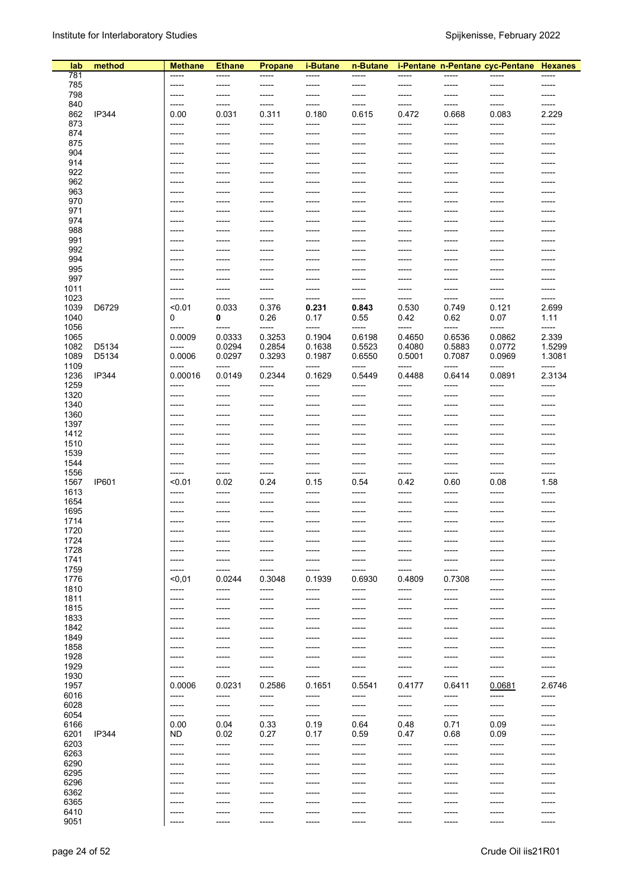| lab          | method       | <b>Methane</b>   | <b>Ethane</b>    | <b>Propane</b>  | <i>i-Butane</i> | n-Butane        |                 |                 | i-Pentane n-Pentane cyc-Pentane Hexanes |                 |
|--------------|--------------|------------------|------------------|-----------------|-----------------|-----------------|-----------------|-----------------|-----------------------------------------|-----------------|
| 781          |              | -----            | -----            | -----           | -----           | -----           | -----           | -----           | -----                                   | -----           |
| 785          |              | -----            | -----            | -----           | -----           | -----           | -----           | -----           | -----                                   | -----           |
| 798          |              | -----            | ------           | -----           | -----           | -----           | -----           | -----           | -----                                   | -----           |
| 840          |              | -----            | -----            | -----           | -----           | -----           | -----           | -----           | -----                                   | -----           |
| 862<br>873   | IP344        | 0.00             | 0.031            | 0.311           | 0.180           | 0.615           | 0.472           | 0.668           | 0.083<br>-----                          | 2.229           |
| 874          |              | -----<br>$--- -$ | -----<br>-----   | -----<br>-----  | -----<br>-----  | -----<br>-----  | -----<br>-----  | -----<br>-----  | -----                                   | -----<br>-----  |
| 875          |              | -----            | -----            | -----           | -----           | -----           | -----           | -----           | -----                                   | -----           |
| 904          |              | -----            | -----            | -----           | -----           | -----           | -----           | -----           | -----                                   | -----           |
| 914          |              | -----            | -----            | -----           | -----           | -----           | -----           | -----           | -----                                   |                 |
| 922          |              | -----            | ------           | -----           | -----           | -----           | -----           | -----           | -----                                   | -----           |
| 962          |              | $--- -$          | ------           | -----           | -----           | -----           | -----           | -----           | -----                                   | -----           |
| 963          |              | $--- -$          | ------           | -----           | -----           | -----           | -----           | -----           | -----                                   | -----           |
| 970          |              | -----            | ------           | -----           | -----           | -----           | -----           | -----           | -----                                   |                 |
| 971<br>974   |              | -----            | -----            | -----           | -----           | -----           | -----           | -----           | -----                                   | -----           |
| 988          |              | $--- -$<br>----- | -----<br>-----   | -----<br>-----  | -----<br>-----  | -----<br>-----  | -----<br>-----  | -----<br>-----  | -----<br>-----                          | -----<br>-----  |
| 991          |              | -----            | ------           | -----           | -----           | -----           | -----           | -----           | -----                                   | -----           |
| 992          |              | $--- -$          | ------           | $--- -$         | -----           | -----           | -----           | -----           | -----                                   | -----           |
| 994          |              | -----            | ------           | -----           | -----           | -----           | -----           | -----           | -----                                   |                 |
| 995          |              | $--- -$          | $- - - - -$      | -----           | -----           | -----           | -----           | -----           | -----                                   |                 |
| 997          |              | $--- -$          | -----            | -----           | -----           | -----           | -----           | -----           | -----                                   | -----           |
| 1011         |              | -----            | -----            | -----           | -----           | -----           | -----           | -----           | -----                                   | -----           |
| 1023         |              | -----            | ------           | -----           | -----           | -----           | -----           | -----           | -----                                   | -----           |
| 1039<br>1040 | D6729        | < 0.01<br>0      | 0.033<br>0       | 0.376<br>0.26   | 0.231<br>0.17   | 0.843<br>0.55   | 0.530<br>0.42   | 0.749<br>0.62   | 0.121<br>0.07                           | 2.699<br>1.11   |
| 1056         |              | $-----$          | $-----$          | -----           | -----           | -----           | -----           | -----           | -----                                   | -----           |
| 1065         |              | 0.0009           | 0.0333           | 0.3253          | 0.1904          | 0.6198          | 0.4650          | 0.6536          | 0.0862                                  | 2.339           |
| 1082         | D5134        | -----            | 0.0294           | 0.2854          | 0.1638          | 0.5523          | 0.4080          | 0.5883          | 0.0772                                  | 1.5299          |
| 1089         | D5134        | 0.0006           | 0.0297           | 0.3293          | 0.1987          | 0.6550          | 0.5001          | 0.7087          | 0.0969                                  | 1.3081          |
| 1109         |              | -----            | ------           | -----           | -----           | -----           |                 | -----           | -----                                   |                 |
| 1236         | IP344        | 0.00016          | 0.0149           | 0.2344          | 0.1629          | 0.5449          | 0.4488          | 0.6414          | 0.0891                                  | 2.3134          |
| 1259         |              | -----            | -----            | -----           | -----           | -----           | -----           | -----           | -----                                   | -----           |
| 1320         |              | -----            | ------           | -----           | -----           | -----           | -----           | -----           | -----                                   | -----           |
| 1340<br>1360 |              | -----<br>$--- -$ | ------<br>-----  | -----<br>-----  | -----<br>-----  | -----<br>-----  | -----<br>-----  | -----<br>-----  | -----<br>-----                          | -----<br>-----  |
| 1397         |              | -----            | -----            | -----           | -----           | -----           | -----           | -----           | -----                                   | -----           |
| 1412         |              | -----            | -----            | -----           | -----           | -----           | -----           | -----           | -----                                   | -----           |
| 1510         |              | -----            | ------           | -----           | -----           | -----           | -----           | -----           | -----                                   | -----           |
| 1539         |              | -----            | -----            | -----           | -----           | -----           | -----           | -----           | -----                                   |                 |
| 1544         |              | -----            | -----            | -----           | -----           | -----           | -----           | -----           | -----                                   | -----           |
| 1556         |              | -----            | -----            | -----           | -----           | -----           | -----           | -----           | -----                                   | -----           |
| 1567         | <b>IP601</b> | < 0.01           | 0.02             | 0.24            | 0.15            | 0.54            | 0.42            | 0.60            | 0.08                                    | 1.58            |
| 1613         |              | -----            | -----            | -----           | -----           | -----           | -----           | -----           | -----                                   | -----           |
| 1654<br>1695 |              | $--- -$<br>----- | ------<br>------ | -----<br>-----  | -----<br>-----  | -----<br>-----  | -----<br>-----  | -----<br>-----  | -----<br>-----                          | -----<br>-----  |
| 1714         |              | -----            | -----            | -----           | -----           | -----           | -----           | -----           | -----                                   | -----           |
| 1720         |              | $-----1$         |                  | -----           |                 | -----           |                 |                 |                                         | -----           |
| 1724         |              | $--- -$          | -----            | -----           | -----           | -----           | -----           | -----           | -----                                   | -----           |
| 1728         |              | -----            | ------           | -----           | -----           | -----           | -----           | -----           |                                         |                 |
| 1741         |              | -----            | ------           | -----           | -----           | -----           | -----           | -----           | -----                                   |                 |
| 1759         |              | -----            | -----            | -----           | -----           | -----           | -----           | -----           | -----                                   | -----           |
| 1776         |              | < 0.01           | 0.0244           | 0.3048          | 0.1939          | 0.6930          | 0.4809          | 0.7308          | -----                                   | -----           |
| 1810<br>1811 |              | -----<br>-----   | -----<br>------  | -----<br>-----  | -----<br>-----  | -----<br>-----  | -----<br>-----  | -----<br>-----  | -----<br>-----                          | -----<br>-----  |
| 1815         |              | $-----1$         | $- - - - -$      | -----           | -----           | -----           | ------          | -----           | -----                                   | -----           |
| 1833         |              | -----            | -----            | -----           | -----           | -----           | -----           | -----           | -----                                   | -----           |
| 1842         |              | -----            | -----            | -----           | -----           | -----           | -----           | -----           | -----                                   | -----           |
| 1849         |              | -----            | -----            | -----           | -----           | -----           | -----           | -----           | -----                                   | -----           |
| 1858         |              | -----            | -----            | -----           | -----           | -----           | -----           | -----           | -----                                   | -----           |
| 1928         |              | -----            | -----            | -----           | -----           | -----           | -----           | -----           | -----                                   | -----           |
| 1929         |              | -----            | -----            | -----           | -----           | -----           | -----           | -----           | -----                                   | -----           |
| 1930<br>1957 |              | -----<br>0.0006  | -----<br>0.0231  | -----<br>0.2586 | -----<br>0.1651 | -----<br>0.5541 | -----<br>0.4177 | -----<br>0.6411 | -----<br>0.0681                         | -----<br>2.6746 |
| 6016         |              | -----            | -----            | -----           | -----           | -----           | -----           | -----           | -----                                   | -----           |
| 6028         |              | -----            | -----            | -----           | -----           | -----           | -----           | -----           | -----                                   | -----           |
| 6054         |              | -----            | -----            | -----           | -----           | -----           | -----           | -----           | -----                                   | -----           |
| 6166         |              | 0.00             | 0.04             | 0.33            | 0.19            | 0.64            | 0.48            | 0.71            | 0.09                                    | -----           |
| 6201         | IP344        | ND.              | 0.02             | 0.27            | 0.17            | 0.59            | 0.47            | 0.68            | 0.09                                    | -----           |
| 6203         |              | $--- -$          | -----            | -----           | -----           | -----           | ------          | -----           | -----                                   | -----           |
| 6263         |              | $-----$          | $- - - - -$      | -----           | -----           | -----           | ------          | -----           | -----                                   | -----           |
| 6290         |              | -----            | -----            | -----           | -----           | -----           | -----           | -----           | -----                                   |                 |
| 6295<br>6296 |              | -----            | -----            | -----           | -----           | -----           | -----           | -----           | -----                                   |                 |
| 6362         |              | -----<br>-----   | -----<br>-----   | -----<br>-----  | -----<br>-----  | -----<br>-----  | -----<br>-----  | -----<br>-----  | -----<br>-----                          | -----<br>-----  |
| 6365         |              | -----            | -----            | -----           | -----           | -----           | -----           | -----           | -----                                   | -----           |
| 6410         |              | -----            | ------           | -----           | -----           | -----           | -----           | -----           | -----                                   |                 |
| 9051         |              | -----            | ------           | -----           | -----           | -----           | -----           | -----           | -----                                   | -----           |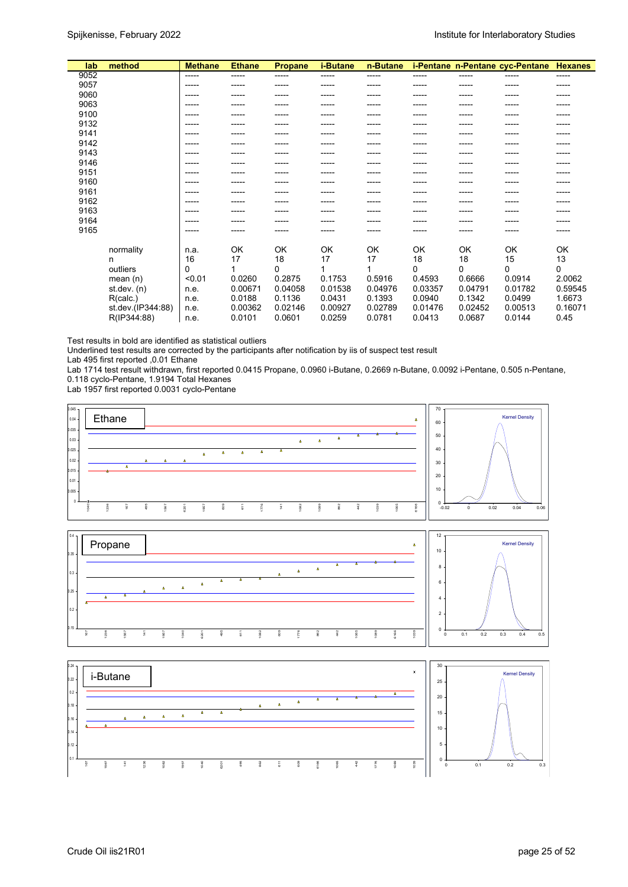| lab  | method            | <b>Methane</b> | <b>Ethane</b> | <b>Propane</b> | <i>i-Butane</i> | n-Butane |         |          | i-Pentane n-Pentane cyc-Pentane | <b>Hexanes</b> |
|------|-------------------|----------------|---------------|----------------|-----------------|----------|---------|----------|---------------------------------|----------------|
| 9052 |                   | -----          | -----         | -----          | -----           | -----    | -----   | -----    | -----                           | -----          |
| 9057 |                   | -----          |               |                |                 |          |         |          |                                 | -----          |
| 9060 |                   | -----          |               |                |                 |          |         |          |                                 |                |
| 9063 |                   | -----          |               |                |                 |          |         |          |                                 |                |
| 9100 |                   |                |               |                |                 |          |         |          |                                 |                |
| 9132 |                   | -----          |               |                |                 |          |         |          |                                 |                |
| 9141 |                   | -----          |               |                |                 |          |         |          |                                 |                |
| 9142 |                   |                |               |                |                 |          |         |          |                                 |                |
| 9143 |                   | -----          |               |                |                 |          |         |          |                                 |                |
| 9146 |                   | -----          |               |                |                 |          |         |          |                                 |                |
| 9151 |                   |                |               |                |                 |          |         |          |                                 |                |
| 9160 |                   | -----          |               |                |                 |          |         |          |                                 |                |
| 9161 |                   | -----          |               |                |                 |          |         |          |                                 |                |
| 9162 |                   | -----          |               |                |                 |          |         |          |                                 |                |
| 9163 |                   |                |               |                |                 |          |         |          |                                 |                |
| 9164 |                   |                |               |                |                 |          |         |          |                                 |                |
| 9165 |                   | -----          |               |                |                 |          |         |          |                                 | -----          |
|      |                   |                |               |                |                 |          |         |          |                                 |                |
|      | normality         | n.a.           | OK            | OK             | OK              | OK       | OK      | OK       | OK                              | OK             |
|      | n                 | 16             | 17            | 18             | 17              | 17       | 18      | 18       | 15                              | 13             |
|      | outliers          | 0              |               | 0              |                 |          | 0       | $\Omega$ | $\Omega$                        | 0              |
|      | mean(n)           | < 0.01         | 0.0260        | 0.2875         | 0.1753          | 0.5916   | 0.4593  | 0.6666   | 0.0914                          | 2.0062         |
|      | st.dev. $(n)$     | n.e.           | 0.00671       | 0.04058        | 0.01538         | 0.04976  | 0.03357 | 0.04791  | 0.01782                         | 0.59545        |
|      | R(calc.)          | n.e.           | 0.0188        | 0.1136         | 0.0431          | 0.1393   | 0.0940  | 0.1342   | 0.0499                          | 1.6673         |
|      | st.dev.(IP344:88) | n.e.           | 0.00362       | 0.02146        | 0.00927         | 0.02789  | 0.01476 | 0.02452  | 0.00513                         | 0.16071        |
|      | R(IP344:88)       | n.e.           | 0.0101        | 0.0601         | 0.0259          | 0.0781   | 0.0413  | 0.0687   | 0.0144                          | 0.45           |
|      |                   |                |               |                |                 |          |         |          |                                 |                |

Test results in bold are identified as statistical outliers

Underlined test results are corrected by the participants after notification by iis of suspect test result

Lab 495 first reported ,0.01 Ethane

Lab 1714 test result withdrawn, first reported 0.0415 Propane, 0.0960 i-Butane, 0.2669 n-Butane, 0.0092 i-Pentane, 0.505 n-Pentane, 0.118 cyclo-Pentane, 1.9194 Total Hexanes

Lab 1957 first reported 0.0031 cyclo-Pentane

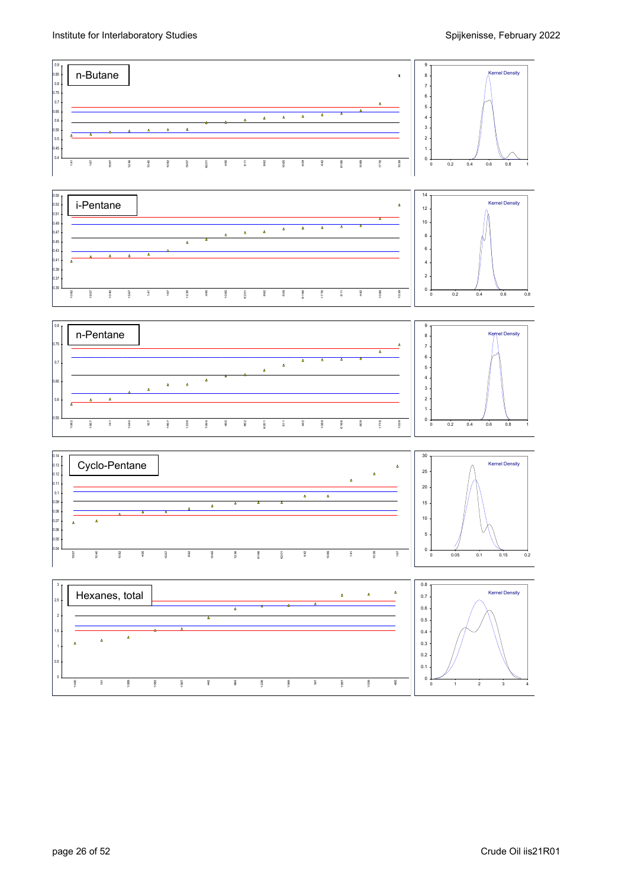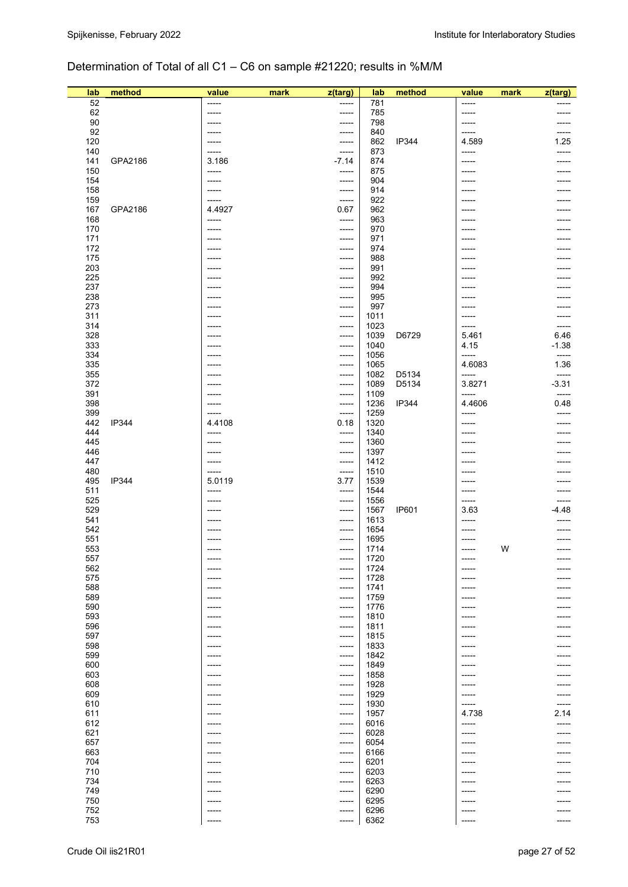## Determination of Total of all C1 – C6 on sample #21220; results in %M/M

| lab        | method       | value                | mark | z(targ)          | lab          | method       | value           | mark | z(targ)          |
|------------|--------------|----------------------|------|------------------|--------------|--------------|-----------------|------|------------------|
| 52         |              | -----                |      | -----            | 781          |              | -----           |      |                  |
| 62<br>90   |              | -----<br>-----       |      | $--- -$<br>----- | 785<br>798   |              | -----<br>-----  |      | -----            |
| 92         |              | $--- -$              |      | -----            | 840          |              | -----           |      | -----            |
| 120        |              | -----                |      | -----            | 862          | <b>IP344</b> | 4.589           |      | 1.25             |
| 140        |              | -----                |      | -----            | 873          |              | -----           |      | -----            |
| 141        | GPA2186      | 3.186                |      | $-7.14$          | 874          |              | -----           |      |                  |
| 150<br>154 |              | -----<br>-----       |      | -----<br>-----   | 875<br>904   |              | -----<br>-----  |      |                  |
| 158        |              | $--- - -$            |      | -----            | 914          |              | -----           |      |                  |
| 159        |              | ------               |      | -----            | 922          |              | -----           |      |                  |
| 167        | GPA2186      | 4.4927               |      | 0.67             | 962          |              | -----           |      |                  |
| 168<br>170 |              | -----<br>-----       |      | -----<br>-----   | 963<br>970   |              | -----<br>-----  |      |                  |
| 171        |              | -----                |      | -----            | 971          |              | -----           |      |                  |
| 172        |              | -----                |      | -----            | 974          |              | -----           |      |                  |
| 175        |              | $--- -$              |      | $--- -$          | 988          |              | -----           |      |                  |
| 203<br>225 |              | -----<br>-----       |      | -----            | 991<br>992   |              | -----           |      |                  |
| 237        |              | -----                |      | -----<br>-----   | 994          |              | -----<br>-----  |      |                  |
| 238        |              | -----                |      | -----            | 995          |              | -----           |      |                  |
| 273        |              | -----                |      | -----            | 997          |              | -----           |      |                  |
| 311        |              | -----                |      | -----            | 1011         |              | -----           |      |                  |
| 314<br>328 |              | $------$             |      | -----<br>-----   | 1023<br>1039 | D6729        | -----<br>5.461  |      | -----<br>6.46    |
| 333        |              | -----                |      | -----            | 1040         |              | 4.15            |      | -1.38            |
| 334        |              |                      |      | -----            | 1056         |              | -----           |      | -----            |
| 335        |              | -----                |      | -----            | 1065         |              | 4.6083          |      | 1.36             |
| 355        |              | -----                |      | -----            | 1082         | D5134        | -----           |      | -----            |
| 372<br>391 |              | -----<br>$--- - -$   |      | -----<br>-----   | 1089<br>1109 | D5134        | 3.8271<br>----- |      | $-3.31$<br>----- |
| 398        |              | $--- -$              |      | -----            | 1236         | <b>IP344</b> | 4.4606          |      | 0.48             |
| 399        |              | -----                |      | -----            | 1259         |              | -----           |      | -----            |
| 442        | <b>IP344</b> | 4.4108               |      | 0.18             | 1320         |              | -----           |      |                  |
| 444<br>445 |              | -----<br>-----       |      | -----            | 1340<br>1360 |              | -----<br>-----  |      |                  |
| 446        |              | -----                |      | -----<br>-----   | 1397         |              | -----           |      |                  |
| 447        |              | -----                |      | -----            | 1412         |              | -----           |      |                  |
| 480        |              | -----                |      | -----            | 1510         |              | -----           |      |                  |
| 495        | <b>IP344</b> | 5.0119               |      | 3.77             | 1539         |              | -----           |      |                  |
| 511<br>525 |              | -----<br>-----       |      | -----<br>-----   | 1544<br>1556 |              | -----<br>-----  |      |                  |
| 529        |              | -----                |      | -----            | 1567         | <b>IP601</b> | 3.63            |      | -4.48            |
| 541        |              | -----                |      | -----            | 1613         |              | -----           |      |                  |
| 542        |              | -----                |      | -----            | 1654         |              | -----           |      |                  |
| 551<br>553 |              | -----<br>-----       |      | -----<br>-----   | 1695<br>1714 |              | -----<br>-----  | W    | -----            |
| 557        |              | -----                |      | -----            | 1720         |              | -----           |      | -----            |
| 562        |              | -----                |      | -----            | 1724         |              | -----           |      | -----            |
| 575        |              | -----                |      | -----            | 1728         |              | -----           |      |                  |
| 588<br>589 |              | -----                |      | -----<br>-----   | 1741<br>1759 |              | -----           |      |                  |
| 590        |              | $-----$<br>$--- - -$ |      | -----            | 1776         |              | -----<br>-----  |      |                  |
| 593        |              | $------$             |      | -----            | 1810         |              | -----           |      |                  |
| 596        |              | -----                |      | -----            | 1811         |              |                 |      |                  |
| 597        |              | -----                |      | -----            | 1815         |              | ----            |      |                  |
| 598<br>599 |              | -----<br>-----       |      | -----<br>-----   | 1833<br>1842 |              | -----           |      |                  |
| 600        |              | -----                |      | -----            | 1849         |              |                 |      |                  |
| 603        |              | -----                |      | -----            | 1858         |              | ----            |      |                  |
| 608        |              | $- - - - -$          |      | -----            | 1928         |              | -----           |      |                  |
| 609<br>610 |              | $--- -$<br>-----     |      | -----<br>-----   | 1929<br>1930 |              | -----<br>-----  |      |                  |
| 611        |              | $--- - -$            |      | -----            | 1957         |              | 4.738           |      | 2.14             |
| 612        |              | -----                |      | -----            | 6016         |              | -----           |      | -----            |
| 621        |              | -----                |      | -----            | 6028         |              | -----           |      |                  |
| 657        |              | $-----$              |      | -----            | 6054         |              | -----           |      |                  |
| 663<br>704 |              | $--- - -$<br>$-----$ |      | -----<br>-----   | 6166<br>6201 |              | -----<br>-----  |      |                  |
| 710        |              | -----                |      | -----            | 6203         |              |                 |      |                  |
| 734        |              | -----                |      | -----            | 6263         |              | -----           |      |                  |
| 749        |              | -----                |      | -----            | 6290         |              |                 |      |                  |
| 750<br>752 |              | -----<br>-----       |      | -----<br>-----   | 6295<br>6296 |              | -----           |      |                  |
| 753        |              | -----                |      | -----            | 6362         |              | -----           |      | -----            |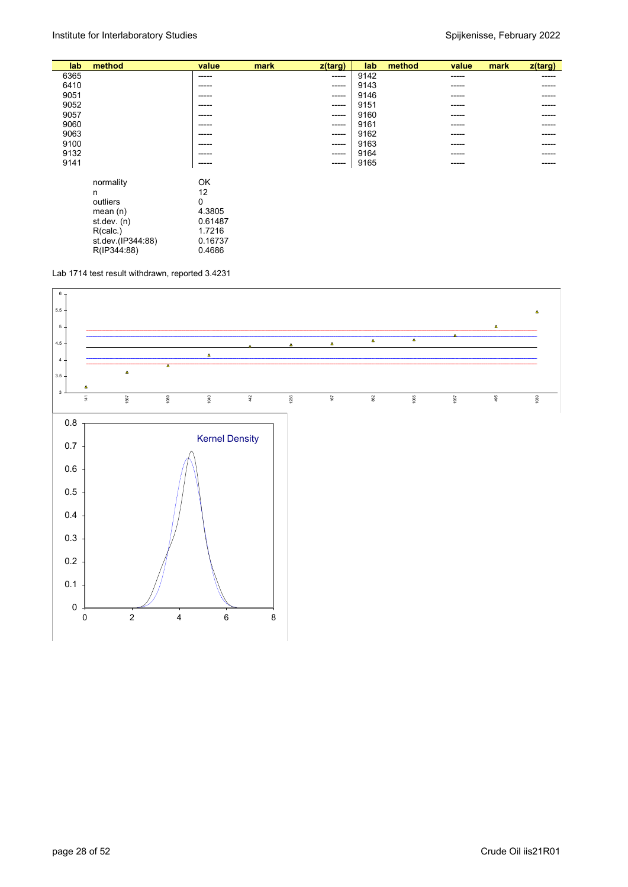| lab  | method                                                                                                  | value                                                             | mark | z(targ)     | lab  | method | value | mark | z(targ) |
|------|---------------------------------------------------------------------------------------------------------|-------------------------------------------------------------------|------|-------------|------|--------|-------|------|---------|
| 6365 |                                                                                                         | -----                                                             |      | $-----$     | 9142 |        | ----- |      | ------  |
| 6410 |                                                                                                         | -----                                                             |      | ------      | 9143 |        |       |      | -----   |
| 9051 |                                                                                                         | -----                                                             |      | $- - - - -$ | 9146 |        | ----- |      | -----   |
| 9052 |                                                                                                         | ------                                                            |      | $- - - - -$ | 9151 |        | ----- |      | ------  |
| 9057 |                                                                                                         | -----                                                             |      | $- - - - -$ | 9160 |        | ----- |      | -----   |
| 9060 |                                                                                                         | ------                                                            |      | $- - - - -$ | 9161 |        |       |      |         |
| 9063 |                                                                                                         | -----                                                             |      | $- - - - -$ | 9162 |        |       |      | -----   |
| 9100 |                                                                                                         | -----                                                             |      | $- - - - -$ | 9163 |        |       |      |         |
| 9132 |                                                                                                         | ------                                                            |      | $-----1$    | 9164 |        | ----- |      | -----   |
| 9141 |                                                                                                         | -----                                                             |      | $-----1$    | 9165 |        | ----- |      | -----   |
|      | normality<br>n<br>outliers<br>mean $(n)$<br>st.dev. (n)<br>R(calc.)<br>st.dev.(IP344:88)<br>R(IP344:88) | OK<br>12<br>0<br>4.3805<br>0.61487<br>1.7216<br>0.16737<br>0.4686 |      |             |      |        |       |      |         |

Lab 1714 test result withdrawn, reported 3.4231

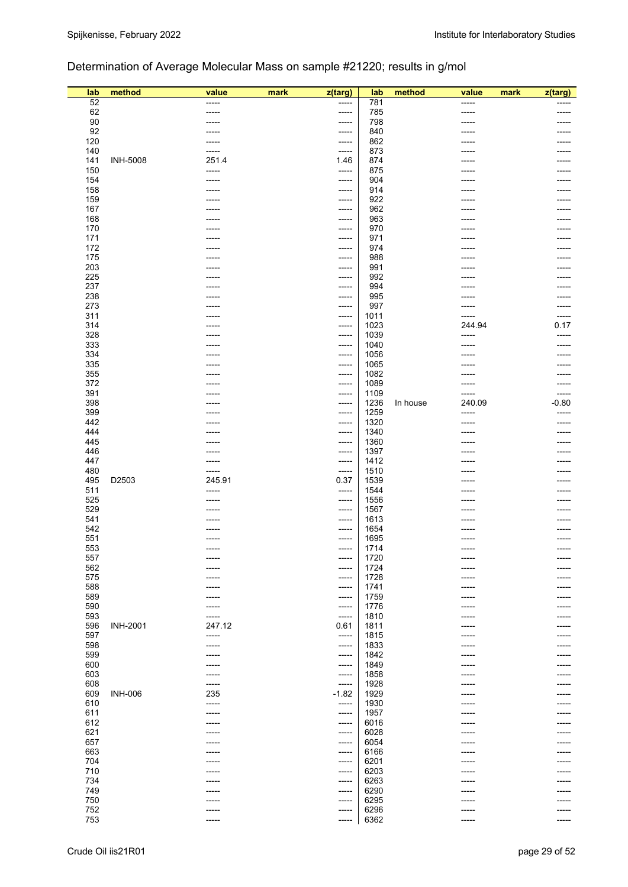## Determination of Average Molecular Mass on sample #21220; results in g/mol

| lab        | method          | value  | mark | z(targ)        | lab          | method   | value  | mark | z(targ) |
|------------|-----------------|--------|------|----------------|--------------|----------|--------|------|---------|
| 52         |                 | -----  |      | $-----$        | 781          |          | -----  |      |         |
| 62         |                 | -----  |      | -----          | 785          |          | -----  |      | -----   |
| 90         |                 | -----  |      | -----          | 798          |          | -----  |      |         |
| 92         |                 | -----  |      | -----          | 840          |          | -----  |      | -----   |
| 120        |                 | -----  |      | -----          | 862          |          | -----  |      | -----   |
| 140        |                 | -----  |      | -----          | 873          |          | -----  |      |         |
| 141        | <b>INH-5008</b> | 251.4  |      | 1.46           | 874          |          | -----  |      |         |
| 150        |                 | -----  |      | -----          | 875          |          | -----  |      |         |
| 154        |                 | -----  |      | -----          | 904          |          |        |      |         |
| 158<br>159 |                 |        |      | -----<br>----- | 914          |          | -----  |      |         |
| 167        |                 |        |      | -----          | 922<br>962   |          | -----  |      |         |
| 168        |                 |        |      | -----          | 963          |          |        |      |         |
| 170        |                 |        |      | -----          | 970          |          |        |      |         |
| 171        |                 |        |      | -----          | 971          |          | -----  |      |         |
| 172        |                 |        |      | -----          | 974          |          |        |      |         |
| 175        |                 |        |      | -----          | 988          |          | -----  |      |         |
| 203        |                 |        |      | -----          | 991          |          |        |      |         |
| 225        |                 |        |      | -----          | 992          |          | -----  |      |         |
| 237        |                 | -----  |      | -----          | 994          |          | -----  |      | -----   |
| 238        |                 |        |      | -----          | 995          |          | -----  |      | -----   |
| 273        |                 |        |      | -----          | 997          |          | -----  |      | -----   |
| 311        |                 |        |      | $-----$        | 1011         |          | -----  |      | -----   |
| 314        |                 |        |      | -----          | 1023         |          | 244.94 |      | 0.17    |
| 328        |                 |        |      | -----          | 1039         |          | -----  |      | -----   |
| 333        |                 |        |      | -----          | 1040         |          | -----  |      | -----   |
| 334        |                 |        |      | -----          | 1056         |          | -----  |      |         |
| 335        |                 |        |      | -----          | 1065         |          |        |      |         |
| 355        |                 |        |      | -----          | 1082         |          |        |      |         |
| 372        |                 | -----  |      | $-----$        | 1089         |          | -----  |      | -----   |
| 391        |                 |        |      | -----          | 1109         |          | -----  |      | -----   |
| 398        |                 |        |      | -----          | 1236         | In house | 240.09 |      | $-0.80$ |
| 399        |                 |        |      | -----          | 1259         |          | -----  |      | -----   |
| 442        |                 | -----  |      | -----          | 1320         |          | -----  |      | -----   |
| 444        |                 |        |      | -----          | 1340         |          | -----  |      |         |
| 445        |                 |        |      | -----          | 1360         |          | -----  |      |         |
| 446        |                 | -----  |      | $-----$        | 1397         |          | -----  |      |         |
| 447        |                 | -----  |      | -----          | 1412         |          | -----  |      |         |
| 480        |                 | -----  |      | -----          | 1510         |          |        |      |         |
| 495        | D2503           | 245.91 |      | 0.37           | 1539         |          |        |      |         |
| 511        |                 | -----  |      | -----          | 1544         |          | -----  |      |         |
| 525        |                 | -----  |      | -----          | 1556         |          | -----  |      |         |
| 529        |                 |        |      | -----          | 1567         |          |        |      |         |
| 541<br>542 |                 |        |      | -----<br>----- | 1613         |          |        |      |         |
| 551        |                 |        |      | -----          | 1654<br>1695 |          |        |      |         |
| 553        |                 | -----  |      | -----          | 1714         |          | -----  |      | ------  |
| 557        |                 | -----  |      | -----          | 1720         |          | -----  |      |         |
| 562        |                 | -----  |      | -----          | 1724         |          | -----  |      |         |
| 575        |                 |        |      | -----          | 1728         |          |        |      |         |
| 588        |                 |        |      | -----          | 1741         |          |        |      |         |
| 589        |                 |        |      | -----          | 1759         |          |        |      |         |
| 590        |                 |        |      | -----          | 1776         |          |        |      |         |
| 593        |                 | -----  |      | -----          | 1810         |          |        |      |         |
| 596        | <b>INH-2001</b> | 247.12 |      | 0.61           | 1811         |          |        |      |         |
| 597        |                 | -----  |      | -----          | 1815         |          |        |      |         |
| 598        |                 | -----  |      | -----          | 1833         |          |        |      |         |
| 599        |                 |        |      | -----          | 1842         |          |        |      |         |
| 600        |                 |        |      | -----          | 1849         |          |        |      |         |
| 603        |                 | -----  |      | -----          | 1858         |          |        |      |         |
| 608        |                 | -----  |      | -----          | 1928         |          |        |      |         |
| 609        | <b>INH-006</b>  | 235    |      | $-1.82$        | 1929         |          |        |      |         |
| 610        |                 | -----  |      | -----          | 1930         |          |        |      |         |
| 611        |                 | -----  |      | -----          | 1957         |          |        |      |         |
| 612        |                 |        |      | -----          | 6016         |          |        |      |         |
| 621        |                 |        |      | $-----$        | 6028         |          |        |      |         |
| 657        |                 |        |      | $-----$        | 6054         |          | -----  |      |         |
| 663        |                 |        |      | -----          | 6166         |          |        |      |         |
| 704        |                 |        |      | -----          | 6201         |          |        |      |         |
| 710        |                 |        |      | -----          | 6203         |          |        |      |         |
| 734        |                 |        |      | -----          | 6263         |          |        |      |         |
| 749        |                 |        |      | -----          | 6290         |          |        |      |         |
| 750<br>752 |                 |        |      | -----          | 6295<br>6296 |          |        |      |         |
| 753        |                 | -----  |      | -----<br>----- | 6362         |          | -----  |      | -----   |
|            |                 |        |      |                |              |          |        |      |         |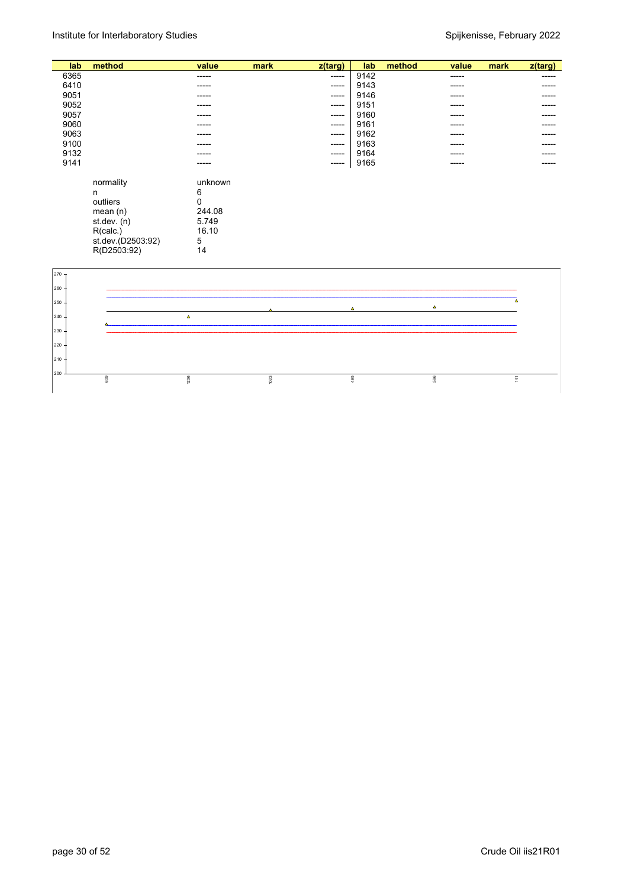| lab  | method            | value    | mark | z(targ) | lab  | method | value       | mark | $z$ (targ)  |
|------|-------------------|----------|------|---------|------|--------|-------------|------|-------------|
| 6365 |                   | -----    |      | -----   | 9142 |        | $- - - - -$ |      | -----       |
| 6410 |                   | -----    |      | -----   | 9143 |        | -----       |      | $- - - - -$ |
| 9051 |                   | -----    |      | -----   | 9146 |        | $- - - - -$ |      | -----       |
| 9052 |                   | -----    |      | -----   | 9151 |        | -----       |      | -----       |
| 9057 |                   |          |      |         | 9160 |        |             |      |             |
|      |                   | -----    |      | -----   |      |        | $- - - - -$ |      | ------      |
| 9060 |                   | -----    |      | -----   | 9161 |        | -----       |      | $- - - - -$ |
| 9063 |                   | -----    |      | -----   | 9162 |        | $- - - - -$ |      | -----       |
| 9100 |                   | -----    |      | -----   | 9163 |        | -----       |      | ------      |
| 9132 |                   | -----    |      | ------  | 9164 |        | -----       |      | -----       |
| 9141 |                   | -----    |      | -----   | 9165 |        | -----       |      | -----       |
|      |                   |          |      |         |      |        |             |      |             |
|      | normality         | unknown  |      |         |      |        |             |      |             |
|      | n                 | 6        |      |         |      |        |             |      |             |
|      | outliers          | $\Omega$ |      |         |      |        |             |      |             |
|      | mean $(n)$        | 244.08   |      |         |      |        |             |      |             |
|      | st.dev. (n)       | 5.749    |      |         |      |        |             |      |             |
|      | R(calc.)          | 16.10    |      |         |      |        |             |      |             |
|      | st.dev.(D2503:92) | 5        |      |         |      |        |             |      |             |
|      | R(D2503:92)       | 14       |      |         |      |        |             |      |             |
|      |                   |          |      |         |      |        |             |      |             |

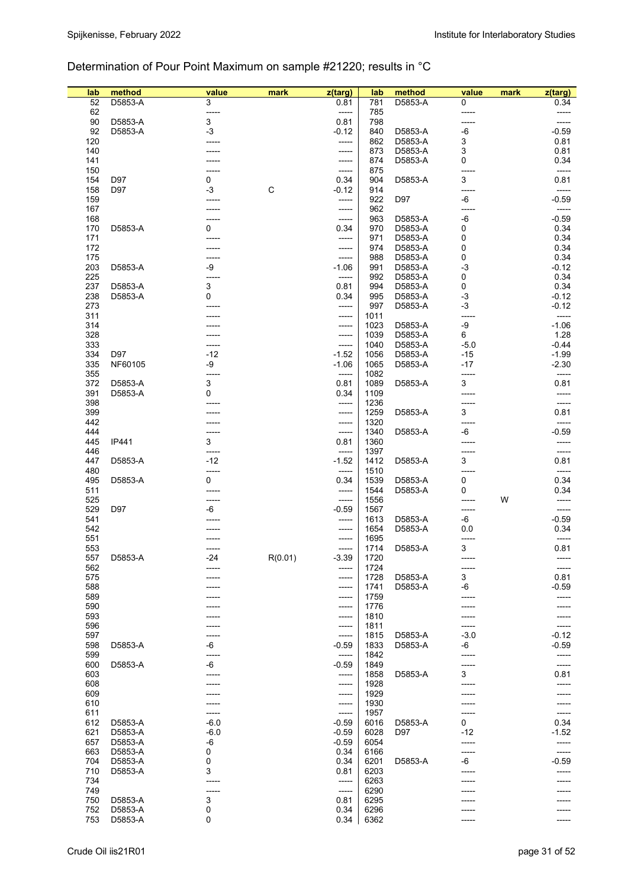## Determination of Pour Point Maximum on sample #21220; results in °C

| lab        | method  | value      | mark        | z(targ)        | lab          | method  | value      | mark | z(targ)          |
|------------|---------|------------|-------------|----------------|--------------|---------|------------|------|------------------|
| 52         | D5853-A | 3          |             | 0.81           | 781          | D5853-A | 0          |      | 0.34             |
| 62         |         | -----      |             | -----          | 785          |         |            |      | -----            |
| 90         | D5853-A | 3          |             | 0.81           | 798          |         |            |      | -----            |
| 92         | D5853-A | $-3$       |             | $-0.12$        | 840          | D5853-A | -6         |      | $-0.59$          |
| 120        |         |            |             | -----          | 862          | D5853-A | 3          |      | 0.81             |
| 140        |         |            |             | -----          | 873          | D5853-A | 3          |      | 0.81             |
| 141        |         |            |             | -----          | 874          | D5853-A | 0          |      | 0.34             |
| 150<br>154 | D97     |            |             | -----<br>0.34  | 875<br>904   |         | 3          |      | -----<br>0.81    |
| 158        | D97     | 0<br>$-3$  | $\mathsf C$ | $-0.12$        | 914          | D5853-A | -----      |      | -----            |
| 159        |         |            |             | -----          | 922          | D97     | -6         |      | $-0.59$          |
| 167        |         |            |             | -----          | 962          |         |            |      | -----            |
| 168        |         |            |             | -----          | 963          | D5853-A | -6         |      | $-0.59$          |
| 170        | D5853-A | 0          |             | 0.34           | 970          | D5853-A | 0          |      | 0.34             |
| 171        |         |            |             | -----          | 971          | D5853-A | 0          |      | 0.34             |
| 172        |         |            |             | -----          | 974          | D5853-A | 0          |      | 0.34             |
| 175        |         | -----      |             | -----          | 988          | D5853-A | 0          |      | 0.34             |
| 203        | D5853-A | -9         |             | $-1.06$        | 991          | D5853-A | $-3$       |      | $-0.12$          |
| 225        |         |            |             | -----          | 992          | D5853-A | 0          |      | 0.34             |
| 237        | D5853-A | 3          |             | 0.81           | 994          | D5853-A | 0          |      | 0.34             |
| 238        | D5853-A | 0          |             | 0.34           | 995          | D5853-A | $-3$       |      | $-0.12$          |
| 273        |         |            |             | -----          | 997          | D5853-A | $-3$       |      | $-0.12$          |
| 311<br>314 |         |            |             | -----          | 1011         | D5853-A | -9         |      | -----<br>$-1.06$ |
| 328        |         |            |             | -----<br>----- | 1023<br>1039 | D5853-A | 6          |      | 1.28             |
| 333        |         |            |             | -----          | 1040         | D5853-A | $-5.0$     |      | $-0.44$          |
| 334        | D97     | $-12$      |             | $-1.52$        | 1056         | D5853-A | $-15$      |      | $-1.99$          |
| 335        | NF60105 | -9         |             | $-1.06$        | 1065         | D5853-A | $-17$      |      | $-2.30$          |
| 355        |         | -----      |             | -----          | 1082         |         | -----      |      | -----            |
| 372        | D5853-A | 3          |             | 0.81           | 1089         | D5853-A | 3          |      | 0.81             |
| 391        | D5853-A | 0          |             | 0.34           | 1109         |         |            |      |                  |
| 398        |         |            |             | -----          | 1236         |         |            |      | -----            |
| 399        |         |            |             | -----          | 1259         | D5853-A | 3          |      | 0.81             |
| 442        |         |            |             | -----          | 1320         |         |            |      | -----            |
| 444        |         |            |             | -----          | 1340         | D5853-A | -6         |      | $-0.59$          |
| 445        | IP441   | 3          |             | 0.81           | 1360         |         |            |      |                  |
| 446        |         |            |             | -----          | 1397         |         |            |      | -----            |
| 447        | D5853-A | $-12$      |             | $-1.52$        | 1412         | D5853-A | 3          |      | 0.81             |
| 480<br>495 | D5853-A | -----<br>0 |             | -----          | 1510<br>1539 | D5853-A | -----<br>0 |      | -----<br>0.34    |
| 511        |         |            |             | 0.34           | 1544         | D5853-A | 0          |      | 0.34             |
| 525        |         |            |             | -----<br>----- | 1556         |         |            | W    |                  |
| 529        | D97     | -6         |             | $-0.59$        | 1567         |         | -----      |      | -----            |
| 541        |         |            |             | -----          | 1613         | D5853-A | -6         |      | $-0.59$          |
| 542        |         |            |             | -----          | 1654         | D5853-A | 0.0        |      | 0.34             |
| 551        |         |            |             | -----          | 1695         |         |            |      |                  |
| 553        |         | -----      |             | -----          | 1714         | D5853-A | 3          |      | 0.81             |
| 557        | D5853-A | $-24$      | R(0.01)     | $-3.39$        | 1720         |         |            |      | -----            |
| 562        |         |            |             | -----          | 1724         |         | -----      |      | -----            |
| 575        |         |            |             | -----          | 1728         | D5853-A | 3          |      | 0.81             |
| 588        |         |            |             | -----          | 1741         | D5853-A | -6         |      | $-0.59$          |
| 589        |         |            |             | -----          | 1759         |         |            |      |                  |
| 590<br>593 |         |            |             | -----<br>----- | 1776<br>1810 |         | -----      |      | -----            |
| 596        |         |            |             | -----          | 1811         |         |            |      | -----            |
| 597        |         |            |             | -----          | 1815         | D5853-A | $-3.0$     |      | $-0.12$          |
| 598        | D5853-A | -6         |             | $-0.59$        | 1833         | D5853-A | -6         |      | -0.59            |
| 599        |         | -----      |             | -----          | 1842         |         | -----      |      | -----            |
| 600        | D5853-A | -6         |             | $-0.59$        | 1849         |         |            |      | -----            |
| 603        |         |            |             | -----          | 1858         | D5853-A | 3          |      | 0.81             |
| 608        |         |            |             | -----          | 1928         |         |            |      | -----            |
| 609        |         |            |             | -----          | 1929         |         |            |      | -----            |
| 610        |         |            |             | -----          | 1930         |         |            |      |                  |
| 611        |         | -----      |             | -----          | 1957         |         |            |      | -----            |
| 612        | D5853-A | $-6.0$     |             | $-0.59$        | 6016         | D5853-A | 0          |      | 0.34             |
| 621        | D5853-A | -6.0       |             | $-0.59$        | 6028         | D97     | $-12$      |      | $-1.52$          |
| 657        | D5853-A | -6         |             | $-0.59$        | 6054         |         |            |      |                  |
| 663        | D5853-A | 0          |             | 0.34           | 6166         |         |            |      | -----            |
| 704        | D5853-A | 0          |             | 0.34           | 6201         | D5853-A | -6         |      | $-0.59$          |
| 710        | D5853-A | 3          |             | 0.81           | 6203         |         |            |      |                  |
| 734        |         |            |             | -----          | 6263         |         |            |      |                  |
| 749<br>750 | D5853-A | 3          |             | -----<br>0.81  | 6290<br>6295 |         |            |      |                  |
| 752        | D5853-A | 0          |             | 0.34           | 6296         |         |            |      |                  |
| 753        | D5853-A | 0          |             | 0.34           | 6362         |         | -----      |      |                  |
|            |         |            |             |                |              |         |            |      |                  |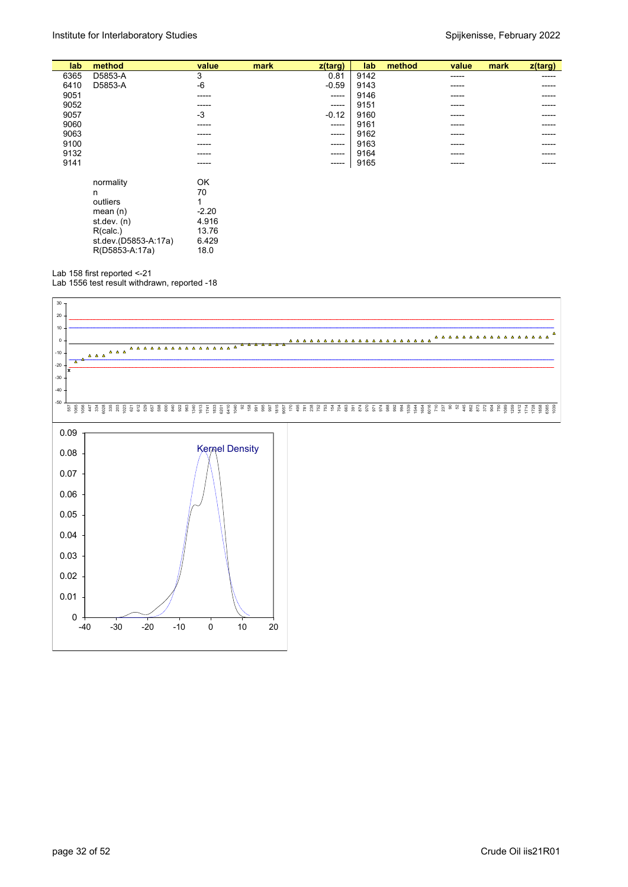| lab  | method               | value   | mark | $z$ (targ) | lab  | method | value  | mark | z(targ) |
|------|----------------------|---------|------|------------|------|--------|--------|------|---------|
| 6365 | D5853-A              | 3       |      | 0.81       | 9142 |        | -----  |      | -----   |
| 6410 | D5853-A              | $-6$    |      | $-0.59$    | 9143 |        | -----  |      | -----   |
| 9051 |                      | -----   |      | $-----1$   | 9146 |        | ------ |      | ----    |
| 9052 |                      | -----   |      | ------     | 9151 |        | -----  |      | -----   |
| 9057 |                      | -3      |      | $-0.12$    | 9160 |        | -----  |      | -----   |
| 9060 |                      | -----   |      | ------     | 9161 |        | -----  |      |         |
| 9063 |                      | -----   |      | ------     | 9162 |        | -----  |      | -----   |
| 9100 |                      | -----   |      | -----      | 9163 |        | -----  |      | -----   |
| 9132 |                      | -----   |      | -----      | 9164 |        | ------ |      | -----   |
| 9141 |                      | ------  |      | ------     | 9165 |        | ------ |      | -----   |
|      |                      |         |      |            |      |        |        |      |         |
|      | normality            | OK      |      |            |      |        |        |      |         |
|      | n                    | 70      |      |            |      |        |        |      |         |
|      | outliers             |         |      |            |      |        |        |      |         |
|      | mean $(n)$           | $-2.20$ |      |            |      |        |        |      |         |
|      | st.dev. $(n)$        | 4.916   |      |            |      |        |        |      |         |
|      | R(calc.)             | 13.76   |      |            |      |        |        |      |         |
|      | st.dev.(D5853-A:17a) | 6.429   |      |            |      |        |        |      |         |
|      | R(D5853-A:17a)       | 18.0    |      |            |      |        |        |      |         |
|      |                      |         |      |            |      |        |        |      |         |

Lab 158 first reported <-21

Lab 1556 test result withdrawn, reported -18

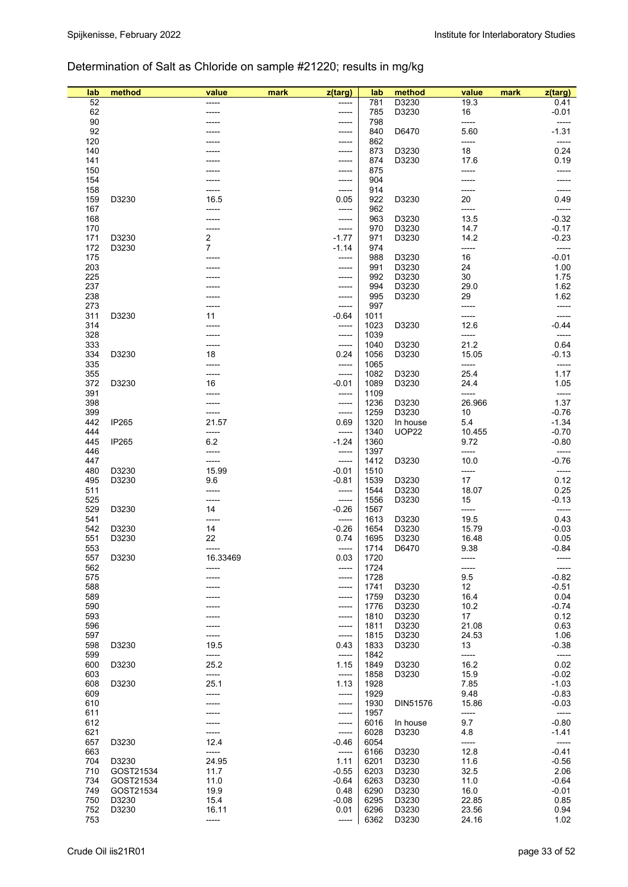## Determination of Salt as Chloride on sample #21220; results in mg/kg

| lab        | method             | value             | mark | z(targ)          | lab          | method         | value         | mark | z(targ)          |
|------------|--------------------|-------------------|------|------------------|--------------|----------------|---------------|------|------------------|
| 52         |                    |                   |      |                  | 781          | D3230          | 19.3          |      | 0.41             |
| 62         |                    |                   |      | -----            | 785          | D3230          | 16            |      | $-0.01$          |
| 90<br>92   |                    |                   |      |                  | 798<br>840   | D6470          | -----<br>5.60 |      | -----<br>$-1.31$ |
| 120        |                    |                   |      |                  | 862          |                | -----         |      | -----            |
| 140        |                    |                   |      | -----            | 873          | D3230          | 18            |      | 0.24             |
| 141        |                    |                   |      |                  | 874          | D3230          | 17.6          |      | 0.19             |
| 150        |                    |                   |      |                  | 875          |                |               |      | -----            |
| 154        |                    |                   |      | -----            | 904          |                |               |      |                  |
| 158        |                    |                   |      | -----            | 914          |                | -----         |      |                  |
| 159        | D3230              | 16.5              |      | 0.05             | 922          | D3230          | 20            |      | 0.49             |
| 167<br>168 |                    |                   |      | -----            | 962<br>963   | D3230          | -----<br>13.5 |      | $-0.32$          |
| 170        |                    |                   |      | -----<br>-----   | 970          | D3230          | 14.7          |      | $-0.17$          |
| 171        | D3230              | 2                 |      | $-1.77$          | 971          | D3230          | 14.2          |      | $-0.23$          |
| 172        | D3230              | 7                 |      | $-1.14$          | 974          |                | -----         |      | -----            |
| 175        |                    |                   |      | -----            | 988          | D3230          | 16            |      | $-0.01$          |
| 203        |                    |                   |      |                  | 991          | D3230          | 24            |      | 1.00             |
| 225        |                    |                   |      |                  | 992          | D3230          | 30            |      | 1.75             |
| 237        |                    |                   |      |                  | 994          | D3230          | 29.0          |      | 1.62             |
| 238        |                    |                   |      | -----            | 995          | D3230          | 29            |      | 1.62             |
| 273        |                    |                   |      | -----            | 997          |                | -----         |      |                  |
| 311<br>314 | D3230              | 11                |      | $-0.64$          | 1011<br>1023 | D3230          | -----         |      | $-0.44$          |
| 328        |                    |                   |      | -----<br>-----   | 1039         |                | 12.6<br>----- |      | -----            |
| 333        |                    | ----              |      | -----            | 1040         | D3230          | 21.2          |      | 0.64             |
| 334        | D3230              | 18                |      | 0.24             | 1056         | D3230          | 15.05         |      | -0.13            |
| 335        |                    |                   |      | -----            | 1065         |                | -----         |      | -----            |
| 355        |                    | -----             |      | -----            | 1082         | D3230          | 25.4          |      | 1.17             |
| 372        | D3230              | 16                |      | $-0.01$          | 1089         | D3230          | 24.4          |      | 1.05             |
| 391        |                    |                   |      | -----            | 1109         |                | -----         |      | -----            |
| 398        |                    |                   |      | -----            | 1236         | D3230          | 26.966        |      | 1.37             |
| 399        |                    | -----             |      | -----            | 1259         | D3230          | 10            |      | $-0.76$          |
| 442        | IP265              | 21.57             |      | 0.69             | 1320         | In house       | 5.4           |      | $-1.34$          |
| 444        |                    | -----             |      | -----            | 1340         | <b>UOP22</b>   | 10.455        |      | $-0.70$          |
| 445<br>446 | IP265              | 6.2<br>-----      |      | $-1.24$<br>----- | 1360<br>1397 |                | 9.72<br>----- |      | $-0.80$<br>----- |
| 447        |                    | -----             |      | -----            | 1412         | D3230          | 10.0          |      | $-0.76$          |
| 480        | D3230              | 15.99             |      | $-0.01$          | 1510         |                | -----         |      | -----            |
| 495        | D3230              | 9.6               |      | $-0.81$          | 1539         | D3230          | 17            |      | 0.12             |
| 511        |                    |                   |      | -----            | 1544         | D3230          | 18.07         |      | 0.25             |
| 525        |                    |                   |      | -----            | 1556         | D3230          | 15            |      | -0.13            |
| 529        | D3230              | 14                |      | $-0.26$          | 1567         |                | -----         |      | -----            |
| 541        |                    | -----             |      | -----            | 1613         | D3230          | 19.5          |      | 0.43             |
| 542        | D3230              | 14                |      | $-0.26$          | 1654         | D3230          | 15.79         |      | $-0.03$          |
| 551        | D3230              | 22                |      | 0.74             | 1695         | D3230          | 16.48         |      | 0.05             |
| 553<br>557 | D3230              | -----<br>16.33469 |      | -----<br>0.03    | 1714<br>1720 | D6470          | 9.38          |      | $-0.84$          |
| 562        |                    |                   |      | -----            | 1724         |                | -----         |      | -----            |
| 575        |                    |                   |      | -----            | 1728         |                | 9.5           |      | $-0.82$          |
| 588        |                    |                   |      | -----            | 1741         | D3230          | 12            |      | $-0.51$          |
| 589        |                    |                   |      | -----            | 1759         | D3230          | 16.4          |      | 0.04             |
| 590        |                    |                   |      | -----            | 1776         | D3230          | 10.2          |      | -0.74            |
| 593        |                    |                   |      | -----            | 1810         | D3230          | 17            |      | 0.12             |
| 596        |                    |                   |      | -----            | 1811         | D3230          | 21.08         |      | 0.63             |
| 597        |                    |                   |      | -----            | 1815         | D3230          | 24.53         |      | 1.06             |
| 598<br>599 | D3230              | 19.5<br>-----     |      | 0.43             | 1833<br>1842 | D3230          | 13<br>-----   |      | $-0.38$<br>----- |
| 600        | D3230              | 25.2              |      | -----<br>1.15    | 1849         | D3230          | 16.2          |      | 0.02             |
| 603        |                    | -----             |      | -----            | 1858         | D3230          | 15.9          |      | $-0.02$          |
| 608        | D3230              | 25.1              |      | 1.13             | 1928         |                | 7.85          |      | $-1.03$          |
| 609        |                    | -----             |      | -----            | 1929         |                | 9.48          |      | $-0.83$          |
| 610        |                    |                   |      | -----            | 1930         | DIN51576       | 15.86         |      | $-0.03$          |
| 611        |                    |                   |      | -----            | 1957         |                | -----         |      | -----            |
| 612        |                    |                   |      | -----            | 6016         | In house       | 9.7           |      | $-0.80$          |
| 621        |                    | -----             |      | -----            | 6028         | D3230          | 4.8           |      | $-1.41$          |
| 657        | D3230              | 12.4              |      | $-0.46$          | 6054         |                | -----         |      | -----            |
| 663        |                    | -----             |      | -----            | 6166         | D3230          | 12.8          |      | $-0.41$          |
| 704<br>710 | D3230<br>GOST21534 | 24.95<br>11.7     |      | 1.11<br>$-0.55$  | 6201<br>6203 | D3230<br>D3230 | 11.6<br>32.5  |      | $-0.56$<br>2.06  |
| 734        | GOST21534          | 11.0              |      | $-0.64$          | 6263         | D3230          | 11.0          |      | $-0.64$          |
| 749        | GOST21534          | 19.9              |      | 0.48             | 6290         | D3230          | 16.0          |      | $-0.01$          |
| 750        | D3230              | 15.4              |      | $-0.08$          | 6295         | D3230          | 22.85         |      | 0.85             |
| 752        | D3230              | 16.11             |      | 0.01             | 6296         | D3230          | 23.56         |      | 0.94             |
| 753        |                    | -----             |      | -----            | 6362         | D3230          | 24.16         |      | 1.02             |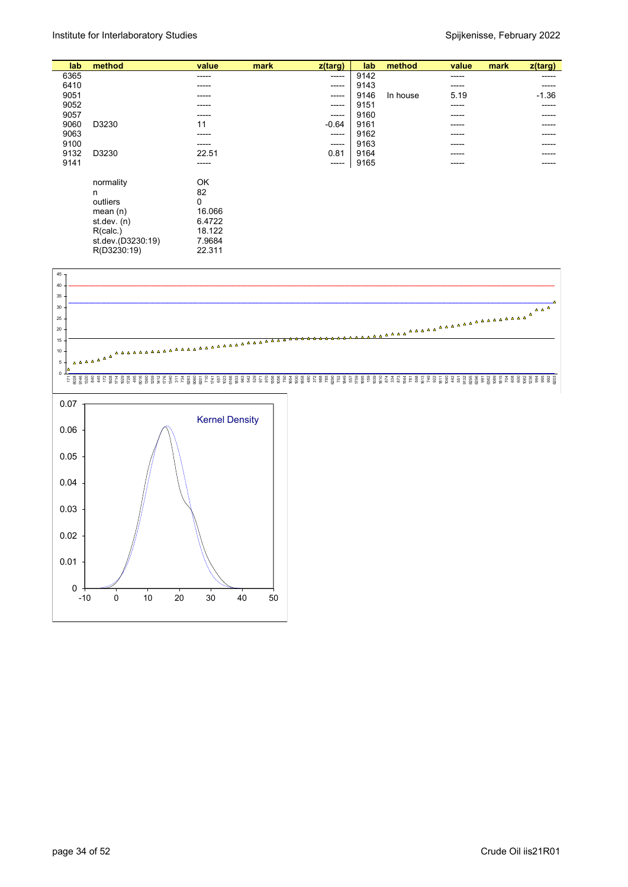| lab  | method            | value  | mark | z(targ) | lab  | method   | value | mark | z(targ) |
|------|-------------------|--------|------|---------|------|----------|-------|------|---------|
| 6365 |                   | -----  |      | -----   | 9142 |          | ----- |      | -----   |
| 6410 |                   | -----  |      | ------  | 9143 |          |       |      |         |
| 9051 |                   | -----  |      | -----   | 9146 | In house | 5.19  |      | $-1.36$ |
| 9052 |                   | -----  |      | -----   | 9151 |          | ----- |      | -----   |
| 9057 |                   | -----  |      | -----   | 9160 |          | ----  |      | -----   |
| 9060 | D3230             | 11     |      | $-0.64$ | 9161 |          | ----  |      |         |
| 9063 |                   | -----  |      | -----   | 9162 |          | ----- |      |         |
| 9100 |                   | -----  |      | -----   | 9163 |          | ----  |      |         |
| 9132 | D3230             | 22.51  |      | 0.81    | 9164 |          | ----- |      | -----   |
| 9141 |                   | -----  |      | ------  | 9165 |          | ----- |      |         |
|      |                   |        |      |         |      |          |       |      |         |
|      | normality         | OK     |      |         |      |          |       |      |         |
|      | n                 | 82     |      |         |      |          |       |      |         |
|      | outliers          | 0      |      |         |      |          |       |      |         |
|      |                   |        |      |         |      |          |       |      |         |
|      | mean $(n)$        | 16.066 |      |         |      |          |       |      |         |
|      | st dev. $(n)$     | 6.4722 |      |         |      |          |       |      |         |
|      | R(calc.)          | 18.122 |      |         |      |          |       |      |         |
|      | st.dev.(D3230:19) | 7.9684 |      |         |      |          |       |      |         |
|      |                   |        |      |         |      |          |       |      |         |
|      | R(D3230:19)       | 22.311 |      |         |      |          |       |      |         |

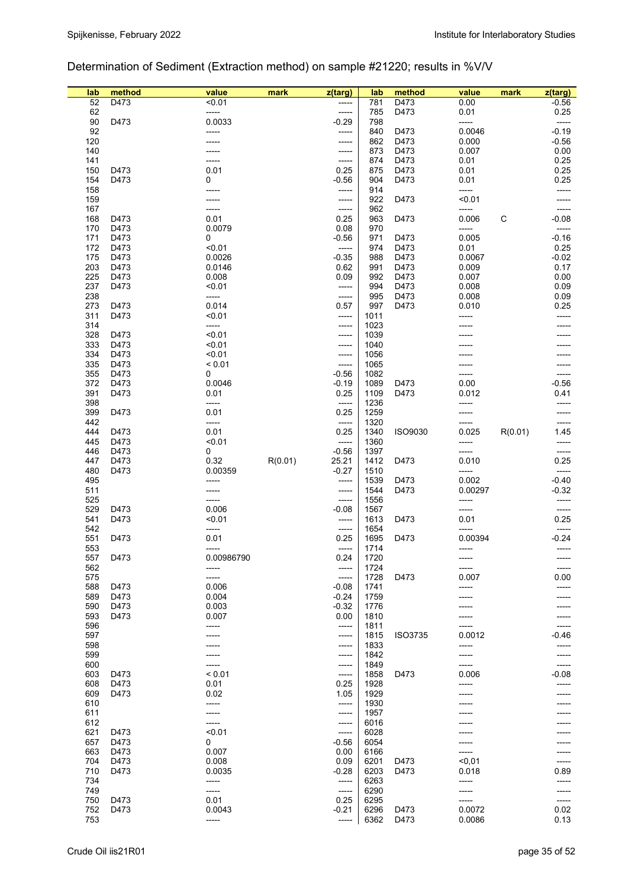## Determination of Sediment (Extraction method) on sample #21220; results in %V/V

| lab | method | value      | mark    | z(targ) | lab  | method         | value   | mark    | $z$ (targ) |
|-----|--------|------------|---------|---------|------|----------------|---------|---------|------------|
| 52  | D473   | < 0.01     |         |         | 781  | D473           | 0.00    |         | $-0.56$    |
| 62  |        | -----      |         | $-----$ | 785  | D473           | 0.01    |         | 0.25       |
| 90  | D473   | 0.0033     |         | $-0.29$ | 798  |                | -----   |         | -----      |
| 92  |        |            |         |         |      |                |         |         |            |
|     |        | -----      |         | -----   | 840  | D473           | 0.0046  |         | $-0.19$    |
| 120 |        |            |         | -----   | 862  | D473           | 0.000   |         | $-0.56$    |
| 140 |        |            |         | -----   | 873  | D473           | 0.007   |         | 0.00       |
| 141 |        |            |         | -----   | 874  | D473           | 0.01    |         | 0.25       |
| 150 | D473   | 0.01       |         | 0.25    | 875  | D473           | 0.01    |         | 0.25       |
| 154 | D473   | 0          |         | $-0.56$ | 904  | D473           | 0.01    |         | 0.25       |
| 158 |        | -----      |         | -----   | 914  |                | -----   |         | -----      |
| 159 |        |            |         | -----   | 922  | D473           | < 0.01  |         |            |
| 167 |        | ----       |         | -----   | 962  |                | -----   |         |            |
| 168 | D473   | 0.01       |         | 0.25    | 963  | D473           | 0.006   | С       | $-0.08$    |
| 170 | D473   | 0.0079     |         | 0.08    | 970  |                |         |         |            |
|     |        |            |         |         |      |                | -----   |         | -----      |
| 171 | D473   | 0          |         | $-0.56$ | 971  | D473           | 0.005   |         | $-0.16$    |
| 172 | D473   | < 0.01     |         | -----   | 974  | D473           | 0.01    |         | 0.25       |
| 175 | D473   | 0.0026     |         | $-0.35$ | 988  | D473           | 0.0067  |         | $-0.02$    |
| 203 | D473   | 0.0146     |         | 0.62    | 991  | D473           | 0.009   |         | 0.17       |
| 225 | D473   | 0.008      |         | 0.09    | 992  | D473           | 0.007   |         | 0.00       |
| 237 | D473   | < 0.01     |         | -----   | 994  | D473           | 0.008   |         | 0.09       |
| 238 |        | -----      |         | -----   | 995  | D473           | 0.008   |         | 0.09       |
| 273 | D473   | 0.014      |         | 0.57    | 997  | D473           | 0.010   |         | 0.25       |
| 311 | D473   | < 0.01     |         | -----   | 1011 |                | -----   |         | -----      |
| 314 |        | -----      |         | -----   | 1023 |                |         |         |            |
|     |        |            |         |         |      |                |         |         |            |
| 328 | D473   | < 0.01     |         | -----   | 1039 |                |         |         |            |
| 333 | D473   | < 0.01     |         | -----   | 1040 |                |         |         |            |
| 334 | D473   | < 0.01     |         | -----   | 1056 |                |         |         |            |
| 335 | D473   | < 0.01     |         | -----   | 1065 |                |         |         |            |
| 355 | D473   | 0          |         | $-0.56$ | 1082 |                | -----   |         |            |
| 372 | D473   | 0.0046     |         | $-0.19$ | 1089 | D473           | 0.00    |         | $-0.56$    |
| 391 | D473   | 0.01       |         | 0.25    | 1109 | D473           | 0.012   |         | 0.41       |
| 398 |        | -----      |         | -----   | 1236 |                | -----   |         | -----      |
| 399 | D473   | 0.01       |         | 0.25    | 1259 |                | -----   |         | -----      |
|     |        |            |         |         |      |                |         |         |            |
| 442 |        | -----      |         | -----   | 1320 |                | -----   |         | -----      |
| 444 | D473   | 0.01       |         | 0.25    | 1340 | ISO9030        | 0.025   | R(0.01) | 1.45       |
| 445 | D473   | < 0.01     |         | -----   | 1360 |                | -----   |         | -----      |
| 446 | D473   | 0          |         | $-0.56$ | 1397 |                | -----   |         | -----      |
| 447 | D473   | 0.32       | R(0.01) | 25.21   | 1412 | D473           | 0.010   |         | 0.25       |
| 480 | D473   | 0.00359    |         | $-0.27$ | 1510 |                | -----   |         | -----      |
| 495 |        | -----      |         | -----   | 1539 | D473           | 0.002   |         | $-0.40$    |
| 511 |        |            |         | -----   | 1544 | D473           | 0.00297 |         | $-0.32$    |
| 525 |        | -----      |         | -----   | 1556 |                | -----   |         | -----      |
|     |        |            |         |         |      |                |         |         |            |
| 529 | D473   | 0.006      |         | $-0.08$ | 1567 |                | -----   |         | -----      |
| 541 | D473   | < 0.01     |         | -----   | 1613 | D473           | 0.01    |         | 0.25       |
| 542 |        | -----      |         | -----   | 1654 |                | -----   |         | -----      |
| 551 | D473   | 0.01       |         | 0.25    | 1695 | D473           | 0.00394 |         | $-0.24$    |
| 553 |        | -----      |         | -----   | 1714 |                | -----   |         | -----      |
| 557 | D473   | 0.00986790 |         | 0.24    | 1720 |                | -----   |         | -----      |
| 562 |        | -----      |         | -----   | 1724 |                | -----   |         | -----      |
| 575 |        | -----      |         | -----   | 1728 | D473           | 0.007   |         | 0.00       |
| 588 | D473   | 0.006      |         | $-0.08$ | 1741 |                |         |         | -----      |
|     |        | 0.004      |         |         |      |                |         |         |            |
| 589 | D473   |            |         | $-0.24$ | 1759 |                |         |         |            |
| 590 | D473   | 0.003      |         | $-0.32$ | 1776 |                |         |         |            |
| 593 | D473   | 0.007      |         | 0.00    | 1810 |                |         |         | -----      |
| 596 |        | -----      |         | -----   | 1811 |                |         |         | -----      |
| 597 |        |            |         | -----   | 1815 | <b>ISO3735</b> | 0.0012  |         | -0.46      |
| 598 |        |            |         | -----   | 1833 |                | -----   |         |            |
| 599 |        |            |         | -----   | 1842 |                | -----   |         | -----      |
| 600 |        |            |         | -----   | 1849 |                |         |         | -----      |
| 603 | D473   | < 0.01     |         | -----   | 1858 | D473           | 0.006   |         | $-0.08$    |
|     |        |            |         |         |      |                |         |         |            |
| 608 | D473   | 0.01       |         | 0.25    | 1928 |                | -----   |         |            |
| 609 | D473   | 0.02       |         | 1.05    | 1929 |                | -----   |         |            |
| 610 |        | -----      |         | -----   | 1930 |                |         |         |            |
| 611 |        |            |         | -----   | 1957 |                |         |         |            |
| 612 |        | -----      |         | -----   | 6016 |                |         |         |            |
| 621 | D473   | < 0.01     |         | -----   | 6028 |                |         |         |            |
| 657 | D473   | 0          |         | $-0.56$ | 6054 |                |         |         |            |
| 663 | D473   | 0.007      |         | 0.00    | 6166 |                |         |         | -----      |
| 704 | D473   | 0.008      |         | 0.09    | 6201 | D473           | < 0.01  |         | -----      |
|     |        |            |         |         |      |                |         |         |            |
| 710 | D473   | 0.0035     |         | $-0.28$ | 6203 | D473           | 0.018   |         | 0.89       |
| 734 |        | -----      |         | -----   | 6263 |                | -----   |         | -----      |
| 749 |        | -----      |         | -----   | 6290 |                |         |         | -----      |
| 750 | D473   | 0.01       |         | 0.25    | 6295 |                | -----   |         | -----      |
| 752 | D473   | 0.0043     |         | $-0.21$ | 6296 | D473           | 0.0072  |         | 0.02       |
| 753 |        | -----      |         | -----   | 6362 | D473           | 0.0086  |         | 0.13       |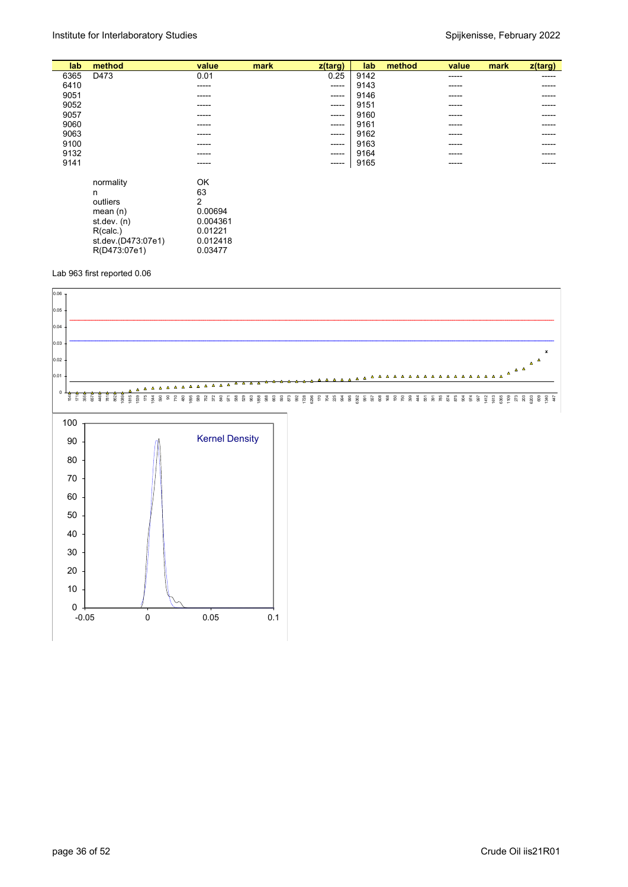|                    |                                |                     |       |                 |                             |        |       | z(targ)     |
|--------------------|--------------------------------|---------------------|-------|-----------------|-----------------------------|--------|-------|-------------|
|                    |                                |                     |       |                 |                             | -----  |       | ------      |
|                    | -----                          |                     | ----- |                 |                             | -----  |       | -----       |
|                    | -----                          |                     | ----- |                 |                             | -----  |       | -----       |
|                    | -----                          |                     | ----- | 9151            |                             | -----  |       | -----       |
|                    | -----                          |                     | ----- | 9160            |                             | -----  |       | -----       |
|                    | -----                          |                     | ----- | 9161            |                             | -----  |       |             |
|                    | -----                          |                     | ----- | 9162            |                             | -----  |       | $- - - - -$ |
|                    | -----                          |                     | ----- | 9163            |                             | -----  |       | -----       |
|                    | -----                          |                     | ----- | 9164            |                             | -----  |       | -----       |
|                    | -----                          |                     | ----- | 9165            |                             | -----  |       | -----       |
|                    |                                |                     |       |                 |                             |        |       |             |
| normality          | OK                             |                     |       |                 |                             |        |       |             |
| n                  |                                |                     |       |                 |                             |        |       |             |
| outliers           | 2                              |                     |       |                 |                             |        |       |             |
| mean $(n)$         | 0.00694                        |                     |       |                 |                             |        |       |             |
| st.dev. (n)        | 0.004361                       |                     |       |                 |                             |        |       |             |
| R(calc.)           | 0.01221                        |                     |       |                 |                             |        |       |             |
| st.dev.(D473:07e1) | 0.012418                       |                     |       |                 |                             |        |       |             |
|                    | 0.03477                        |                     |       |                 |                             |        |       |             |
|                    | method<br>D473<br>R(D473:07e1) | value<br>0.01<br>63 | mark  | z(targ)<br>0.25 | lab<br>9142<br>9143<br>9146 | method | value | mark        |

Lab 963 first reported 0.06

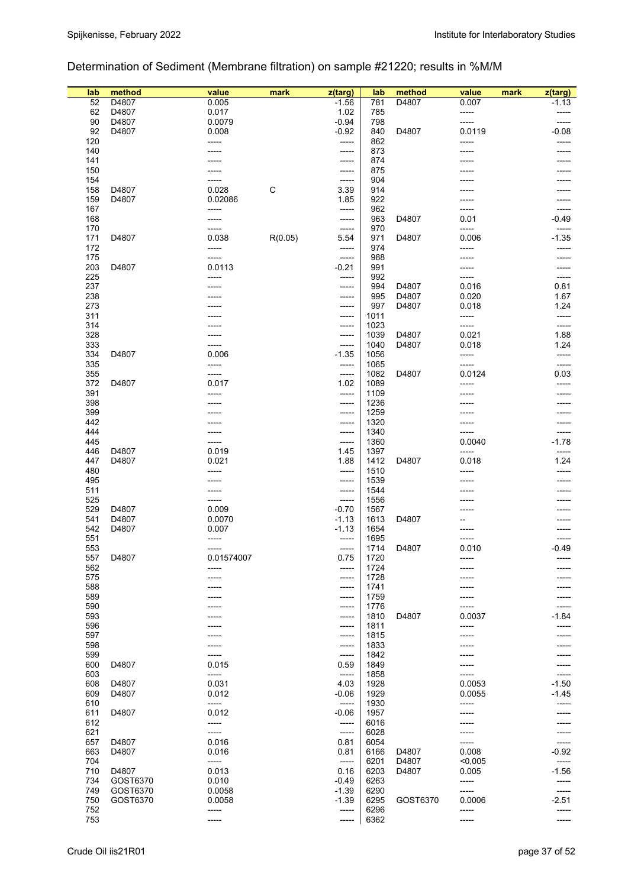## Determination of Sediment (Membrane filtration) on sample #21220; results in %M/M

| lab        | method   | value          | mark    | z(targ)          | lab          | method   | value           | mark | z(targ)        |
|------------|----------|----------------|---------|------------------|--------------|----------|-----------------|------|----------------|
| 52         | D4807    | 0.005          |         | $-1.56$          | 781          | D4807    | 0.007           |      | $-1.13$        |
| 62         | D4807    | 0.017          |         | 1.02             | 785          |          | -----           |      |                |
| 90         | D4807    | 0.0079         |         | $-0.94$          | 798          |          | -----           |      | -----          |
| 92         | D4807    | 0.008          |         | $-0.92$          | 840          | D4807    | 0.0119          |      | $-0.08$        |
| 120        |          | -----          |         | -----            | 862          |          | -----           |      | -----          |
| 140<br>141 |          |                |         | -----            | 873<br>874   |          |                 |      |                |
| 150        |          |                |         | -----<br>-----   | 875          |          |                 |      |                |
| 154        |          |                |         | -----            | 904          |          |                 |      |                |
| 158        | D4807    | 0.028          | С       | 3.39             | 914          |          |                 |      |                |
| 159        | D4807    | 0.02086        |         | 1.85             | 922          |          |                 |      |                |
| 167        |          | -----          |         | -----            | 962          |          |                 |      |                |
| 168        |          | -----          |         | -----            | 963          | D4807    | 0.01            |      | $-0.49$        |
| 170        |          | -----          |         | -----            | 970          |          | -----           |      |                |
| 171        | D4807    | 0.038          | R(0.05) | 5.54             | 971          | D4807    | 0.006           |      | $-1.35$        |
| 172<br>175 |          | -----<br>----- |         | -----<br>-----   | 974<br>988   |          | -----<br>-----  |      |                |
| 203        | D4807    | 0.0113         |         | $-0.21$          | 991          |          |                 |      |                |
| 225        |          | -----          |         | -----            | 992          |          | -----           |      | -----          |
| 237        |          |                |         | -----            | 994          | D4807    | 0.016           |      | 0.81           |
| 238        |          |                |         | -----            | 995          | D4807    | 0.020           |      | 1.67           |
| 273        |          |                |         | -----            | 997          | D4807    | 0.018           |      | 1.24           |
| 311        |          |                |         | -----            | 1011         |          | -----           |      | -----          |
| 314        |          |                |         | -----            | 1023         |          | -----           |      | -----          |
| 328        |          |                |         | -----            | 1039         | D4807    | 0.021           |      | 1.88           |
| 333        |          | -----          |         | -----            | 1040         | D4807    | 0.018           |      | 1.24           |
| 334        | D4807    | 0.006          |         | $-1.35$          | 1056         |          | -----           |      | -----          |
| 335<br>355 |          | -----<br>----- |         | -----            | 1065<br>1082 | D4807    | -----<br>0.0124 |      | -----<br>0.03  |
| 372        | D4807    | 0.017          |         | -----<br>1.02    | 1089         |          | -----           |      | -----          |
| 391        |          | -----          |         | -----            | 1109         |          | -----           |      |                |
| 398        |          |                |         | -----            | 1236         |          |                 |      |                |
| 399        |          |                |         | -----            | 1259         |          |                 |      |                |
| 442        |          |                |         | -----            | 1320         |          | -----           |      | -----          |
| 444        |          |                |         | -----            | 1340         |          |                 |      |                |
| 445        |          |                |         | -----            | 1360         |          | 0.0040          |      | $-1.78$        |
| 446        | D4807    | 0.019          |         | 1.45             | 1397         |          | -----           |      | -----          |
| 447        | D4807    | 0.021          |         | 1.88             | 1412         | D4807    | 0.018           |      | 1.24           |
| 480        |          | -----          |         | -----            | 1510         |          | -----           |      | -----          |
| 495<br>511 |          |                |         | -----<br>-----   | 1539<br>1544 |          |                 |      |                |
| 525        |          | -----          |         | -----            | 1556         |          |                 |      |                |
| 529        | D4807    | 0.009          |         | $-0.70$          | 1567         |          |                 |      |                |
| 541        | D4807    | 0.0070         |         | $-1.13$          | 1613         | D4807    |                 |      |                |
| 542        | D4807    | 0.007          |         | $-1.13$          | 1654         |          |                 |      |                |
| 551        |          | -----          |         | -----            | 1695         |          | -----           |      | -----          |
| 553        |          | -----          |         | -----            | 1714         | D4807    | 0.010           |      | $-0.49$        |
| 557        | D4807    | 0.01574007     |         | 0.75             | 1720         |          | -----           |      |                |
| 562        |          | -----          |         | -----            | 1724         |          |                 |      |                |
| 575        |          |                |         | -----            | 1728         |          |                 |      |                |
| 588<br>589 |          |                |         | -----<br>-----   | 1741<br>1759 |          |                 |      |                |
| 590        |          |                |         | -----            | 1776         |          |                 |      |                |
| 593        |          |                |         | -----            | 1810         | D4807    | 0.0037          |      | $-1.84$        |
| 596        |          |                |         | -----            | 1811         |          | -----           |      |                |
| 597        |          |                |         | -----            | 1815         |          | -----           |      |                |
| 598        |          |                |         | -----            | 1833         |          |                 |      |                |
| 599        |          | -----          |         | -----            | 1842         |          |                 |      |                |
| 600        | D4807    | 0.015          |         | 0.59             | 1849         |          |                 |      |                |
| 603        |          | -----          |         | -----            | 1858         |          | -----           |      | -----          |
| 608        | D4807    | 0.031          |         | 4.03             | 1928         |          | 0.0053          |      | $-1.50$        |
| 609<br>610 | D4807    | 0.012<br>----- |         | $-0.06$<br>----- | 1929<br>1930 |          | 0.0055<br>----- |      | $-1.45$        |
| 611        | D4807    | 0.012          |         | $-0.06$          | 1957         |          |                 |      |                |
| 612        |          | -----          |         | -----            | 6016         |          |                 |      |                |
| 621        |          | -----          |         | -----            | 6028         |          |                 |      |                |
| 657        | D4807    | 0.016          |         | 0.81             | 6054         |          | -----           |      |                |
| 663        | D4807    | 0.016          |         | 0.81             | 6166         | D4807    | 0.008           |      | $-0.92$        |
| 704        |          | -----          |         | $-----$          | 6201         | D4807    | < 0,005         |      | -----          |
| 710        | D4807    | 0.013          |         | 0.16             | 6203         | D4807    | 0.005           |      | $-1.56$        |
| 734        | GOST6370 | 0.010          |         | $-0.49$          | 6263         |          | -----           |      | -----          |
| 749        | GOST6370 | 0.0058         |         | $-1.39$          | 6290         |          |                 |      | -----          |
| 750<br>752 | GOST6370 | 0.0058         |         | $-1.39$          | 6295         | GOST6370 | 0.0006          |      | -2.51          |
| 753        |          | -----<br>----- |         | -----<br>-----   | 6296<br>6362 |          | -----<br>-----  |      | -----<br>----- |
|            |          |                |         |                  |              |          |                 |      |                |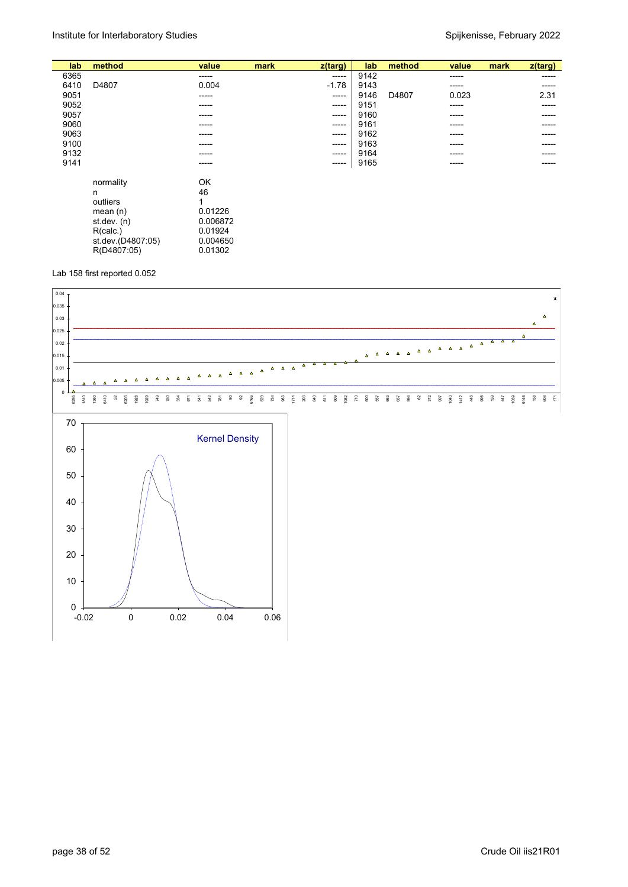| mark<br>$z$ (targ) |
|--------------------|
| -----              |
| -----              |
| 2.31               |
| -----              |
| -----              |
| -----              |
| -----              |
| -----              |
| -----              |
| -----              |
|                    |
|                    |
|                    |
|                    |
|                    |
|                    |
|                    |
|                    |
|                    |
|                    |
|                    |

#### Lab 158 first reported 0.052

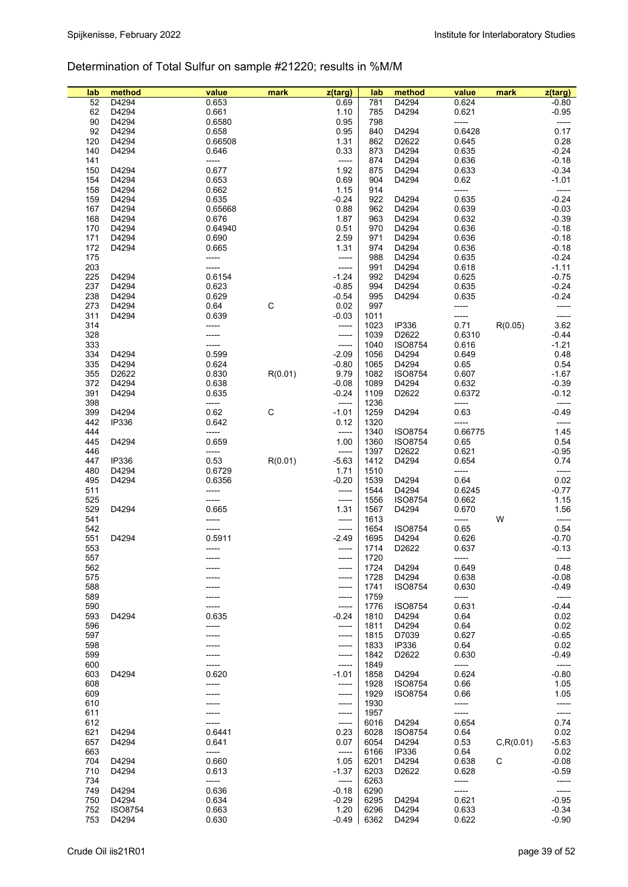## Determination of Total Sulfur on sample #21220; results in %M/M

| lab | method       | value   | mark    | z(targ) | lab  | method            | value   | mark       | z(targ)          |
|-----|--------------|---------|---------|---------|------|-------------------|---------|------------|------------------|
| 52  | D4294        | 0.653   |         | 0.69    | 781  | D4294             | 0.624   |            | $-0.80$          |
| 62  | D4294        | 0.661   |         | 1.10    | 785  | D4294             | 0.621   |            | $-0.95$          |
| 90  | D4294        | 0.6580  |         | 0.95    | 798  |                   | -----   |            | -----            |
| 92  | D4294        | 0.658   |         | 0.95    | 840  | D4294             | 0.6428  |            | 0.17             |
| 120 | D4294        | 0.66508 |         | 1.31    | 862  | D2622             | 0.645   |            | 0.28             |
| 140 | D4294        | 0.646   |         | 0.33    | 873  | D4294             | 0.635   |            | $-0.24$          |
| 141 |              | -----   |         | -----   | 874  | D4294             | 0.636   |            | $-0.18$          |
| 150 | D4294        | 0.677   |         | 1.92    | 875  | D4294             | 0.633   |            | $-0.34$          |
| 154 | D4294        | 0.653   |         | 0.69    | 904  | D4294             | 0.62    |            | $-1.01$          |
| 158 | D4294        | 0.662   |         | 1.15    | 914  |                   | -----   |            | -----            |
| 159 | D4294        | 0.635   |         |         | 922  | D4294             | 0.635   |            | $-0.24$          |
|     |              |         |         | $-0.24$ |      |                   |         |            |                  |
| 167 | D4294        | 0.65668 |         | 0.88    | 962  | D4294             | 0.639   |            | $-0.03$          |
| 168 | D4294        | 0.676   |         | 1.87    | 963  | D4294             | 0.632   |            | $-0.39$          |
| 170 | D4294        | 0.64940 |         | 0.51    | 970  | D4294             | 0.636   |            | $-0.18$          |
| 171 | D4294        | 0.690   |         | 2.59    | 971  | D4294             | 0.636   |            | $-0.18$          |
| 172 | D4294        | 0.665   |         | 1.31    | 974  | D4294             | 0.636   |            | $-0.18$          |
| 175 |              | -----   |         | -----   | 988  | D4294             | 0.635   |            | $-0.24$          |
| 203 |              | -----   |         | -----   | 991  | D4294             | 0.618   |            | $-1.11$          |
| 225 | D4294        | 0.6154  |         | $-1.24$ | 992  | D4294             | 0.625   |            | $-0.75$          |
| 237 | D4294        | 0.623   |         | $-0.85$ | 994  | D4294             | 0.635   |            | $-0.24$          |
| 238 | D4294        | 0.629   |         | $-0.54$ | 995  | D4294             | 0.635   |            | $-0.24$          |
| 273 | D4294        | 0.64    | С       | 0.02    | 997  |                   | -----   |            | -----            |
| 311 | D4294        | 0.639   |         | $-0.03$ | 1011 |                   | -----   |            | -----            |
| 314 |              | -----   |         | -----   | 1023 | <b>IP336</b>      | 0.71    | R(0.05)    | 3.62             |
| 328 |              | -----   |         | -----   | 1039 | D2622             | 0.6310  |            | $-0.44$          |
| 333 |              |         |         | -----   | 1040 | <b>ISO8754</b>    | 0.616   |            | $-1.21$          |
| 334 | D4294        | 0.599   |         | $-2.09$ | 1056 | D4294             | 0.649   |            | 0.48             |
| 335 | D4294        | 0.624   |         | $-0.80$ | 1065 | D4294             | 0.65    |            | 0.54             |
| 355 | D2622        | 0.830   | R(0.01) | 9.79    | 1082 | <b>ISO8754</b>    | 0.607   |            | $-1.67$          |
| 372 | D4294        | 0.638   |         | $-0.08$ | 1089 | D4294             | 0.632   |            | $-0.39$          |
|     |              |         |         |         |      |                   |         |            |                  |
| 391 | D4294        | 0.635   |         | $-0.24$ | 1109 | D2622             | 0.6372  |            | $-0.12$          |
| 398 |              | -----   |         | $-----$ | 1236 |                   | -----   |            | -----            |
| 399 | D4294        | 0.62    | С       | $-1.01$ | 1259 | D4294             | 0.63    |            | $-0.49$          |
| 442 | <b>IP336</b> | 0.642   |         | 0.12    | 1320 |                   | -----   |            | -----            |
| 444 |              | -----   |         | $-----$ | 1340 | <b>ISO8754</b>    | 0.66775 |            | 1.45             |
| 445 | D4294        | 0.659   |         | 1.00    | 1360 | <b>ISO8754</b>    | 0.65    |            | 0.54             |
| 446 |              | -----   |         | -----   | 1397 | D2622             | 0.621   |            | $-0.95$          |
| 447 | <b>IP336</b> | 0.53    | R(0.01) | $-5.63$ | 1412 | D4294             | 0.654   |            | 0.74             |
| 480 | D4294        | 0.6729  |         | 1.71    | 1510 |                   | -----   |            | -----            |
| 495 | D4294        | 0.6356  |         | $-0.20$ | 1539 | D4294             | 0.64    |            | 0.02             |
| 511 |              | -----   |         | -----   | 1544 | D4294             | 0.6245  |            | $-0.77$          |
| 525 |              | -----   |         | -----   | 1556 | <b>ISO8754</b>    | 0.662   |            | 1.15             |
| 529 | D4294        | 0.665   |         | 1.31    | 1567 | D4294             | 0.670   |            | 1.56             |
| 541 |              | -----   |         | -----   | 1613 |                   | -----   | W          | -----            |
| 542 |              | -----   |         | -----   | 1654 | <b>ISO8754</b>    | 0.65    |            | 0.54             |
| 551 | D4294        | 0.5911  |         | $-2.49$ | 1695 | D4294             | 0.626   |            | $-0.70$          |
| 553 |              | -----   |         | -----   | 1714 | D2622             | 0.637   |            | $-0.13$          |
| 557 |              |         |         | -----   | 1720 |                   | -----   |            | $-----$          |
| 562 |              |         |         | -----   | 1724 | D4294             | 0.649   |            | 0.48             |
| 575 |              |         |         | -----   | 1728 | D4294             | 0.638   |            | $-0.08$          |
| 588 |              |         |         |         | 1741 | <b>ISO8754</b>    | 0.630   |            | $-0.49$          |
|     |              |         |         | -----   |      |                   | -----   |            |                  |
| 589 |              |         |         | -----   | 1759 |                   |         |            | -----<br>$-0.44$ |
| 590 |              |         |         | -----   | 1776 | <b>ISO8754</b>    | 0.631   |            |                  |
| 593 | D4294        | 0.635   |         | $-0.24$ | 1810 | D4294             | 0.64    |            | 0.02             |
| 596 |              | -----   |         | -----   | 1811 | D4294             | 0.64    |            | 0.02             |
| 597 |              |         |         | -----   | 1815 | D7039             | 0.627   |            | $-0.65$          |
| 598 |              |         |         | -----   | 1833 | <b>IP336</b>      | 0.64    |            | 0.02             |
| 599 |              |         |         | -----   | 1842 | D2622             | 0.630   |            | -0.49            |
| 600 |              |         |         | -----   | 1849 |                   | -----   |            | -----            |
| 603 | D4294        | 0.620   |         | $-1.01$ | 1858 | D4294             | 0.624   |            | $-0.80$          |
| 608 |              | -----   |         | -----   | 1928 | <b>ISO8754</b>    | 0.66    |            | 1.05             |
| 609 |              |         |         | -----   | 1929 | <b>ISO8754</b>    | 0.66    |            | 1.05             |
| 610 |              |         |         | -----   | 1930 |                   | -----   |            | -----            |
| 611 |              |         |         | -----   | 1957 |                   | -----   |            | -----            |
| 612 |              | -----   |         | -----   | 6016 | D4294             | 0.654   |            | 0.74             |
| 621 | D4294        | 0.6441  |         | 0.23    | 6028 | <b>ISO8754</b>    | 0.64    |            | 0.02             |
| 657 | D4294        | 0.641   |         | 0.07    | 6054 | D4294             | 0.53    | C, R(0.01) | $-5.63$          |
| 663 |              | -----   |         | -----   | 6166 | <b>IP336</b>      | 0.64    |            | 0.02             |
| 704 | D4294        | 0.660   |         | 1.05    | 6201 | D4294             | 0.638   | С          | $-0.08$          |
| 710 | D4294        | 0.613   |         | $-1.37$ | 6203 | D <sub>2622</sub> | 0.628   |            | $-0.59$          |
| 734 |              | -----   |         | $-----$ | 6263 |                   | -----   |            | -----            |
| 749 | D4294        | 0.636   |         | $-0.18$ | 6290 |                   | -----   |            | -----            |
| 750 | D4294        | 0.634   |         |         | 6295 | D4294             |         |            | $-0.95$          |
|     |              |         |         | $-0.29$ |      |                   | 0.621   |            |                  |
| 752 | ISO8754      | 0.663   |         | 1.20    | 6296 | D4294             | 0.633   |            | $-0.34$          |
| 753 | D4294        | 0.630   |         | $-0.49$ | 6362 | D4294             | 0.622   |            | $-0.90$          |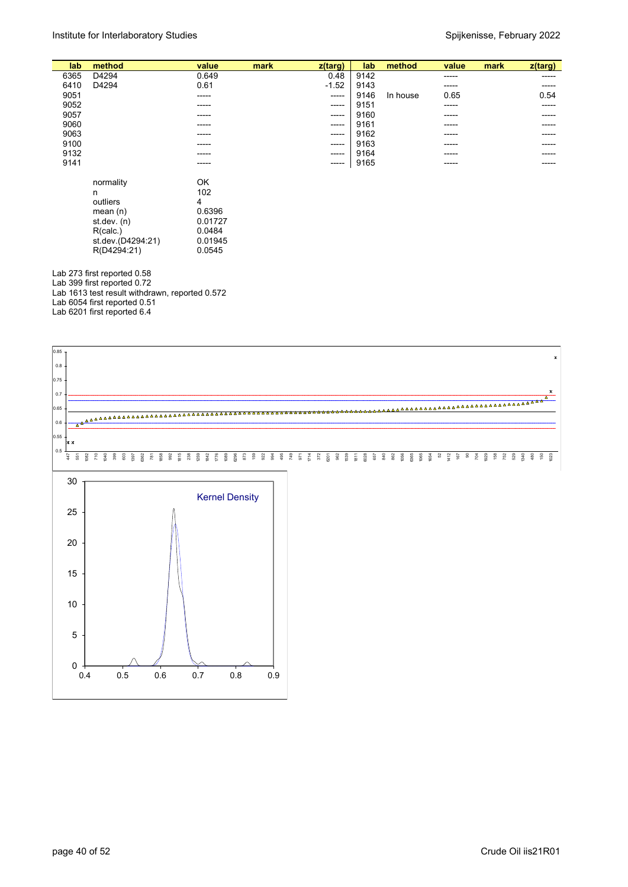| lab  | method                        | value   | mark | z(targ) | lab  | method   | value | mark | $z$ (targ) |
|------|-------------------------------|---------|------|---------|------|----------|-------|------|------------|
| 6365 | D4294                         | 0.649   |      | 0.48    | 9142 |          | ----- |      | -----      |
| 6410 | D4294                         | 0.61    |      | $-1.52$ | 9143 |          | ----- |      | -----      |
| 9051 |                               | -----   |      | -----   | 9146 | In house | 0.65  |      | 0.54       |
| 9052 |                               |         |      | -----   | 9151 |          | ----- |      | -----      |
| 9057 |                               | -----   |      | ------  | 9160 |          | ----- |      | -----      |
| 9060 |                               | -----   |      | -----   | 9161 |          | ----- |      |            |
| 9063 |                               | -----   |      | -----   | 9162 |          | ----- |      | -----      |
| 9100 |                               | -----   |      | ------  | 9163 |          | ----- |      | -----      |
| 9132 |                               | -----   |      | -----   | 9164 |          | ----- |      |            |
| 9141 |                               | -----   |      | -----   | 9165 |          | ----- |      |            |
|      |                               |         |      |         |      |          |       |      |            |
|      | normality                     | OK      |      |         |      |          |       |      |            |
|      | n                             | 102     |      |         |      |          |       |      |            |
|      | outliers                      | 4       |      |         |      |          |       |      |            |
|      | mean $(n)$                    | 0.6396  |      |         |      |          |       |      |            |
|      | st.dev. (n)                   | 0.01727 |      |         |      |          |       |      |            |
|      | R(calc.)                      | 0.0484  |      |         |      |          |       |      |            |
|      | st.dev.(D4294:21)             | 0.01945 |      |         |      |          |       |      |            |
|      | R(D4294:21)                   | 0.0545  |      |         |      |          |       |      |            |
|      |                               |         |      |         |      |          |       |      |            |
|      | Lab 273 first reported 0.58   |         |      |         |      |          |       |      |            |
|      | Lob 200 first reported $0.72$ |         |      |         |      |          |       |      |            |

Lab 399 first reported 0.72 Lab 1613 test result withdrawn, reported 0.572 Lab 6054 first reported 0.51 Lab 6201 first reported 6.4

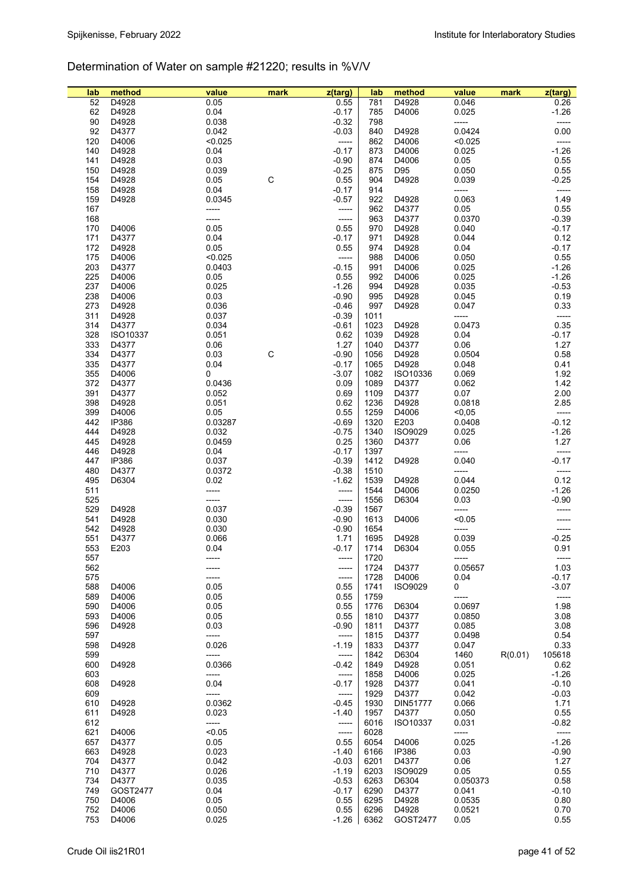## Determination of Water on sample #21220; results in %V/V

| lab | method       | value   | mark | z(targ) | lab  | method         | value    | mark    | $z$ (targ) |
|-----|--------------|---------|------|---------|------|----------------|----------|---------|------------|
| 52  | D4928        | 0.05    |      | 0.55    | 781  | D4928          | 0.046    |         | 0.26       |
| 62  | D4928        | 0.04    |      | $-0.17$ | 785  | D4006          | 0.025    |         | $-1.26$    |
| 90  | D4928        | 0.038   |      | $-0.32$ | 798  |                | -----    |         | -----      |
| 92  | D4377        | 0.042   |      | $-0.03$ | 840  | D4928          | 0.0424   |         | 0.00       |
| 120 | D4006        | < 0.025 |      | $-----$ | 862  | D4006          | < 0.025  |         | -----      |
| 140 | D4928        | 0.04    |      | $-0.17$ | 873  | D4006          | 0.025    |         | $-1.26$    |
| 141 | D4928        | 0.03    |      | $-0.90$ | 874  | D4006          | 0.05     |         | 0.55       |
| 150 | D4928        | 0.039   |      | $-0.25$ | 875  | D95            | 0.050    |         | 0.55       |
| 154 | D4928        | 0.05    | C    | 0.55    | 904  | D4928          | 0.039    |         | $-0.25$    |
| 158 | D4928        | 0.04    |      | $-0.17$ | 914  |                | -----    |         | -----      |
| 159 | D4928        | 0.0345  |      | $-0.57$ | 922  | D4928          | 0.063    |         | 1.49       |
| 167 |              | -----   |      | -----   | 962  | D4377          | 0.05     |         | 0.55       |
| 168 |              | -----   |      | -----   | 963  | D4377          | 0.0370   |         | $-0.39$    |
| 170 | D4006        | 0.05    |      | 0.55    | 970  |                | 0.040    |         | $-0.17$    |
|     |              |         |      |         |      | D4928          |          |         |            |
| 171 | D4377        | 0.04    |      | $-0.17$ | 971  | D4928          | 0.044    |         | 0.12       |
| 172 | D4928        | 0.05    |      | 0.55    | 974  | D4928          | 0.04     |         | $-0.17$    |
| 175 | D4006        | < 0.025 |      | -----   | 988  | D4006          | 0.050    |         | 0.55       |
| 203 | D4377        | 0.0403  |      | $-0.15$ | 991  | D4006          | 0.025    |         | $-1.26$    |
| 225 | D4006        | 0.05    |      | 0.55    | 992  | D4006          | 0.025    |         | $-1.26$    |
| 237 | D4006        | 0.025   |      | $-1.26$ | 994  | D4928          | 0.035    |         | $-0.53$    |
| 238 | D4006        | 0.03    |      | $-0.90$ | 995  | D4928          | 0.045    |         | 0.19       |
| 273 | D4928        | 0.036   |      | $-0.46$ | 997  | D4928          | 0.047    |         | 0.33       |
| 311 | D4928        | 0.037   |      | $-0.39$ | 1011 |                | -----    |         | -----      |
| 314 | D4377        | 0.034   |      | $-0.61$ | 1023 | D4928          | 0.0473   |         | 0.35       |
| 328 | ISO10337     | 0.051   |      | 0.62    | 1039 | D4928          | 0.04     |         | $-0.17$    |
| 333 | D4377        | 0.06    |      | 1.27    | 1040 | D4377          | 0.06     |         | 1.27       |
| 334 | D4377        | 0.03    | C    | $-0.90$ | 1056 | D4928          | 0.0504   |         | 0.58       |
| 335 | D4377        | 0.04    |      | $-0.17$ | 1065 | D4928          | 0.048    |         | 0.41       |
| 355 | D4006        | 0       |      | $-3.07$ | 1082 | ISO10336       | 0.069    |         | 1.92       |
| 372 | D4377        | 0.0436  |      | 0.09    | 1089 | D4377          | 0.062    |         | 1.42       |
| 391 | D4377        | 0.052   |      | 0.69    | 1109 | D4377          | 0.07     |         | 2.00       |
| 398 | D4928        | 0.051   |      | 0.62    | 1236 | D4928          | 0.0818   |         | 2.85       |
| 399 | D4006        | 0.05    |      | 0.55    | 1259 | D4006          | < 0.05   |         | -----      |
|     |              |         |      |         |      |                |          |         |            |
| 442 | <b>IP386</b> | 0.03287 |      | $-0.69$ | 1320 | E203           | 0.0408   |         | $-0.12$    |
| 444 | D4928        | 0.032   |      | $-0.75$ | 1340 | <b>ISO9029</b> | 0.025    |         | $-1.26$    |
| 445 | D4928        | 0.0459  |      | 0.25    | 1360 | D4377          | 0.06     |         | 1.27       |
| 446 | D4928        | 0.04    |      | $-0.17$ | 1397 |                | -----    |         | -----      |
| 447 | IP386        | 0.037   |      | $-0.39$ | 1412 | D4928          | 0.040    |         | $-0.17$    |
| 480 | D4377        | 0.0372  |      | $-0.38$ | 1510 |                | -----    |         | -----      |
| 495 | D6304        | 0.02    |      | $-1.62$ | 1539 | D4928          | 0.044    |         | 0.12       |
| 511 |              | -----   |      | -----   | 1544 | D4006          | 0.0250   |         | $-1.26$    |
| 525 |              | -----   |      | -----   | 1556 | D6304          | 0.03     |         | $-0.90$    |
| 529 | D4928        | 0.037   |      | $-0.39$ | 1567 |                | -----    |         |            |
| 541 | D4928        | 0.030   |      | $-0.90$ | 1613 | D4006          | < 0.05   |         |            |
| 542 | D4928        | 0.030   |      | $-0.90$ | 1654 |                | -----    |         | -----      |
| 551 | D4377        | 0.066   |      | 1.71    | 1695 | D4928          | 0.039    |         | $-0.25$    |
| 553 | E203         | 0.04    |      | $-0.17$ | 1714 | D6304          | 0.055    |         | 0.91       |
| 557 |              |         |      |         | 1720 |                |          |         |            |
| 562 |              | -----   |      | -----   | 1724 | D4377          | 0.05657  |         | 1.03       |
| 575 |              | -----   |      | -----   | 1728 | D4006          | 0.04     |         | $-0.17$    |
| 588 | D4006        | 0.05    |      | 0.55    | 1741 | <b>ISO9029</b> | 0        |         | $-3.07$    |
| 589 | D4006        | 0.05    |      | 0.55    | 1759 |                | -----    |         | -----      |
| 590 | D4006        | 0.05    |      | 0.55    | 1776 | D6304          | 0.0697   |         | 1.98       |
| 593 | D4006        | 0.05    |      | 0.55    | 1810 | D4377          | 0.0850   |         | 3.08       |
| 596 | D4928        | 0.03    |      | $-0.90$ | 1811 | D4377          | 0.085    |         | 3.08       |
| 597 |              | -----   |      | -----   | 1815 | D4377          | 0.0498   |         | 0.54       |
| 598 | D4928        | 0.026   |      | $-1.19$ | 1833 | D4377          | 0.047    |         | 0.33       |
| 599 |              | -----   |      | $-----$ | 1842 | D6304          | 1460     | R(0.01) | 105618     |
| 600 | D4928        | 0.0366  |      | $-0.42$ | 1849 | D4928          | 0.051    |         | 0.62       |
| 603 |              | -----   |      | -----   | 1858 | D4006          | 0.025    |         | $-1.26$    |
| 608 | D4928        | 0.04    |      | $-0.17$ | 1928 | D4377          | 0.041    |         | $-0.10$    |
| 609 |              | -----   |      | $-----$ | 1929 | D4377          | 0.042    |         | $-0.03$    |
|     |              |         |      |         |      |                |          |         |            |
| 610 | D4928        | 0.0362  |      | $-0.45$ | 1930 | DIN51777       | 0.066    |         | 1.71       |
| 611 | D4928        | 0.023   |      | $-1.40$ | 1957 | D4377          | 0.050    |         | 0.55       |
| 612 |              | -----   |      | -----   | 6016 | ISO10337       | 0.031    |         | $-0.82$    |
| 621 | D4006        | < 0.05  |      | -----   | 6028 |                | -----    |         | $-----$    |
| 657 | D4377        | 0.05    |      | 0.55    | 6054 | D4006          | 0.025    |         | $-1.26$    |
| 663 | D4928        | 0.023   |      | $-1.40$ | 6166 | <b>IP386</b>   | 0.03     |         | $-0.90$    |
| 704 | D4377        | 0.042   |      | $-0.03$ | 6201 | D4377          | 0.06     |         | 1.27       |
| 710 | D4377        | 0.026   |      | $-1.19$ | 6203 | <b>ISO9029</b> | 0.05     |         | 0.55       |
| 734 | D4377        | 0.035   |      | $-0.53$ | 6263 | D6304          | 0.050373 |         | 0.58       |
| 749 | GOST2477     | 0.04    |      | $-0.17$ | 6290 | D4377          | 0.041    |         | $-0.10$    |
| 750 | D4006        | 0.05    |      | 0.55    | 6295 | D4928          | 0.0535   |         | 0.80       |
| 752 | D4006        | 0.050   |      | 0.55    | 6296 | D4928          | 0.0521   |         | 0.70       |
| 753 | D4006        | 0.025   |      | $-1.26$ | 6362 | GOST2477       | 0.05     |         | 0.55       |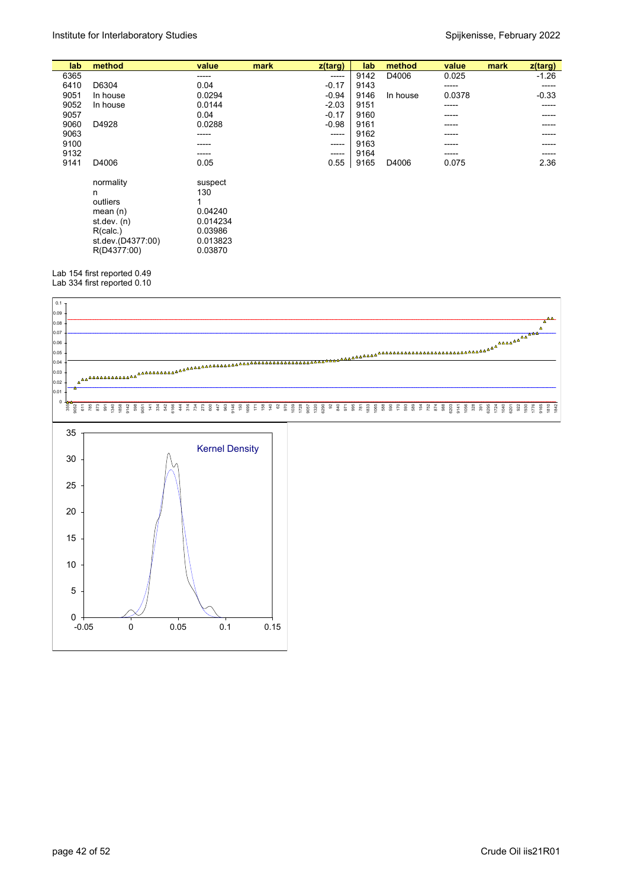| lab  | method                                                                                                    | value                                                                   | mark | z(targ) | lab  | method   | value  | mark | $z$ (targ) |
|------|-----------------------------------------------------------------------------------------------------------|-------------------------------------------------------------------------|------|---------|------|----------|--------|------|------------|
| 6365 |                                                                                                           | -----                                                                   |      | -----   | 9142 | D4006    | 0.025  |      | $-1.26$    |
| 6410 | D6304                                                                                                     | 0.04                                                                    |      | $-0.17$ | 9143 |          | -----  |      | -----      |
| 9051 | In house                                                                                                  | 0.0294                                                                  |      | $-0.94$ | 9146 | In house | 0.0378 |      | $-0.33$    |
| 9052 | In house                                                                                                  | 0.0144                                                                  |      | $-2.03$ | 9151 |          | -----  |      | -----      |
| 9057 |                                                                                                           | 0.04                                                                    |      | $-0.17$ | 9160 |          | -----  |      | -----      |
| 9060 | D4928                                                                                                     | 0.0288                                                                  |      | $-0.98$ | 9161 |          | -----  |      | -----      |
| 9063 |                                                                                                           | -----                                                                   |      | ------  | 9162 |          | -----  |      |            |
| 9100 |                                                                                                           | -----                                                                   |      | -----   | 9163 |          | -----  |      | -----      |
| 9132 |                                                                                                           | -----                                                                   |      | -----   | 9164 |          | -----  |      | -----      |
| 9141 | D4006                                                                                                     | 0.05                                                                    |      | 0.55    | 9165 | D4006    | 0.075  |      | 2.36       |
|      | normality<br>n<br>outliers<br>mean $(n)$<br>st dev. $(n)$<br>R(calc.)<br>st.dev.(D4377:00)<br>R(D4377:00) | suspect<br>130<br>0.04240<br>0.014234<br>0.03986<br>0.013823<br>0.03870 |      |         |      |          |        |      |            |

Lab 154 first reported 0.49

Lab 334 first reported 0.10

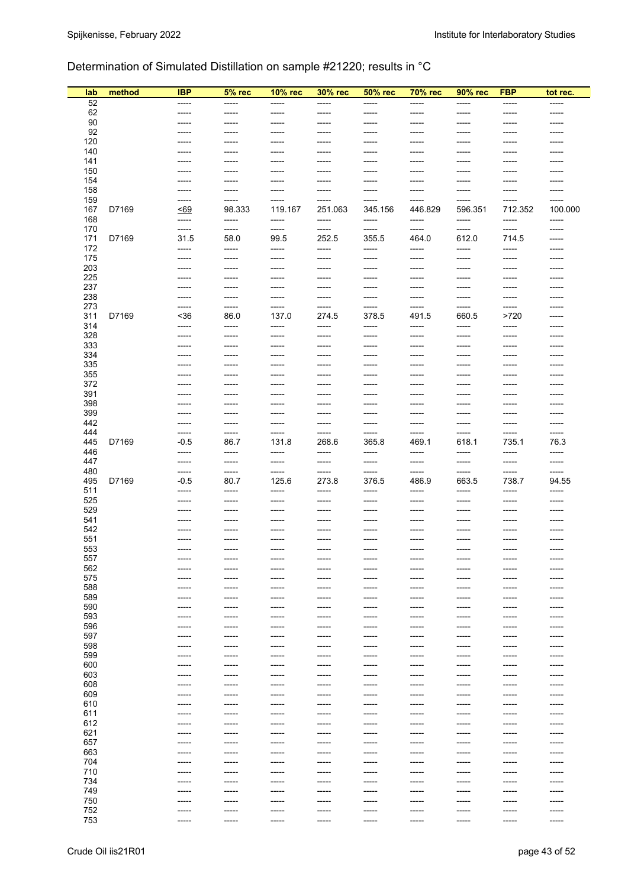## Determination of Simulated Distillation on sample #21220; results in °C

| lab        | method | <b>IBP</b>      | 5% rec          | 10% rec           | 30% rec          | 50% rec          | <b>70% rec</b>    | 90% rec          | <b>FBP</b>       | tot rec.         |
|------------|--------|-----------------|-----------------|-------------------|------------------|------------------|-------------------|------------------|------------------|------------------|
| 52         |        | -----           | -----           | -----             | -----            | -----            | -----             | -----            | -----            | -----            |
| 62         |        | -----           | -----           | $------$          | $- - - - -$      | -----            | $------$          | $------$         | -----            | -----            |
| 90         |        | -----           | ------          | $------$          | -----            | -----            | ------            | -----            | -----            | -----            |
| 92<br>120  |        | -----<br>-----  | -----<br>-----  | -----<br>-----    | -----<br>-----   | -----<br>-----   | -----<br>-----    | -----<br>-----   | -----<br>-----   | -----<br>-----   |
| 140        |        | -----           | -----           | -----             | -----            | -----            | -----             | -----            | -----            | -----            |
| 141        |        | -----           | -----           | -----             | -----            | -----            | -----             | -----            | -----            | -----            |
| 150        |        | -----           | -----           | $--- -$           | -----            | -----            | -----             | -----            | -----            | ------           |
| 154        |        | ------          | -----           | -----             | -----            | -----            | $-----$           | -----            | -----            | ------           |
| 158        |        | -----           | -----           | $--- -$           | -----            | -----            | $--- -$           | -----            | -----            | -----            |
| 159        |        | -----           | -----<br>98.333 | -----             | -----            | -----            | -----             | -----            | -----            | -----            |
| 167<br>168 | D7169  | < 69<br>-----   | -----           | 119.167<br>-----  | 251.063<br>----- | 345.156<br>----- | 446.829<br>-----  | 596.351<br>----- | 712.352<br>----- | 100.000<br>----- |
| 170        |        | -----           | -----           |                   | -----            | -----            |                   | -----            | -----            | -----            |
| 171        | D7169  | 31.5            | 58.0            | 99.5              | 252.5            | 355.5            | 464.0             | 612.0            | 714.5            | -----            |
| 172        |        | -----           | -----           | -----             | -----            | -----            | -----             | -----            | -----            | -----            |
| 175        |        | ------          | -----           | $-----$           | -----            | -----            | $-----$           | -----            | -----            | -----            |
| 203        |        | -----           | -----           | ------            | -----            | -----            | ------            | -----            | -----            |                  |
| 225<br>237 |        | -----<br>-----  | -----<br>-----  | $------$<br>----- | -----<br>-----   | -----<br>-----   | $------$<br>----- | -----<br>-----   | -----<br>-----   | -----<br>-----   |
| 238        |        | -----           | -----           | -----             | -----            | -----            | -----             | -----            | -----            | -----            |
| 273        |        | -----           | -----           | -----             |                  | -----            |                   | -----            | -----            | -----            |
| 311        | D7169  | $36$            | 86.0            | 137.0             | 274.5            | 378.5            | 491.5             | 660.5            | >720             | ------           |
| 314        |        | -----           | -----           | -----             | -----            | -----            | $--- -$           | -----            | -----            | -----            |
| 328        |        | -----           | -----           | $- - - - -$       | -----            | -----            | -----             | -----            | $-----1$         |                  |
| 333        |        | -----           | -----           | $- - - - -$       | -----            | -----            | ------            | -----            | -----            |                  |
| 334<br>335 |        | -----<br>-----  | -----<br>-----  | -----<br>-----    | -----<br>-----   | -----<br>-----   | -----<br>-----    | -----<br>-----   | -----<br>-----   | -----            |
| 355        |        | -----           | -----           | -----             | -----            | -----            | -----             | -----            | -----            |                  |
| 372        |        | -----           | -----           | $--- -$           | -----            | -----            | -----             | -----            | -----            |                  |
| 391        |        | ------          | -----           | $--- -$           | -----            | -----            | ------            | -----            | -----            | -----            |
| 398        |        | ------          | -----           | $--- -$           | -----            | -----            | $- - - - -$       | -----            | -----            | -----            |
| 399        |        | -----           | -----           | $------$          | -----            | -----            | ------            | -----            | -----            | -----            |
| 442<br>444 |        | ------<br>----- | -----<br>-----  | -----<br>-----    | -----<br>-----   | -----<br>-----   | -----<br>-----    | -----<br>-----   | -----<br>-----   | -----<br>-----   |
| 445        | D7169  | $-0.5$          | 86.7            | 131.8             | 268.6            | 365.8            | 469.1             | 618.1            | 735.1            | 76.3             |
| 446        |        | -----           | -----           | -----             | -----            | -----            |                   | -----            | -----            |                  |
| 447        |        | -----           | -----           | -----             | -----            | -----            | -----             | -----            | -----            | -----            |
| 480        |        | -----           | -----           | -----             | -----            | -----            | -----             | -----            | -----            | -----            |
| 495        | D7169  | $-0.5$          | 80.7            | 125.6             | 273.8            | 376.5            | 486.9             | 663.5            | 738.7            | 94.55            |
| 511        |        | -----           | -----           | $--- -$           | -----            | -----            | ------            | -----            | -----            | -----            |
| 525<br>529 |        | -----<br>-----  | -----<br>-----  | -----<br>$-----$  | -----<br>-----   | -----<br>-----   | -----<br>-----    | -----<br>-----   | -----<br>-----   | -----            |
| 541        |        | -----           |                 | -----             |                  | -----            | -----             | -----            | -----            |                  |
| 542        |        | -----           | -----           | $--- -$           | -----            | -----            | ------            | -----            | -----            |                  |
| 551        |        | -----           | -----           | $--- -$           | -----            | -----            | $-----$           | -----            | -----            |                  |
| 553        |        | -----           | -----           | $- - - - -$       | -----            | -----            | -----             | -----            | -----            | $-----1$         |
| 557        |        |                 |                 |                   |                  |                  |                   |                  |                  |                  |
| 562<br>575 |        | -----<br>-----  | -----<br>-----  | -----<br>-----    | -----<br>-----   | -----<br>-----   | -----<br>-----    | -----<br>-----   | -----<br>-----   | -----            |
| 588        |        | -----           | -----           | -----             | -----            | -----            | -----             | -----            | -----            |                  |
| 589        |        | -----           | -----           | -----             | -----            | -----            | -----             | -----            | -----            | -----            |
| 590        |        | -----           | -----           | $-----1$          | -----            | -----            | $-----$           | -----            | -----            | -----            |
| 593        |        | -----           | -----           | $-----1$          | -----            | -----            | -----             | -----            | -----            | -----            |
| 596<br>597 |        | ------          |                 |                   |                  |                  |                   | -----            |                  |                  |
| 598        |        | -----<br>-----  |                 | -----             | -----            |                  |                   | -----<br>-----   | -----            |                  |
| 599        |        | -----           | -----           | -----             | -----            | -----            | -----             | -----            | -----            |                  |
| 600        |        | ------          | -----           | -----             | -----            | -----            | -----             | -----            | -----            | -----            |
| 603        |        | -----           | -----           | -----             | -----            | -----            | ------            | -----            | -----            | -----            |
| 608        |        | -----           | -----           | $-----$           | -----            | -----            | -----             | -----            | -----            | -----            |
| 609        |        | -----           | -----           | $- - - - -$       | -----            | -----            | ------            | -----            | -----            | -----            |
| 610<br>611 |        | -----<br>-----  | -----<br>-----  | -----<br>-----    |                  | -----<br>-----   | ------<br>------  | -----<br>-----   | -----<br>-----   |                  |
| 612        |        | -----           | -----           | -----             | -----            | -----            | -----             | -----            | -----            | -----            |
| 621        |        | ------          | -----           | -----             | -----            | -----            | ------            | -----            | -----            | -----            |
| 657        |        | ------          | -----           | -----             | -----            | -----            | -----             | -----            | -----            | -----            |
| 663        |        | -----           | -----           | $-----1$          | -----            | -----            | -----             | -----            | -----            | -----            |
| 704        |        | -----           | -----           | $-----$           | -----            | -----            | -----             | -----            | -----            | -----            |
| 710<br>734 |        | -----           |                 |                   |                  |                  |                   | -----            | -----            |                  |
| 749        |        | -----<br>-----  | -----           | $--- -$           | -----<br>-----   | -----<br>-----   | -----             | -----<br>-----   | -----<br>-----   |                  |
| 750        |        | -----           | -----           |                   | -----            | -----            |                   | -----            | -----            |                  |
| 752        |        | -----           |                 | -----             | -----            |                  | -----             | -----            | -----            | -----            |
| 753        |        | -----           | -----           | -----             | -----            | -----            | -----             | -----            | -----            | -----            |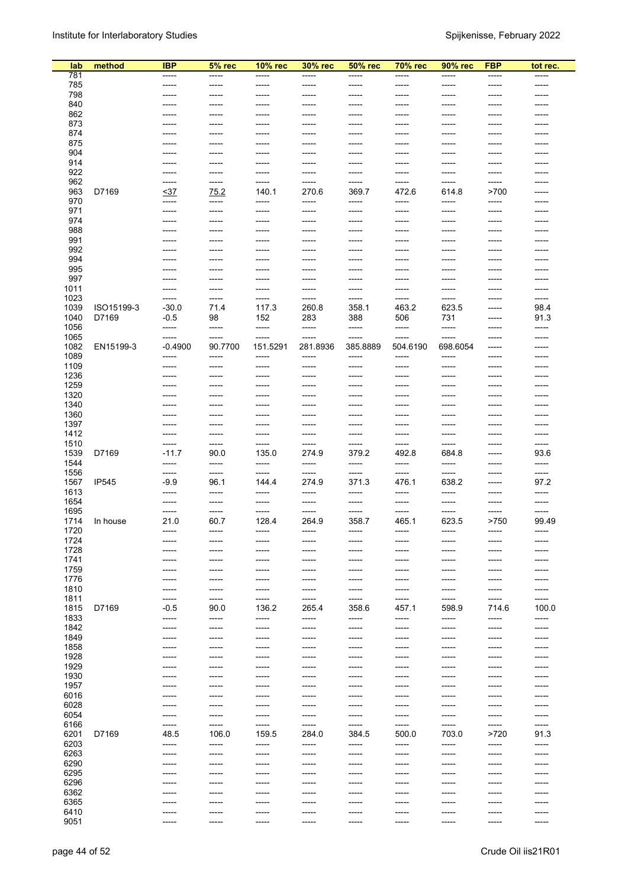| lab          | method     | <b>IBP</b>      | $5%$ rec        | 10% rec        | 30% rec                | 50% rec         | <b>70% rec</b>  | 90% rec        | <b>FBP</b>      | tot rec.        |
|--------------|------------|-----------------|-----------------|----------------|------------------------|-----------------|-----------------|----------------|-----------------|-----------------|
| 781          |            | -----           | -----           | -----          | -----                  | -----           | -----           | -----          | -----           | -----           |
| 785          |            | -----           | -----           | -----          | $--- - -$              | -----           | -----           | -----          | -----           | -----           |
| 798          |            | -----           | -----           | -----          | $------$               | -----           | ------          | -----          | -----           | -----           |
| 840          |            | -----           | -----           | -----          | $- - - - -$            | -----           | -----           | -----          | -----           | -----           |
| 862<br>873   |            | -----           | -----           | -----          |                        | -----<br>-----  | -----           |                | -----           |                 |
| 874          |            |                 | -----           | -----          |                        | -----           | -----           |                | -----           |                 |
| 875          |            |                 | -----           |                |                        | -----           |                 |                | -----           |                 |
| 904          |            | -----           | -----           | -----          | -----                  | -----           | -----           | -----          | -----           | -----           |
| 914          |            |                 | -----           |                |                        | -----           | -----           |                | -----           |                 |
| 922          |            | -----           | ------          | -----          | -----                  | -----           | -----           | -----          | -----           | ------          |
| 962<br>963   | D7169      | -----<br><37    | -----<br>75.2   | -----<br>140.1 | $- - - - -$<br>270.6   | -----<br>369.7  | -----<br>472.6  | -----<br>614.8 | ------<br>>700  | ------          |
| 970          |            | -----           | -----           | -----          | -----                  | -----           | -----           | -----          | -----           |                 |
| 971          |            | -----           | -----           | -----          | -----                  | -----           | -----           | -----          | -----           | -----           |
| 974          |            | -----           | -----           | -----          | -----                  | -----           | -----           | -----          | -----           | -----           |
| 988          |            | -----           | -----           | -----          | $--- - -$              | -----           | -----           | ------         | -----           |                 |
| 991          |            | -----           | -----           | -----          | $--- - -$              | -----           | -----           | -----          | -----           | -----           |
| 992<br>994   |            | -----           | -----<br>-----  | -----          | $- - - - -$            | -----<br>-----  | -----<br>-----  |                | -----<br>-----  | -----           |
| 995          |            |                 | -----           |                |                        | -----           |                 |                |                 |                 |
| 997          |            | -----           | -----           | -----          |                        | -----           | -----           |                | -----           |                 |
| 1011         |            | -----           | -----           | -----          | -----                  | -----           | -----           |                | -----           | -----           |
| 1023         |            | -----           | -----           | -----          | -----                  | -----           | -----           |                | -----           | -----           |
| 1039         | ISO15199-3 | $-30.0$         | 71.4            | 117.3          | 260.8                  | 358.1           | 463.2           | 623.5          | -----           | 98.4            |
| 1040<br>1056 | D7169      | $-0.5$<br>----- | 98<br>-----     | 152<br>-----   | 283<br>$--- -$         | 388<br>-----    | 506<br>-----    | 731<br>-----   | ------<br>----- | 91.3<br>-----   |
| 1065         |            | -----           | -----           | -----          | -----                  | -----           | -----           | -----          | -----           | -----           |
| 1082         | EN15199-3  | $-0.4900$       | 90.7700         | 151.5291       | 281.8936               | 385.8889        | 504.6190        | 698.6054       | -----           | -----           |
| 1089         |            | -----           | -----           | -----          | -----                  | -----           | -----           | -----          | -----           | -----           |
| 1109         |            | -----           | -----           | -----          | -----                  | -----           | -----           | -----          | -----           | -----           |
| 1236<br>1259 |            | -----<br>-----  | ------<br>----- | -----<br>----- | $--- - -$<br>$--- - -$ | -----<br>------ | -----<br>------ | -----<br>----- | -----<br>-----  | -----<br>-----  |
| 1320         |            | -----           | -----           | -----          | $- - - - -$            | -----           | -----           | -----          | -----           |                 |
| 1340         |            | -----           | -----           | -----          | -----                  | -----           | -----           | -----          | -----           |                 |
| 1360         |            | -----           | -----           |                |                        | -----           | -----           |                |                 |                 |
| 1397         |            | -----           | -----           | -----          |                        | -----           | -----           |                | -----           |                 |
| 1412<br>1510 |            | -----<br>-----  | -----<br>-----  | -----<br>----- | -----<br>-----         | -----<br>-----  | -----<br>-----  | -----<br>----- | -----           | -----           |
| 1539         | D7169      | $-11.7$         | 90.0            | 135.0          | 274.9                  | 379.2           | 492.8           | 684.8          | -----           | 93.6            |
| 1544         |            | -----           | -----           | -----          | -----                  | -----           | -----           | -----          | -----           | -----           |
| 1556         |            | -----           | -----           | -----          | ------                 | -----           | -----           | -----          | -----           | -----           |
| 1567<br>1613 | IP545      | -9.9<br>-----   | 96.1<br>-----   | 144.4<br>----- | 274.9<br>-----         | 371.3<br>-----  | 476.1<br>-----  | 638.2<br>----- | -----<br>-----  | 97.2<br>-----   |
| 1654         |            | -----           | -----           | -----          | -----                  | -----           | -----           | -----          | -----           | -----           |
| 1695         |            | -----           | -----           |                | -----                  | -----           | -----           | -----          | -----           | -----           |
| 1714         | In house   | 21.0            | 60.7            | 128.4          | 264.9                  | 358.7           | 465.1           | 623.5          | >750            | 99.49           |
| 1720<br>1724 |            | -----           | ------          | -----          |                        | -----           | ------          |                |                 | -----           |
| 1728         |            | -----<br>-----  | ------<br>----- | -----<br>----- | $------$<br>$--- -$    | -----<br>-----  | -----<br>-----  | -----<br>----- | -----<br>-----  | -----<br>-----  |
| 1741         |            | -----           | -----           | ------         | $- - - - -$            | -----           | ------          | ------         | -----           | -----           |
| 1759         |            | -----           | -----           | -----          | -----                  | -----           | -----           | -----          | -----           | -----           |
| 1776         |            | -----           | -----           | -----          | -----                  | -----           | ------          | -----          | -----           | -----           |
| 1810         |            | -----           | -----           | -----          | -----                  | -----           | -----           | -----          | -----           | -----           |
| 1811<br>1815 | D7169      | -----<br>$-0.5$ | $-----$<br>90.0 | -----<br>136.2 | -----<br>265.4         | -----<br>358.6  | -----<br>457.1  | -----<br>598.9 | -----<br>714.6  | -----<br>100.0  |
| 1833         |            | -----           | -----           | -----          | -----                  | -----           | -----           | -----          | -----           | -----           |
| 1842         |            | -----           | -----           | -----          | $-----$                | -----           | -----           | -----          | -----           | -----           |
| 1849         |            | -----           | -----           | -----          | -----                  | -----           | -----           | -----          | -----           | -----           |
| 1858         |            | -----           | -----           | -----          | -----                  | -----           | -----           | -----          | -----           | -----           |
| 1928<br>1929 |            | -----<br>-----  | -----<br>-----  | -----<br>----- | -----<br>-----         | -----<br>-----  | -----<br>-----  | -----<br>----- | -----<br>-----  | -----<br>-----  |
| 1930         |            | -----           | $-----$         | ------         | $--- -$                | -----           | ------          | -----          | -----           | ------          |
| 1957         |            | ------          | -----           | ------         | $--- -$                | -----           | ------          | ------         | -----           | ------          |
| 6016         |            | -----           | -----           | -----          | $-----$                | -----           | -----           | -----          | -----           | ------          |
| 6028         |            | -----           | -----           | -----          | -----                  | -----           | -----           | -----          | -----           | -----           |
| 6054<br>6166 |            | -----<br>-----  | -----<br>-----  | -----<br>----- | -----<br>$-----$       | -----<br>-----  | -----<br>-----  | -----<br>----- | -----<br>-----  | -----<br>-----  |
| 6201         | D7169      | 48.5            | 106.0           | 159.5          | 284.0                  | 384.5           | 500.0           | 703.0          | >720            | 91.3            |
| 6203         |            | -----           | -----           | -----          | $-----$                | -----           | -----           | -----          | -----           | -----           |
| 6263         |            | -----           | -----           | -----          | $-----$                | -----           | ------          | -----          | -----           | ------          |
| 6290<br>6295 |            | -----<br>-----  | -----           | -----<br>----- | $------$<br>$-----$    | -----           | -----<br>-----  | -----<br>----- | -----           | -----<br>-----  |
| 6296         |            | -----           | -----<br>-----  | -----          | -----                  | -----<br>-----  | -----           | -----          | -----<br>-----  | -----           |
| 6362         |            | -----           | -----           | -----          | -----                  | -----           | -----           | -----          | -----           | -----           |
| 6365         |            | -----           | -----           | -----          | -----                  | -----           | -----           | -----          | -----           | -----           |
| 6410<br>9051 |            | -----<br>-----  | -----<br>------ | -----<br>----- | $--- - -$<br>$--- -$   | -----<br>-----  | -----<br>------ | -----<br>----- | -----<br>-----  | -----<br>------ |
|              |            |                 |                 |                |                        |                 |                 |                |                 |                 |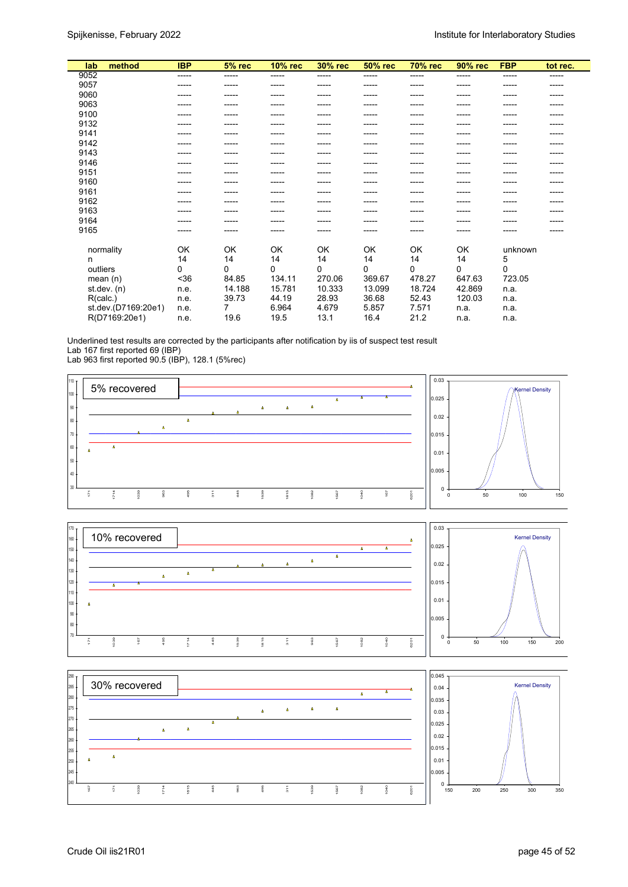| lab           | method              | <b>IBP</b> | $5%$ rec | <b>10% rec</b> | <b>30% rec</b> | <b>50% rec</b> | <b>70% rec</b> | 90% rec | <b>FBP</b> | tot rec. |
|---------------|---------------------|------------|----------|----------------|----------------|----------------|----------------|---------|------------|----------|
| 9052          |                     | -----      | -----    | -----          | -----          | -----          | -----          | -----   | -----      | -----    |
| 9057          |                     | -----      |          | -----          | -----          |                |                | ----    |            | -----    |
| 9060          |                     | -----      |          |                | -----          |                |                | -----   |            |          |
| 9063          |                     | -----      |          |                | ----           |                |                |         |            |          |
| 9100          |                     |            |          |                |                |                |                |         |            |          |
| 9132          |                     |            |          |                | ----           |                |                |         |            |          |
| 9141          |                     |            |          |                |                |                |                |         |            |          |
| 9142          |                     | -----      |          |                | ----           |                |                | ----    |            |          |
| 9143          |                     | -----      |          |                | ----           |                |                |         |            |          |
| 9146          |                     |            |          |                |                |                |                |         |            |          |
| 9151          |                     | -----      |          | -----          | -----          |                | -----          | -----   |            | -----    |
| 9160          |                     |            |          |                |                |                |                |         |            |          |
| 9161          |                     |            |          |                |                |                |                |         |            |          |
| 9162          |                     | -----      |          |                | -----          |                |                | -----   |            |          |
| 9163          |                     |            |          |                |                |                |                |         |            |          |
| 9164          |                     |            |          |                |                |                |                |         |            |          |
| 9165          |                     | -----      | ------   | -----          | -----          |                | -----          | -----   |            |          |
|               |                     |            |          |                |                |                |                |         |            |          |
| normality     |                     | OK         | OK       | OK             | OK             | OK             | OK             | OK      | unknown    |          |
| n             |                     | 14         | 14       | 14             | 14             | 14             | 14             | 14      | 5          |          |
| outliers      |                     | 0          | $\Omega$ | $\Omega$       | 0              | 0              | 0              | 0       | $\Omega$   |          |
| mean $(n)$    |                     | $36$       | 84.85    | 134.11         | 270.06         | 369.67         | 478.27         | 647.63  | 723.05     |          |
| st.dev. $(n)$ |                     | n.e.       | 14.188   | 15.781         | 10.333         | 13.099         | 18.724         | 42.869  | n.a.       |          |
| R(calc.)      |                     | n.e.       | 39.73    | 44.19          | 28.93          | 36.68          | 52.43          | 120.03  | n.a.       |          |
|               | st.dev.(D7169:20e1) | n.e.       |          | 6.964          | 4.679          | 5.857          | 7.571          | n.a.    | n.a.       |          |
|               | R(D7169:20e1)       | n.e.       | 19.6     | 19.5           | 13.1           | 16.4           | 21.2           | n.a.    | n.a.       |          |

Underlined test results are corrected by the participants after notification by iis of suspect test result Lab 167 first reported 69 (IBP)

Lab 963 first reported 90.5 (IBP), 128.1 (5%rec)





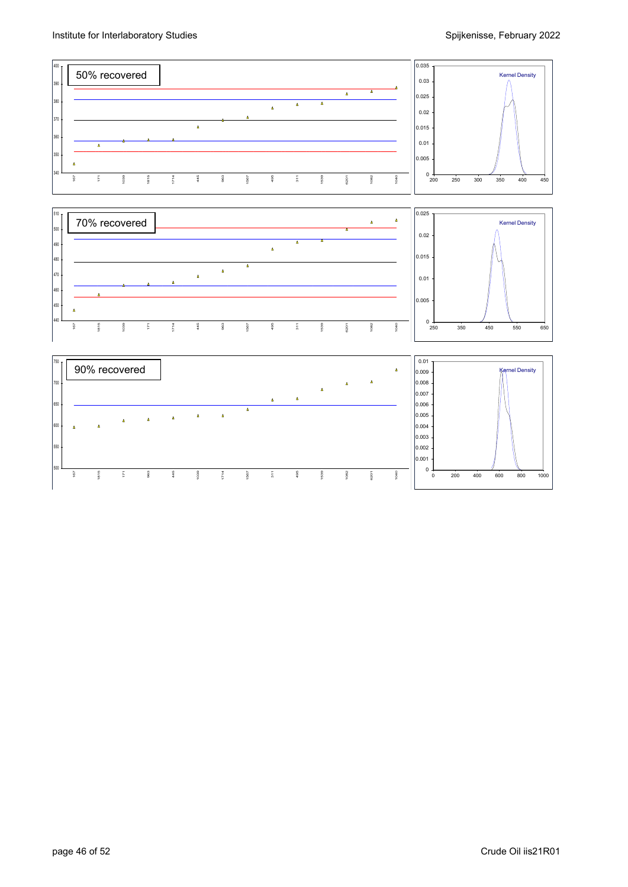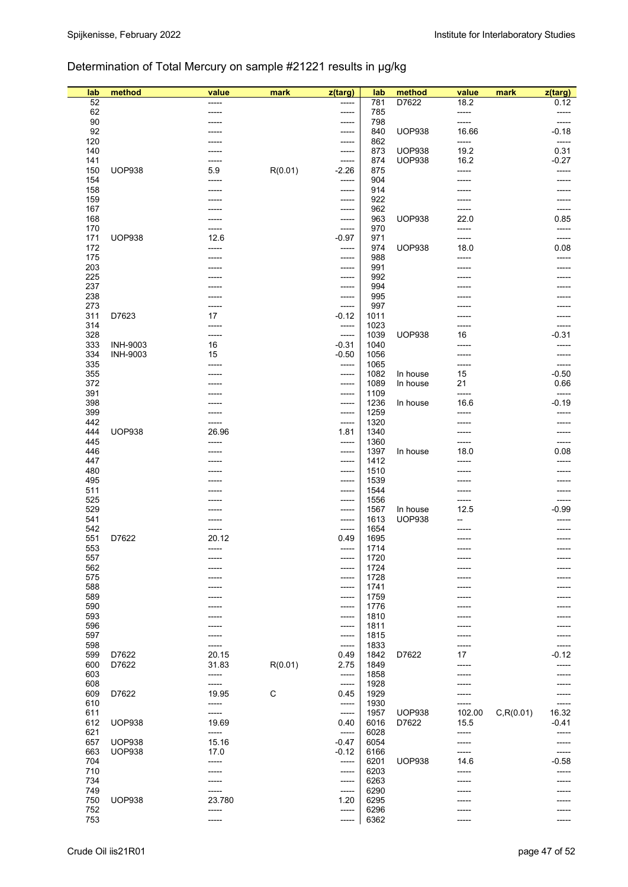## Determination of Total Mercury on sample #21221 results in µg/kg

| lab        | method          | value           | mark        | z(targ)        | lab          | method        | value          | mark       | z(targ)          |
|------------|-----------------|-----------------|-------------|----------------|--------------|---------------|----------------|------------|------------------|
| 52         |                 | -----           |             | -----          | 781          | D7622         | 18.2           |            | 0.12             |
| 62<br>90   |                 |                 |             | -----<br>----- | 785<br>798   |               | -----          |            |                  |
| 92         |                 |                 |             | -----          | 840          | <b>UOP938</b> | -----<br>16.66 |            | $-0.18$          |
| 120        |                 |                 |             | -----          | 862          |               | -----          |            | -----            |
| 140        |                 |                 |             | -----          | 873          | <b>UOP938</b> | 19.2           |            | 0.31             |
| 141        |                 |                 |             | -----          | 874          | <b>UOP938</b> | 16.2           |            | $-0.27$          |
| 150        | <b>UOP938</b>   | 5.9             | R(0.01)     | $-2.26$        | 875          |               | -----          |            | -----            |
| 154        |                 | -----           |             | -----          | 904          |               |                |            |                  |
| 158        |                 |                 |             | -----          | 914          |               |                |            |                  |
| 159<br>167 |                 |                 |             | -----<br>----- | 922<br>962   |               |                |            | -----<br>-----   |
| 168        |                 |                 |             | -----          | 963          | <b>UOP938</b> | -----<br>22.0  |            | 0.85             |
| 170        |                 | -----           |             | -----          | 970          |               |                |            | -----            |
| 171        | <b>UOP938</b>   | 12.6            |             | $-0.97$        | 971          |               | -----          |            | -----            |
| 172        |                 | -----           |             | -----          | 974          | <b>UOP938</b> | 18.0           |            | 0.08             |
| 175        |                 |                 |             | -----          | 988          |               |                |            |                  |
| 203        |                 |                 |             | -----          | 991          |               |                |            |                  |
| 225        |                 |                 |             | -----          | 992          |               |                |            |                  |
| 237<br>238 |                 |                 |             | -----<br>----- | 994<br>995   |               |                |            |                  |
| 273        |                 | -----           |             | -----          | 997          |               |                |            |                  |
| 311        | D7623           | 17              |             | $-0.12$        | 1011         |               |                |            |                  |
| 314        |                 | -----           |             | -----          | 1023         |               |                |            |                  |
| 328        |                 | -----           |             | -----          | 1039         | <b>UOP938</b> | 16             |            | $-0.31$          |
| 333        | <b>INH-9003</b> | 16              |             | $-0.31$        | 1040         |               |                |            |                  |
| 334        | <b>INH-9003</b> | 15              |             | $-0.50$        | 1056         |               | -----          |            |                  |
| 335<br>355 |                 | -----           |             | -----          | 1065<br>1082 | In house      | -----<br>15    |            | -----<br>$-0.50$ |
| 372        |                 | -----           |             | -----<br>----- | 1089         | In house      | 21             |            | 0.66             |
| 391        |                 |                 |             | -----          | 1109         |               | -----          |            | -----            |
| 398        |                 |                 |             | -----          | 1236         | In house      | 16.6           |            | $-0.19$          |
| 399        |                 |                 |             | -----          | 1259         |               |                |            |                  |
| 442        |                 | -----           |             | $-----$        | 1320         |               |                |            | -----            |
| 444        | <b>UOP938</b>   | 26.96           |             | 1.81           | 1340         |               |                |            |                  |
| 445        |                 | -----           |             | -----          | 1360         |               |                |            |                  |
| 446<br>447 |                 |                 |             | -----          | 1397<br>1412 | In house      | 18.0<br>-----  |            | 0.08<br>-----    |
| 480        |                 |                 |             | -----<br>----- | 1510         |               |                |            |                  |
| 495        |                 |                 |             | -----          | 1539         |               |                |            |                  |
| 511        |                 |                 |             | -----          | 1544         |               |                |            | -----            |
| 525        |                 |                 |             | -----          | 1556         |               | -----          |            | -----            |
| 529        |                 |                 |             | -----          | 1567         | In house      | 12.5           |            | -0.99            |
| 541        |                 |                 |             | -----          | 1613         | <b>UOP938</b> |                |            |                  |
| 542<br>551 | D7622           | -----           |             | -----<br>0.49  | 1654<br>1695 |               |                |            |                  |
| 553        |                 | 20.12<br>-----  |             | -----          | 1714         |               |                |            |                  |
| 557        |                 |                 |             |                | 1720         |               |                |            |                  |
| 562        |                 |                 |             | -----          | 1724         |               |                |            |                  |
| 575        |                 |                 |             |                | 1728         |               |                |            |                  |
| 588        |                 |                 |             | -----          | 1741         |               |                |            |                  |
| 589        |                 |                 |             | -----          | 1759         |               |                |            |                  |
| 590        |                 |                 |             | -----          | 1776         |               |                |            |                  |
| 593<br>596 |                 |                 |             | -----<br>----- | 1810<br>1811 |               |                |            |                  |
| 597        |                 |                 |             | -----          | 1815         |               |                |            |                  |
| 598        |                 | -----           |             | -----          | 1833         |               |                |            |                  |
| 599        | D7622           | 20.15           |             | 0.49           | 1842         | D7622         | 17             |            | -0.12            |
| 600        | D7622           | 31.83           | R(0.01)     | 2.75           | 1849         |               |                |            |                  |
| 603        |                 | -----           |             | -----          | 1858         |               |                |            |                  |
| 608        |                 | -----           |             | -----          | 1928         |               |                |            |                  |
| 609        | D7622           | 19.95           | $\mathsf C$ | 0.45           | 1929         |               |                |            |                  |
| 610<br>611 |                 | -----<br>-----  |             | -----<br>----- | 1930<br>1957 | <b>UOP938</b> | 102.00         | C, R(0.01) | -----<br>16.32   |
| 612        | <b>UOP938</b>   | 19.69           |             | 0.40           | 6016         | D7622         | 15.5           |            | -0.41            |
| 621        |                 | -----           |             | -----          | 6028         |               | -----          |            |                  |
| 657        | <b>UOP938</b>   | 15.16           |             | $-0.47$        | 6054         |               |                |            |                  |
| 663        | <b>UOP938</b>   | 17.0            |             | $-0.12$        | 6166         |               |                |            | -----            |
| 704        |                 | -----           |             | -----          | 6201         | <b>UOP938</b> | 14.6           |            | $-0.58$          |
| 710        |                 | -----           |             | -----          | 6203         |               |                |            |                  |
| 734        |                 |                 |             | -----          | 6263         |               |                |            |                  |
| 749<br>750 | <b>UOP938</b>   | -----<br>23.780 |             | -----          | 6290<br>6295 |               |                |            |                  |
| 752        |                 | -----           |             | 1.20<br>-----  | 6296         |               |                |            |                  |
| 753        |                 | -----           |             | -----          | 6362         |               |                |            |                  |
|            |                 |                 |             |                |              |               |                |            |                  |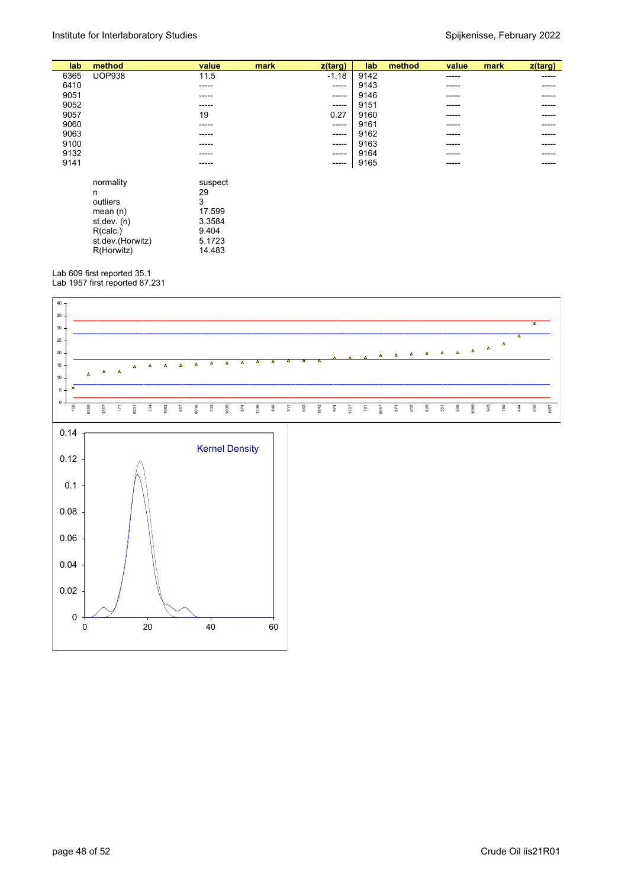| lab  | method           | value   | mark | $z$ (targ) | lab  | method | value | mark | z(targ) |
|------|------------------|---------|------|------------|------|--------|-------|------|---------|
| 6365 | <b>UOP938</b>    | 11.5    |      | $-1.18$    | 9142 |        | ----- |      | -----   |
| 6410 |                  | -----   |      | -----      | 9143 |        | ----- |      | ----    |
| 9051 |                  | ------  |      | -----      | 9146 |        | ----- |      | -----   |
| 9052 |                  | -----   |      | -----      | 9151 |        | ----- |      | -----   |
| 9057 |                  | 19      |      | 0.27       | 9160 |        | ----- |      | -----   |
| 9060 |                  | -----   |      | -----      | 9161 |        | ----- |      | -----   |
| 9063 |                  | -----   |      | -----      | 9162 |        | ----- |      |         |
| 9100 |                  |         |      |            | 9163 |        |       |      |         |
|      |                  |         |      | -----      |      |        | ----- |      | -----   |
| 9132 |                  | -----   |      | -----      | 9164 |        | ----- |      | -----   |
| 9141 |                  | -----   |      | -----      | 9165 |        | ----- |      | -----   |
|      |                  |         |      |            |      |        |       |      |         |
|      | normality        | suspect |      |            |      |        |       |      |         |
|      | n                | 29      |      |            |      |        |       |      |         |
|      | outliers         | 3       |      |            |      |        |       |      |         |
|      | mean $(n)$       | 17.599  |      |            |      |        |       |      |         |
|      | st.dev. $(n)$    | 3.3584  |      |            |      |        |       |      |         |
|      | R(calc.)         | 9.404   |      |            |      |        |       |      |         |
|      | st.dev.(Horwitz) | 5.1723  |      |            |      |        |       |      |         |
|      | R(Horwitz)       | 14.483  |      |            |      |        |       |      |         |
|      |                  |         |      |            |      |        |       |      |         |

Lab 609 first reported 35.1 Lab 1957 first reported 87.231

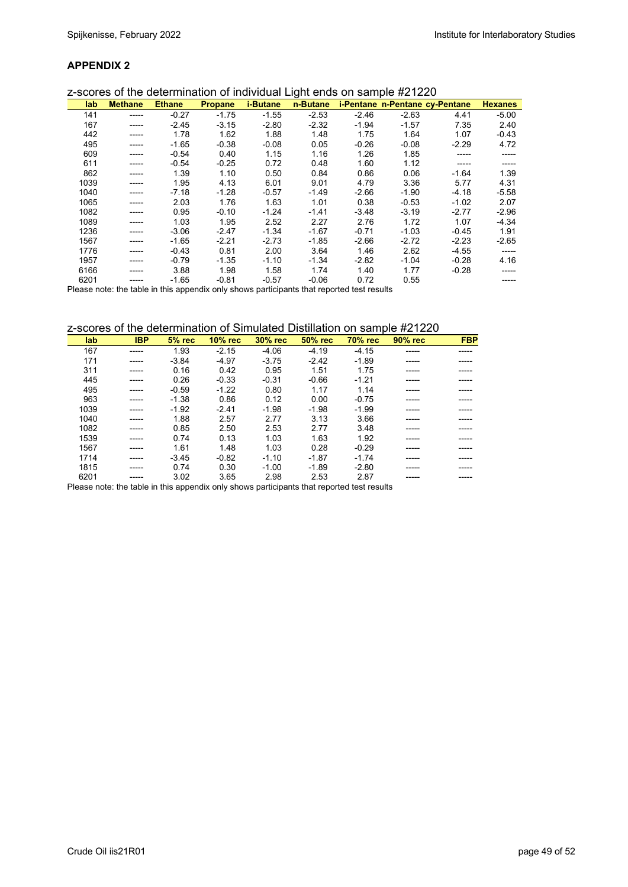|      | z-scores of the determination of individual Light ends on sample #21220 |               |                |                 |          |         |                                |         |                |
|------|-------------------------------------------------------------------------|---------------|----------------|-----------------|----------|---------|--------------------------------|---------|----------------|
| lab  | <b>Methane</b>                                                          | <b>Ethane</b> | <b>Propane</b> | <i>i-Butane</i> | n-Butane |         | i-Pentane n-Pentane cy-Pentane |         | <b>Hexanes</b> |
| 141  | -----                                                                   | $-0.27$       | $-1.75$        | $-1.55$         | $-2.53$  | $-2.46$ | $-2.63$                        | 4.41    | $-5.00$        |
| 167  | -----                                                                   | $-2.45$       | $-3.15$        | $-2.80$         | $-2.32$  | $-1.94$ | $-1.57$                        | 7.35    | 2.40           |
| 442  |                                                                         | 1.78          | 1.62           | 1.88            | 1.48     | 1.75    | 1.64                           | 1.07    | $-0.43$        |
| 495  |                                                                         | $-1.65$       | $-0.38$        | $-0.08$         | 0.05     | $-0.26$ | $-0.08$                        | $-2.29$ | 4.72           |
| 609  |                                                                         | $-0.54$       | 0.40           | 1.15            | 1.16     | 1.26    | 1.85                           |         |                |
| 611  |                                                                         | $-0.54$       | $-0.25$        | 0.72            | 0.48     | 1.60    | 1.12                           |         |                |
| 862  |                                                                         | 1.39          | 1.10           | 0.50            | 0.84     | 0.86    | 0.06                           | $-1.64$ | 1.39           |
| 1039 |                                                                         | 1.95          | 4.13           | 6.01            | 9.01     | 4.79    | 3.36                           | 5.77    | 4.31           |
| 1040 |                                                                         | $-7.18$       | $-1.28$        | $-0.57$         | $-1.49$  | $-2.66$ | $-1.90$                        | $-4.18$ | $-5.58$        |
| 1065 |                                                                         | 2.03          | 1.76           | 1.63            | 1.01     | 0.38    | $-0.53$                        | $-1.02$ | 2.07           |
| 1082 |                                                                         | 0.95          | $-0.10$        | $-1.24$         | $-1.41$  | $-3.48$ | $-3.19$                        | $-2.77$ | $-2.96$        |
| 1089 |                                                                         | 1.03          | 1.95           | 2.52            | 2.27     | 2.76    | 1.72                           | 1.07    | $-4.34$        |
| 1236 |                                                                         | $-3.06$       | $-2.47$        | $-1.34$         | $-1.67$  | $-0.71$ | $-1.03$                        | $-0.45$ | 1.91           |
| 1567 |                                                                         | $-1.65$       | $-2.21$        | $-2.73$         | $-1.85$  | $-2.66$ | $-2.72$                        | $-2.23$ | $-2.65$        |
| 1776 |                                                                         | $-0.43$       | 0.81           | 2.00            | 3.64     | 1.46    | 2.62                           | $-4.55$ | -----          |
| 1957 |                                                                         | $-0.79$       | $-1.35$        | $-1.10$         | $-1.34$  | $-2.82$ | $-1.04$                        | $-0.28$ | 4.16           |
| 6166 |                                                                         | 3.88          | 1.98           | 1.58            | 1.74     | 1.40    | 1.77                           | $-0.28$ |                |
| 6201 |                                                                         | $-1.65$       | $-0.81$        | $-0.57$         | $-0.06$  | 0.72    | 0.55                           |         | -----          |

Please note: the table in this appendix only shows participants that reported test results

z-scores of the determination of Simulated Distillation on sample #21220

| lab  | <b>IBP</b> | $5%$ rec | $10\%$ rec | <b>30% rec</b> | 50% rec | <b>70% rec</b> | 90% rec | <b>FBP</b> |
|------|------------|----------|------------|----------------|---------|----------------|---------|------------|
| 167  | -----      | 1.93     | $-2.15$    | $-4.06$        | $-4.19$ | $-4.15$        |         |            |
| 171  | -----      | $-3.84$  | $-4.97$    | $-3.75$        | $-2.42$ | $-1.89$        |         |            |
| 311  | -----      | 0.16     | 0.42       | 0.95           | 1.51    | 1.75           | -----   |            |
| 445  |            | 0.26     | $-0.33$    | $-0.31$        | $-0.66$ | $-1.21$        |         |            |
| 495  | -----      | $-0.59$  | $-1.22$    | 0.80           | 1.17    | 1.14           | ------  |            |
| 963  | -----      | $-1.38$  | 0.86       | 0.12           | 0.00    | $-0.75$        |         |            |
| 1039 | -----      | $-1.92$  | $-2.41$    | $-1.98$        | $-1.98$ | $-1.99$        | -----   |            |
| 1040 |            | 1.88     | 2.57       | 2.77           | 3.13    | 3.66           |         |            |
| 1082 |            | 0.85     | 2.50       | 2.53           | 2.77    | 3.48           |         |            |
| 1539 | -----      | 0.74     | 0.13       | 1.03           | 1.63    | 1.92           |         |            |
| 1567 | -----      | 1.61     | 1.48       | 1.03           | 0.28    | $-0.29$        |         |            |
| 1714 | -----      | $-3.45$  | $-0.82$    | $-1.10$        | $-1.87$ | $-1.74$        | ------  |            |
| 1815 |            | 0.74     | 0.30       | $-1.00$        | $-1.89$ | $-2.80$        |         |            |
| 6201 | -----      | 3.02     | 3.65       | 2.98           | 2.53    | 2.87           |         |            |

Please note: the table in this appendix only shows participants that reported test results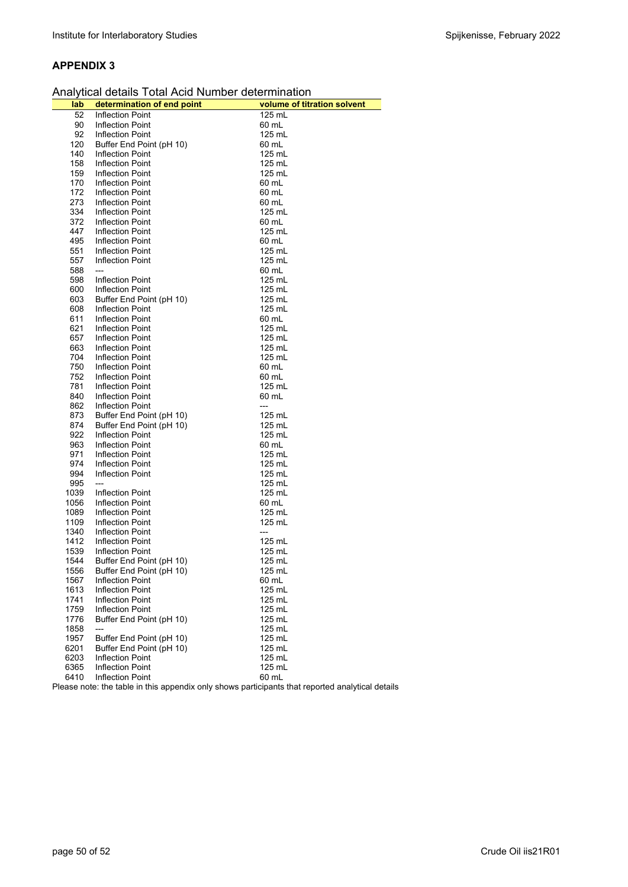|  |  | Analytical details Total Acid Number determination |  |
|--|--|----------------------------------------------------|--|
|--|--|----------------------------------------------------|--|

|      | Analytical details Total Acid Number determination |                                                                                                  |
|------|----------------------------------------------------|--------------------------------------------------------------------------------------------------|
| lab  | determination of end point                         | volume of titration solvent                                                                      |
| 52   | Inflection Point                                   | 125 mL                                                                                           |
| 90   | <b>Inflection Point</b>                            | 60 mL                                                                                            |
| 92   | <b>Inflection Point</b>                            | 125 mL                                                                                           |
| 120  | Buffer End Point (pH 10)                           | 60 mL                                                                                            |
| 140  | <b>Inflection Point</b>                            | 125 mL                                                                                           |
| 158  | <b>Inflection Point</b>                            | 125 mL                                                                                           |
| 159  | Inflection Point                                   | 125 mL                                                                                           |
| 170  | <b>Inflection Point</b>                            | 60 mL                                                                                            |
| 172  | Inflection Point                                   | 60 mL                                                                                            |
| 273  | <b>Inflection Point</b>                            | 60 mL                                                                                            |
| 334  | Inflection Point                                   | 125 mL                                                                                           |
| 372  | <b>Inflection Point</b>                            | 60 mL                                                                                            |
| 447  | <b>Inflection Point</b>                            | 125 mL                                                                                           |
| 495  | <b>Inflection Point</b>                            | 60 mL                                                                                            |
| 551  | <b>Inflection Point</b>                            | 125 mL                                                                                           |
| 557  | <b>Inflection Point</b>                            | 125 mL                                                                                           |
| 588  | $---$                                              | 60 mL                                                                                            |
| 598  | <b>Inflection Point</b>                            | 125 mL                                                                                           |
| 600  | <b>Inflection Point</b>                            | 125 mL                                                                                           |
| 603  | Buffer End Point (pH 10)                           | 125 mL                                                                                           |
| 608  | <b>Inflection Point</b>                            | 125 mL                                                                                           |
| 611  | Inflection Point                                   | 60 mL                                                                                            |
| 621  | <b>Inflection Point</b>                            | 125 mL                                                                                           |
| 657  | <b>Inflection Point</b>                            | 125 mL                                                                                           |
| 663  | <b>Inflection Point</b>                            | 125 mL                                                                                           |
| 704  | <b>Inflection Point</b>                            | 125 mL                                                                                           |
| 750  | <b>Inflection Point</b>                            | 60 mL                                                                                            |
| 752  | <b>Inflection Point</b>                            | 60 mL                                                                                            |
| 781  | Inflection Point                                   | 125 mL                                                                                           |
| 840  | <b>Inflection Point</b>                            | 60 mL                                                                                            |
| 862  | <b>Inflection Point</b>                            | ---                                                                                              |
| 873  | Buffer End Point (pH 10)                           | 125 mL                                                                                           |
| 874  | Buffer End Point (pH 10)                           | 125 mL                                                                                           |
| 922  | Inflection Point                                   | 125 mL                                                                                           |
| 963  | <b>Inflection Point</b>                            | 60 mL                                                                                            |
| 971  | <b>Inflection Point</b>                            | 125 mL                                                                                           |
| 974  | Inflection Point                                   | 125 mL                                                                                           |
| 994  | <b>Inflection Point</b>                            | 125 mL                                                                                           |
| 995  | $---$                                              | 125 mL                                                                                           |
| 1039 | <b>Inflection Point</b>                            | 125 mL                                                                                           |
| 1056 | Inflection Point                                   | 60 mL                                                                                            |
| 1089 | <b>Inflection Point</b>                            | 125 mL                                                                                           |
| 1109 | <b>Inflection Point</b>                            | 125 mL                                                                                           |
| 1340 | <b>Inflection Point</b>                            | ---                                                                                              |
| 1412 | <b>Inflection Point</b>                            | 125 mL                                                                                           |
| 1539 | <b>Inflection Point</b>                            | 125 mL                                                                                           |
| 1544 | Buffer End Point (pH 10)                           | 125 mL                                                                                           |
| 1556 | Buffer End Point (pH 10)                           | 125 mL                                                                                           |
| 1567 | <b>Inflection Point</b>                            | 60 mL                                                                                            |
| 1613 | <b>Inflection Point</b>                            | 125 mL                                                                                           |
| 1741 | <b>Inflection Point</b>                            | 125 mL                                                                                           |
| 1759 | <b>Inflection Point</b>                            | 125 mL                                                                                           |
| 1776 | Buffer End Point (pH 10)                           | 125 mL                                                                                           |
| 1858 | ---                                                | 125 mL                                                                                           |
| 1957 | Buffer End Point (pH 10)                           | 125 mL                                                                                           |
| 6201 | Buffer End Point (pH 10)                           | 125 mL                                                                                           |
| 6203 | <b>Inflection Point</b>                            | 125 mL                                                                                           |
| 6365 | <b>Inflection Point</b>                            | 125 mL                                                                                           |
| 6410 | <b>Inflection Point</b>                            | 60 mL                                                                                            |
|      |                                                    | Please note: the table in this appendix only shows participants that reported analytical details |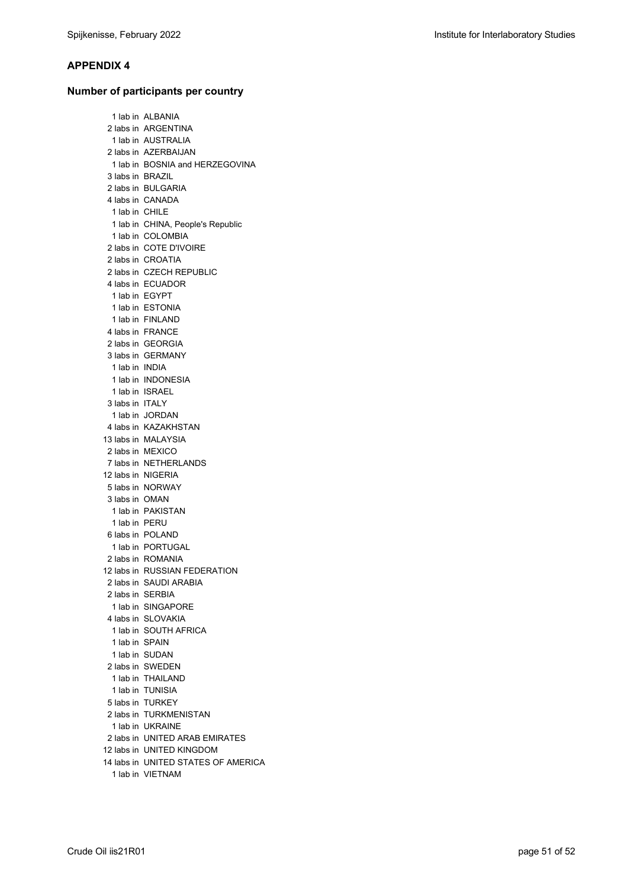## **Number of participants per country**

|                    | 1 lab in ALBANIA                    |
|--------------------|-------------------------------------|
|                    |                                     |
|                    | 2 labs in ARGENTINA                 |
|                    | 1 lab in AUSTRALIA                  |
|                    | 2 labs in AZERBAIJAN                |
|                    | 1 lab in BOSNIA and HERZEGOVINA     |
| 3 labs in  BRAZIL  |                                     |
|                    | 2 labs in BULGARIA                  |
|                    | 4 labs in CANADA                    |
| 1 lab in CHILE     |                                     |
|                    | 1 lab in CHINA, People's Republic   |
|                    | 1 lab in COLOMBIA                   |
|                    | 2 labs in COTE D'IVOIRE             |
|                    | 2 labs in CROATIA                   |
|                    | 2 labs in CZECH REPUBLIC            |
|                    | 4 labs in ECUADOR                   |
|                    | 1 lab in EGYPT                      |
|                    | 1 lab in ESTONIA                    |
|                    | 1 lab in FINLAND                    |
|                    | 4 labs in FRANCE                    |
|                    | 2 labs in GEORGIA                   |
|                    | 3 labs in GERMANY                   |
| 1 lab in INDIA     |                                     |
|                    | 1 lab in INDONESIA                  |
|                    | 1 lab in ISRAEL                     |
| 3 labs in ITALY    |                                     |
|                    | 1 lab in JORDAN                     |
|                    | 4 labs in KAZAKHSTAN                |
|                    | 13 labs in MALAYSIA                 |
|                    | 2 labs in MEXICO                    |
|                    |                                     |
|                    | 7 labs in NETHERLANDS               |
| 12 labs in NIGERIA |                                     |
|                    | 5 labs in NORWAY                    |
| 3 labs in  OMAN    |                                     |
|                    | 1 lab in PAKISTAN                   |
| 1 lab in PERU      |                                     |
|                    | 6 labs in POLAND                    |
|                    | 1 lab in PORTUGAL                   |
|                    | 2 labs in ROMANIA                   |
|                    | 12 labs in RUSSIAN FEDERATION       |
|                    | 2 labs in SAUDI ARABIA              |
| 2 labs in SERBIA   |                                     |
|                    | 1 lab in SINGAPORE                  |
|                    | 4 labs in SLOVAKIA                  |
|                    | 1 lab in SOUTH AFRICA               |
| 1 lab in SPAIN     |                                     |
|                    | 1 lab in SUDAN                      |
|                    | 2 labs in SWEDEN                    |
|                    | 1 lab in THAILAND                   |
|                    | 1 lab in TUNISIA                    |
|                    | 5 labs in TURKEY                    |
|                    | 2 labs in TURKMENISTAN              |
|                    | 1 lab in UKRAINE                    |
|                    | 2 labs in UNITED ARAB EMIRATES      |
|                    | 12 labs in UNITED KINGDOM           |
|                    | 14 labs in UNITED STATES OF AMERICA |
|                    | 1 lab in VIETNAM                    |
|                    |                                     |